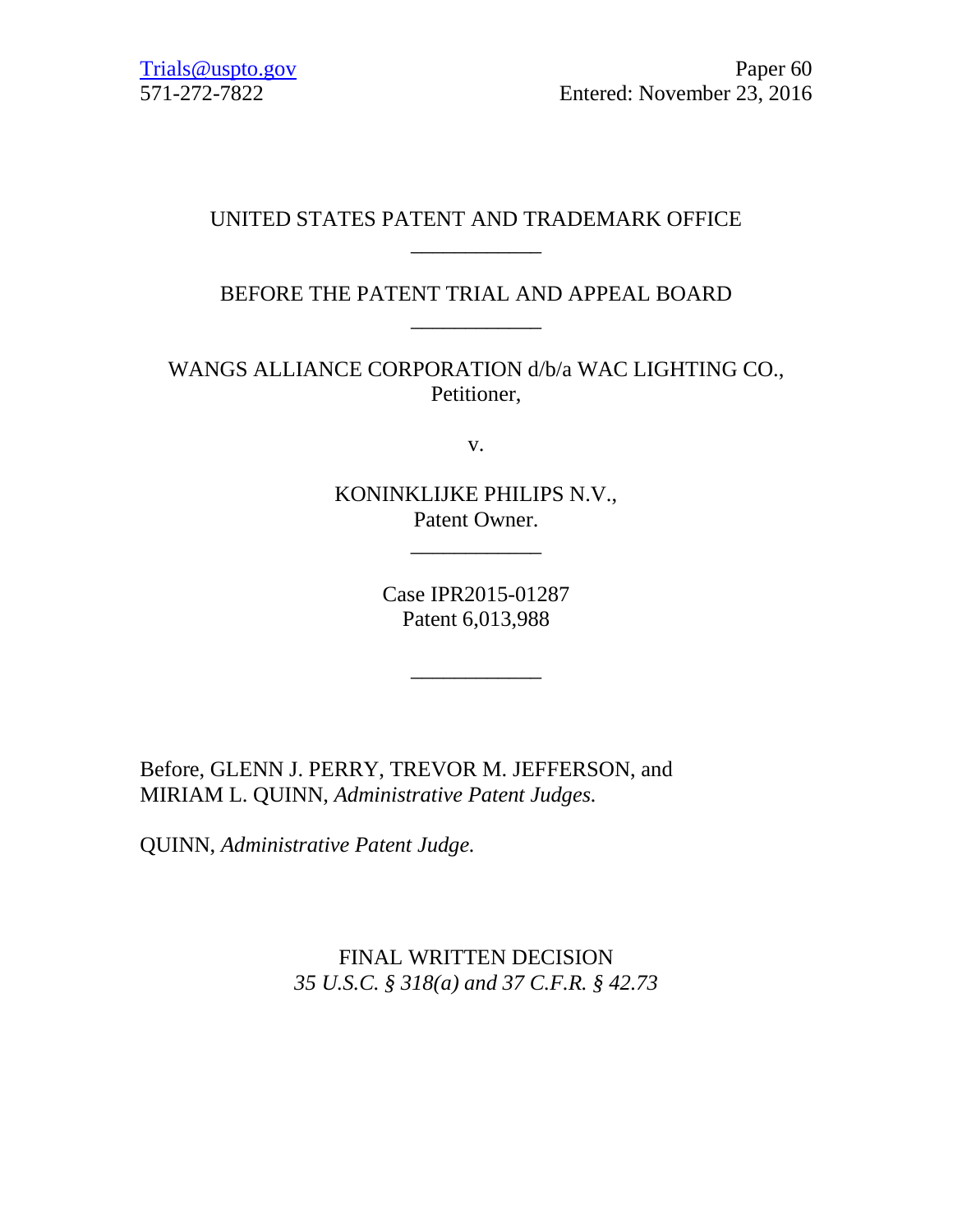# UNITED STATES PATENT AND TRADEMARK OFFICE \_\_\_\_\_\_\_\_\_\_\_\_

# BEFORE THE PATENT TRIAL AND APPEAL BOARD \_\_\_\_\_\_\_\_\_\_\_\_

WANGS ALLIANCE CORPORATION d/b/a WAC LIGHTING CO., Petitioner,

v.

KONINKLIJKE PHILIPS N.V., Patent Owner.

\_\_\_\_\_\_\_\_\_\_\_\_

Case IPR2015-01287 Patent 6,013,988

\_\_\_\_\_\_\_\_\_\_\_\_

Before, GLENN J. PERRY, TREVOR M. JEFFERSON, and MIRIAM L. QUINN, *Administrative Patent Judges.*

QUINN, *Administrative Patent Judge.*

FINAL WRITTEN DECISION *35 U.S.C. § 318(a) and 37 C.F.R. § 42.73*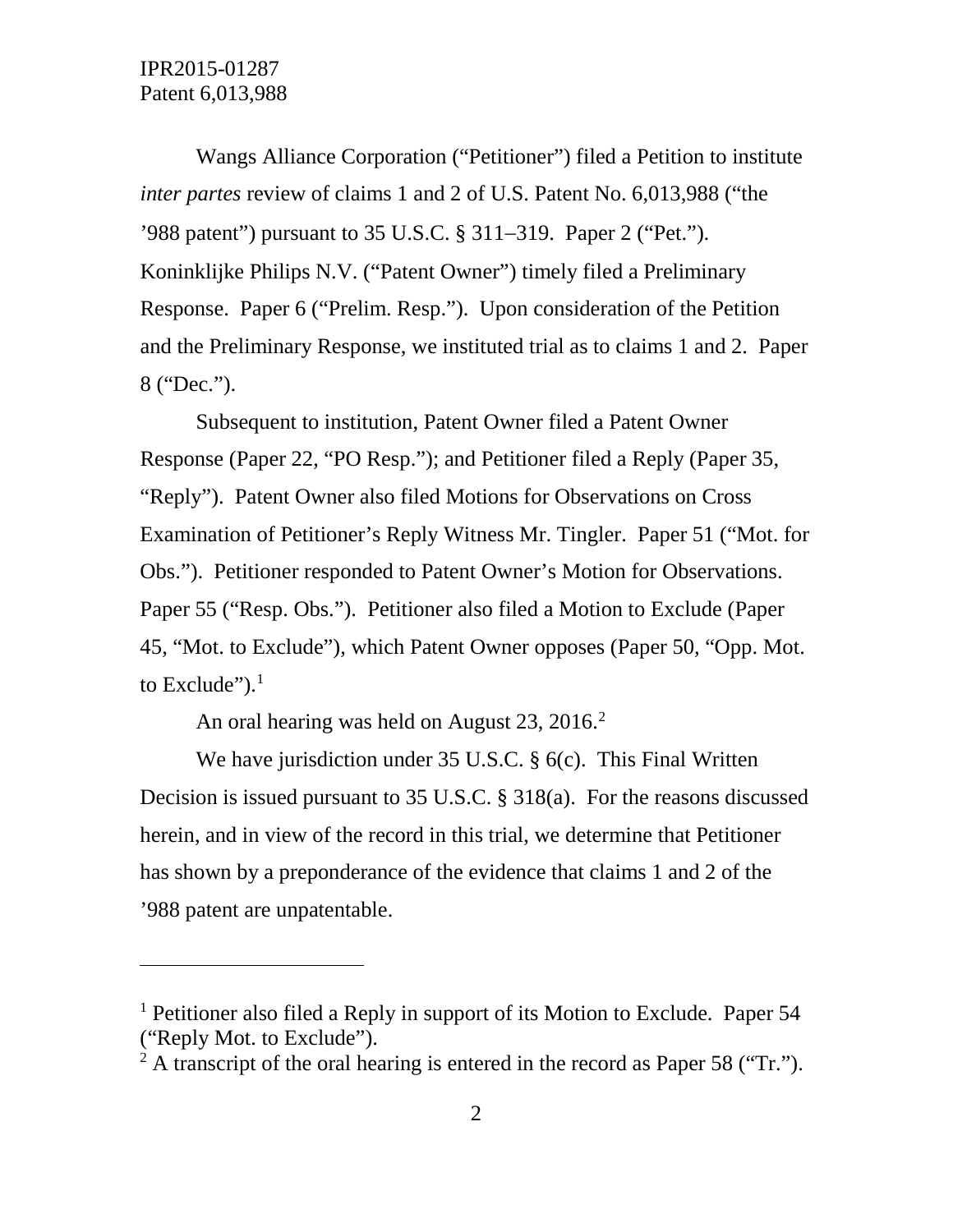$\overline{a}$ 

Wangs Alliance Corporation ("Petitioner") filed a Petition to institute *inter partes* review of claims 1 and 2 of U.S. Patent No. 6,013,988 ("the '988 patent") pursuant to 35 U.S.C. § 311−319. Paper 2 ("Pet."). Koninklijke Philips N.V. ("Patent Owner") timely filed a Preliminary Response. Paper 6 ("Prelim. Resp."). Upon consideration of the Petition and the Preliminary Response, we instituted trial as to claims 1 and 2. Paper 8 ("Dec.").

Subsequent to institution, Patent Owner filed a Patent Owner Response (Paper 22, "PO Resp."); and Petitioner filed a Reply (Paper 35, "Reply"). Patent Owner also filed Motions for Observations on Cross Examination of Petitioner's Reply Witness Mr. Tingler. Paper 51 ("Mot. for Obs."). Petitioner responded to Patent Owner's Motion for Observations. Paper 55 ("Resp. Obs."). Petitioner also filed a Motion to Exclude (Paper 45, "Mot. to Exclude"), which Patent Owner opposes (Paper 50, "Opp. Mot. to Exclude"). $<sup>1</sup>$  $<sup>1</sup>$  $<sup>1</sup>$ </sup>

An oral hearing was held on August 23, 2016. [2](#page-1-1)

We have jurisdiction under 35 U.S.C. § 6(c). This Final Written Decision is issued pursuant to 35 U.S.C. § 318(a). For the reasons discussed herein, and in view of the record in this trial, we determine that Petitioner has shown by a preponderance of the evidence that claims 1 and 2 of the '988 patent are unpatentable.

<span id="page-1-0"></span><sup>1</sup> Petitioner also filed a Reply in support of its Motion to Exclude. Paper 54 ("Reply Mot. to Exclude").

<span id="page-1-1"></span><sup>&</sup>lt;sup>2</sup> A transcript of the oral hearing is entered in the record as Paper 58 ("Tr.").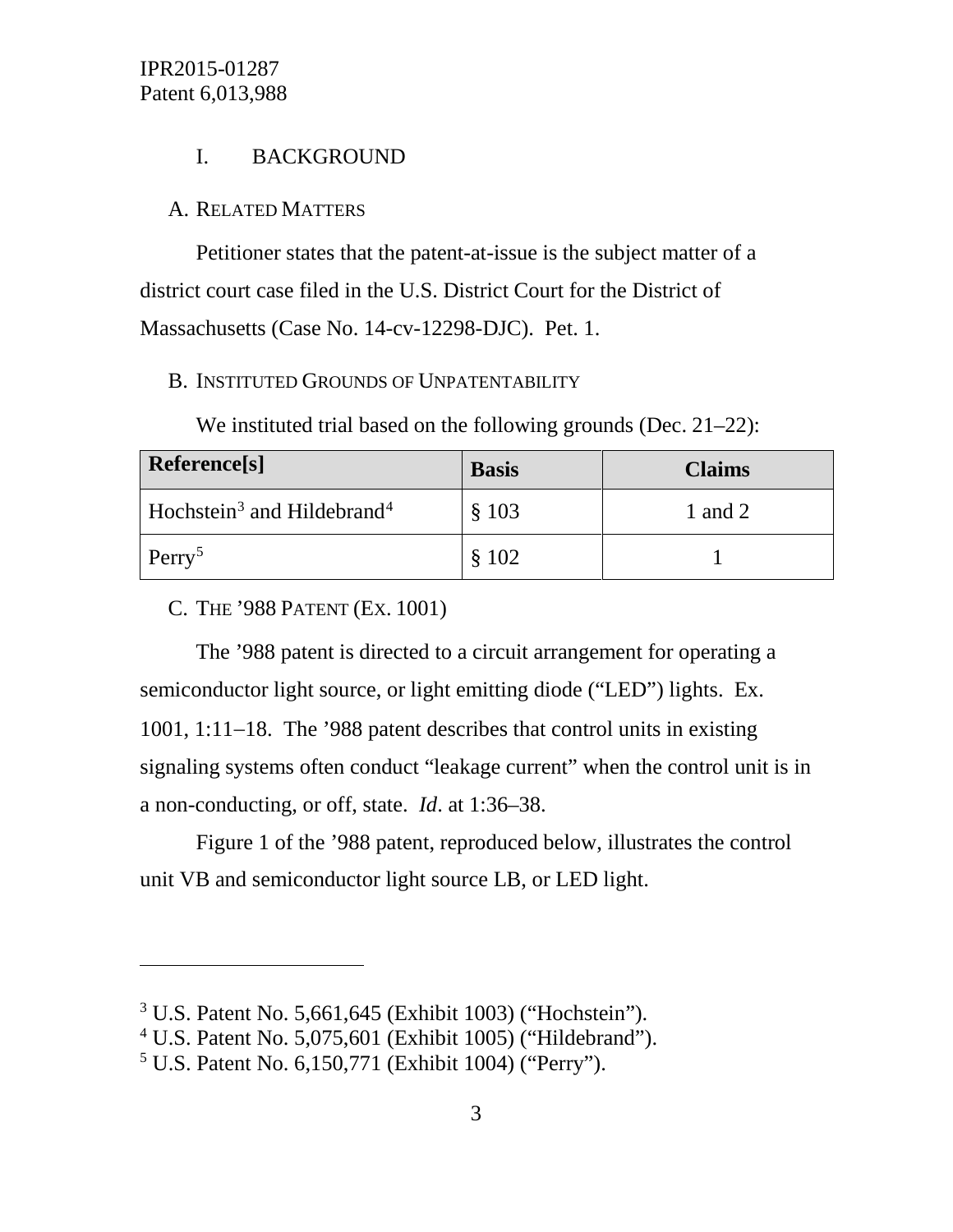# I. BACKGROUND

#### A. RELATED MATTERS

Petitioner states that the patent-at-issue is the subject matter of a district court case filed in the U.S. District Court for the District of Massachusetts (Case No. 14-cv-12298-DJC). Pet. 1.

#### B. INSTITUTED GROUNDS OF UNPATENTABILITY

We instituted trial based on the following grounds (Dec. 21–22):

| Reference[s]                                       | <b>Basis</b> | <b>Claims</b> |
|----------------------------------------------------|--------------|---------------|
| Hochstein <sup>3</sup> and Hildebrand <sup>4</sup> | \$103        | 1 and 2       |
| Perry <sup>5</sup>                                 | \$102        |               |

C. THE '988 PATENT (EX. 1001)

 $\overline{a}$ 

The '988 patent is directed to a circuit arrangement for operating a semiconductor light source, or light emitting diode ("LED") lights. Ex. 1001, 1:11−18. The '988 patent describes that control units in existing signaling systems often conduct "leakage current" when the control unit is in a non-conducting, or off, state. *Id*. at 1:36–38.

Figure 1 of the '988 patent, reproduced below, illustrates the control unit VB and semiconductor light source LB, or LED light.

<span id="page-2-0"></span><sup>3</sup> U.S. Patent No. 5,661,645 (Exhibit 1003) ("Hochstein").

<span id="page-2-1"></span><sup>4</sup> U.S. Patent No. 5,075,601 (Exhibit 1005) ("Hildebrand").

<span id="page-2-2"></span><sup>5</sup> U.S. Patent No. 6,150,771 (Exhibit 1004) ("Perry").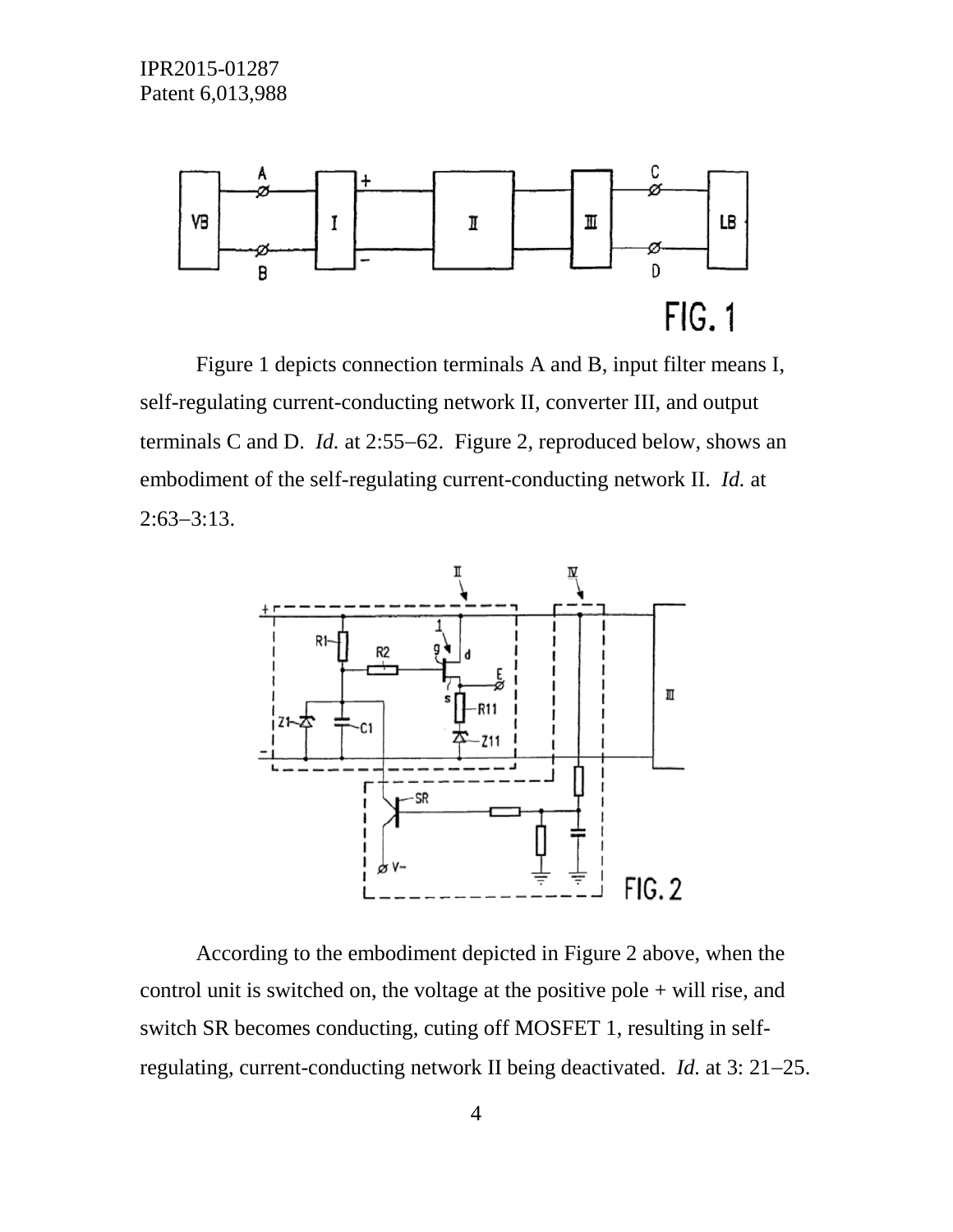

Figure 1 depicts connection terminals A and B, input filter means I, self-regulating current-conducting network II, converter III, and output terminals C and D. *Id.* at 2:55−62. Figure 2, reproduced below, shows an embodiment of the self-regulating current-conducting network II. *Id.* at 2:63−3:13.



According to the embodiment depicted in Figure 2 above, when the control unit is switched on, the voltage at the positive pole + will rise, and switch SR becomes conducting, cuting off MOSFET 1, resulting in selfregulating, current-conducting network II being deactivated. *Id.* at 3: 21−25.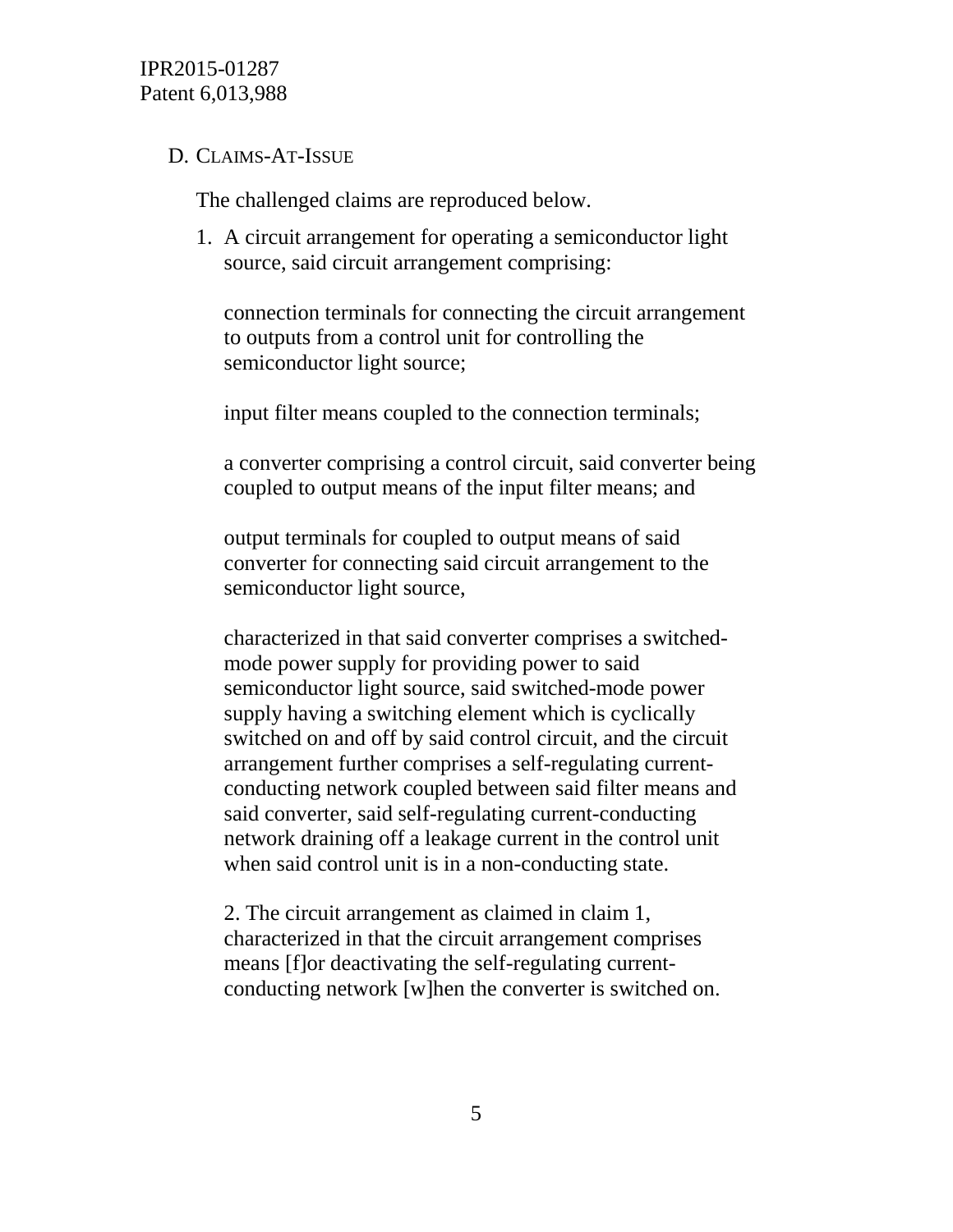## D. CLAIMS-AT-ISSUE

The challenged claims are reproduced below.

1. A circuit arrangement for operating a semiconductor light source, said circuit arrangement comprising:

connection terminals for connecting the circuit arrangement to outputs from a control unit for controlling the semiconductor light source;

input filter means coupled to the connection terminals;

a converter comprising a control circuit, said converter being coupled to output means of the input filter means; and

output terminals for coupled to output means of said converter for connecting said circuit arrangement to the semiconductor light source,

characterized in that said converter comprises a switchedmode power supply for providing power to said semiconductor light source, said switched-mode power supply having a switching element which is cyclically switched on and off by said control circuit, and the circuit arrangement further comprises a self-regulating currentconducting network coupled between said filter means and said converter, said self-regulating current-conducting network draining off a leakage current in the control unit when said control unit is in a non-conducting state.

2. The circuit arrangement as claimed in claim 1, characterized in that the circuit arrangement comprises means [f]or deactivating the self-regulating currentconducting network [w]hen the converter is switched on.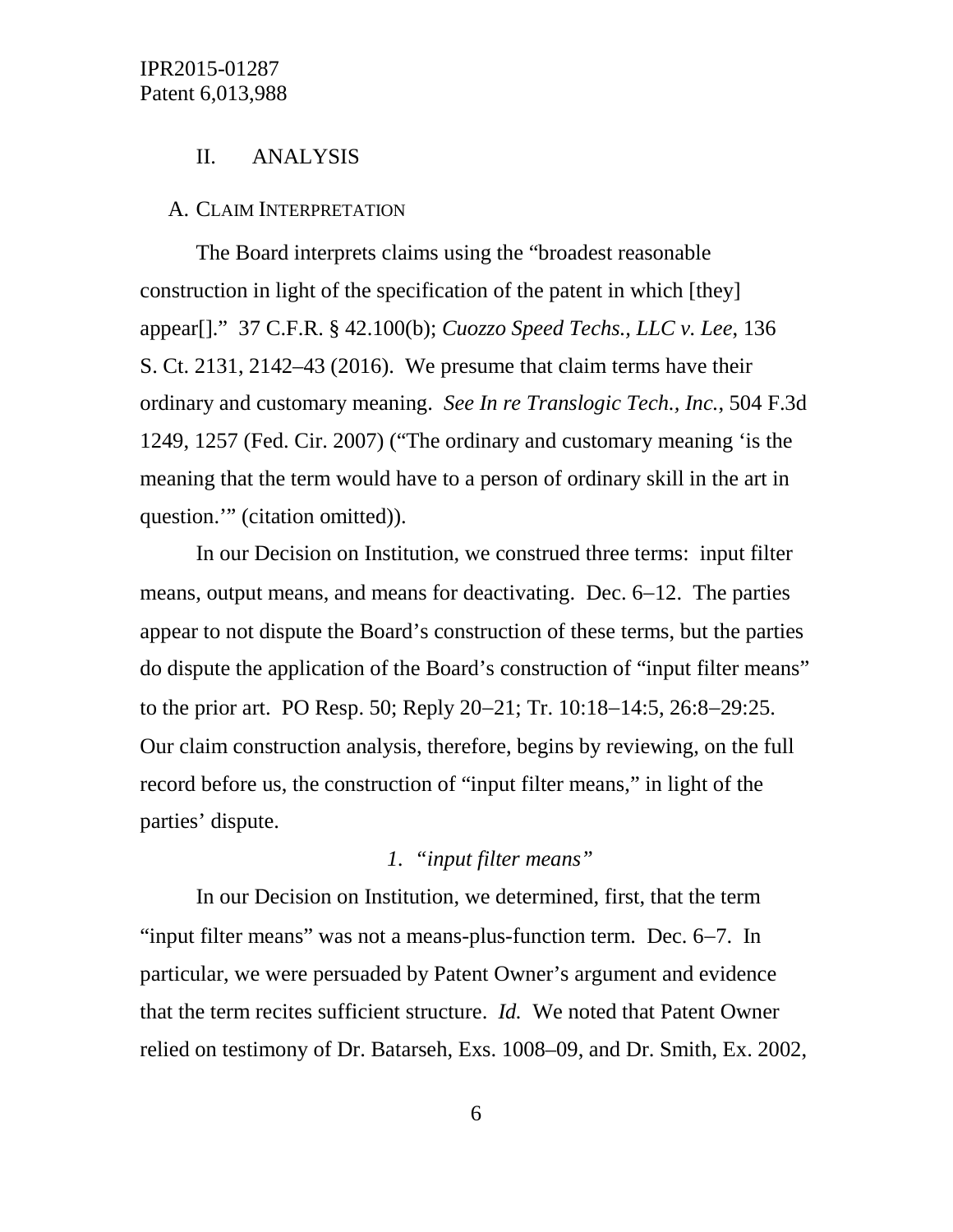#### II. ANALYSIS

#### A. CLAIM INTERPRETATION

The Board interprets claims using the "broadest reasonable construction in light of the specification of the patent in which [they] appear[]." 37 C.F.R. § 42.100(b); *Cuozzo Speed Techs., LLC v. Lee*, 136 S. Ct. 2131, 2142–43 (2016). We presume that claim terms have their ordinary and customary meaning. *See In re Translogic Tech., Inc.*, 504 F.3d 1249, 1257 (Fed. Cir. 2007) ("The ordinary and customary meaning 'is the meaning that the term would have to a person of ordinary skill in the art in question." (citation omitted)).

In our Decision on Institution, we construed three terms: input filter means, output means, and means for deactivating. Dec. 6−12. The parties appear to not dispute the Board's construction of these terms, but the parties do dispute the application of the Board's construction of "input filter means" to the prior art. PO Resp. 50; Reply 20−21; Tr. 10:18−14:5, 26:8−29:25. Our claim construction analysis, therefore, begins by reviewing, on the full record before us, the construction of "input filter means," in light of the parties' dispute.

# *1. "input filter means"*

In our Decision on Institution, we determined, first, that the term "input filter means" was not a means-plus-function term. Dec. 6−7. In particular, we were persuaded by Patent Owner's argument and evidence that the term recites sufficient structure. *Id.* We noted that Patent Owner relied on testimony of Dr. Batarseh, Exs. 1008–09, and Dr. Smith, Ex. 2002,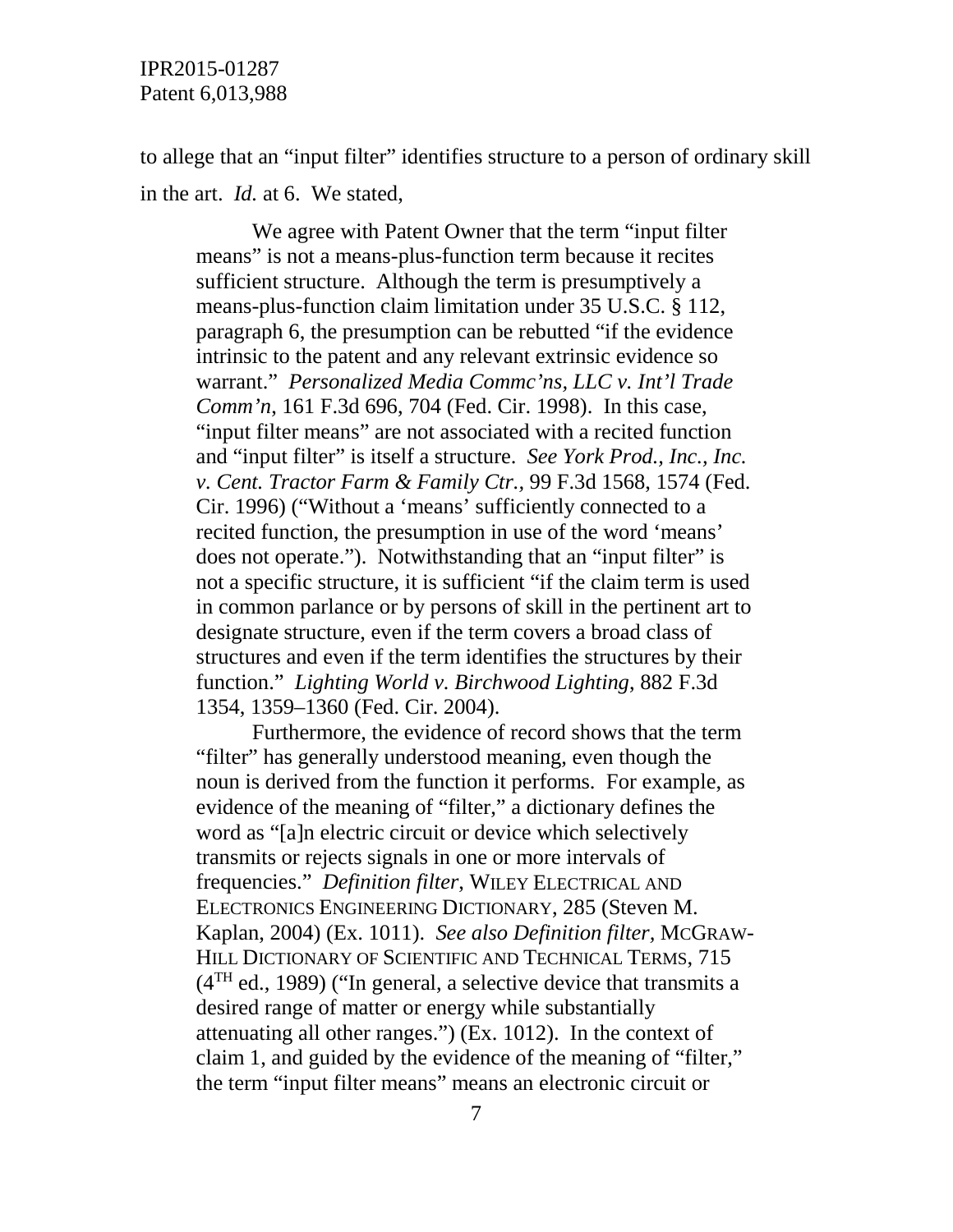to allege that an "input filter" identifies structure to a person of ordinary skill in the art. *Id.* at 6. We stated,

We agree with Patent Owner that the term "input filter means" is not a means-plus-function term because it recites sufficient structure. Although the term is presumptively a means-plus-function claim limitation under 35 U.S.C. § 112, paragraph 6, the presumption can be rebutted "if the evidence intrinsic to the patent and any relevant extrinsic evidence so warrant." *Personalized Media Commc'ns, LLC v. Int'l Trade Comm'n*, 161 F.3d 696, 704 (Fed. Cir. 1998). In this case, "input filter means" are not associated with a recited function and "input filter" is itself a structure. *See York Prod., Inc., Inc. v. Cent. Tractor Farm & Family Ctr.,* 99 F.3d 1568, 1574 (Fed. Cir. 1996) ("Without a 'means' sufficiently connected to a recited function, the presumption in use of the word 'means' does not operate."). Notwithstanding that an "input filter" is not a specific structure, it is sufficient "if the claim term is used in common parlance or by persons of skill in the pertinent art to designate structure, even if the term covers a broad class of structures and even if the term identifies the structures by their function." *Lighting World v. Birchwood Lighting*, 882 F.3d 1354, 1359–1360 (Fed. Cir. 2004).

Furthermore, the evidence of record shows that the term "filter" has generally understood meaning, even though the noun is derived from the function it performs. For example, as evidence of the meaning of "filter," a dictionary defines the word as "[a]n electric circuit or device which selectively transmits or rejects signals in one or more intervals of frequencies." *Definition filter*, WILEY ELECTRICAL AND ELECTRONICS ENGINEERING DICTIONARY, 285 (Steven M. Kaplan, 2004) (Ex. 1011). *See also Definition filter,* MCGRAW-HILL DICTIONARY OF SCIENTIFIC AND TECHNICAL TERMS, 715  $(4<sup>TH</sup>$  ed., 1989) ("In general, a selective device that transmits a desired range of matter or energy while substantially attenuating all other ranges.") (Ex. 1012). In the context of claim 1, and guided by the evidence of the meaning of "filter," the term "input filter means" means an electronic circuit or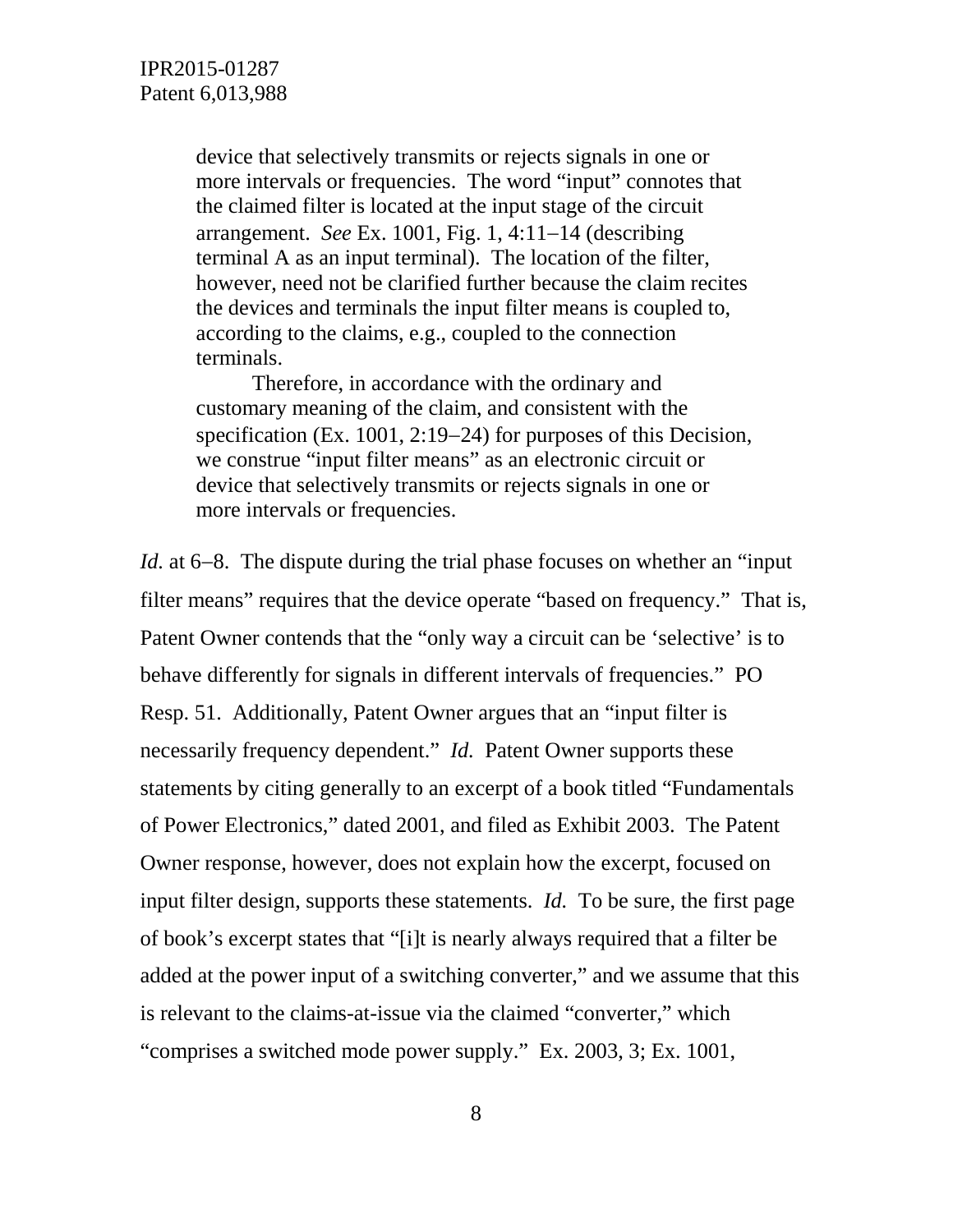device that selectively transmits or rejects signals in one or more intervals or frequencies. The word "input" connotes that the claimed filter is located at the input stage of the circuit arrangement. *See* Ex. 1001, Fig. 1, 4:11−14 (describing terminal A as an input terminal). The location of the filter, however, need not be clarified further because the claim recites the devices and terminals the input filter means is coupled to, according to the claims, e.g., coupled to the connection terminals.

Therefore, in accordance with the ordinary and customary meaning of the claim, and consistent with the specification (Ex. 1001, 2:19–24) for purposes of this Decision, we construe "input filter means" as an electronic circuit or device that selectively transmits or rejects signals in one or more intervals or frequencies.

*Id.* at 6−8. The dispute during the trial phase focuses on whether an "input filter means" requires that the device operate "based on frequency." That is, Patent Owner contends that the "only way a circuit can be 'selective' is to behave differently for signals in different intervals of frequencies." PO Resp. 51. Additionally, Patent Owner argues that an "input filter is necessarily frequency dependent." *Id.* Patent Owner supports these statements by citing generally to an excerpt of a book titled "Fundamentals of Power Electronics," dated 2001, and filed as Exhibit 2003. The Patent Owner response, however, does not explain how the excerpt, focused on input filter design, supports these statements. *Id.* To be sure, the first page of book's excerpt states that "[i]t is nearly always required that a filter be added at the power input of a switching converter," and we assume that this is relevant to the claims-at-issue via the claimed "converter," which "comprises a switched mode power supply." Ex. 2003, 3; Ex. 1001,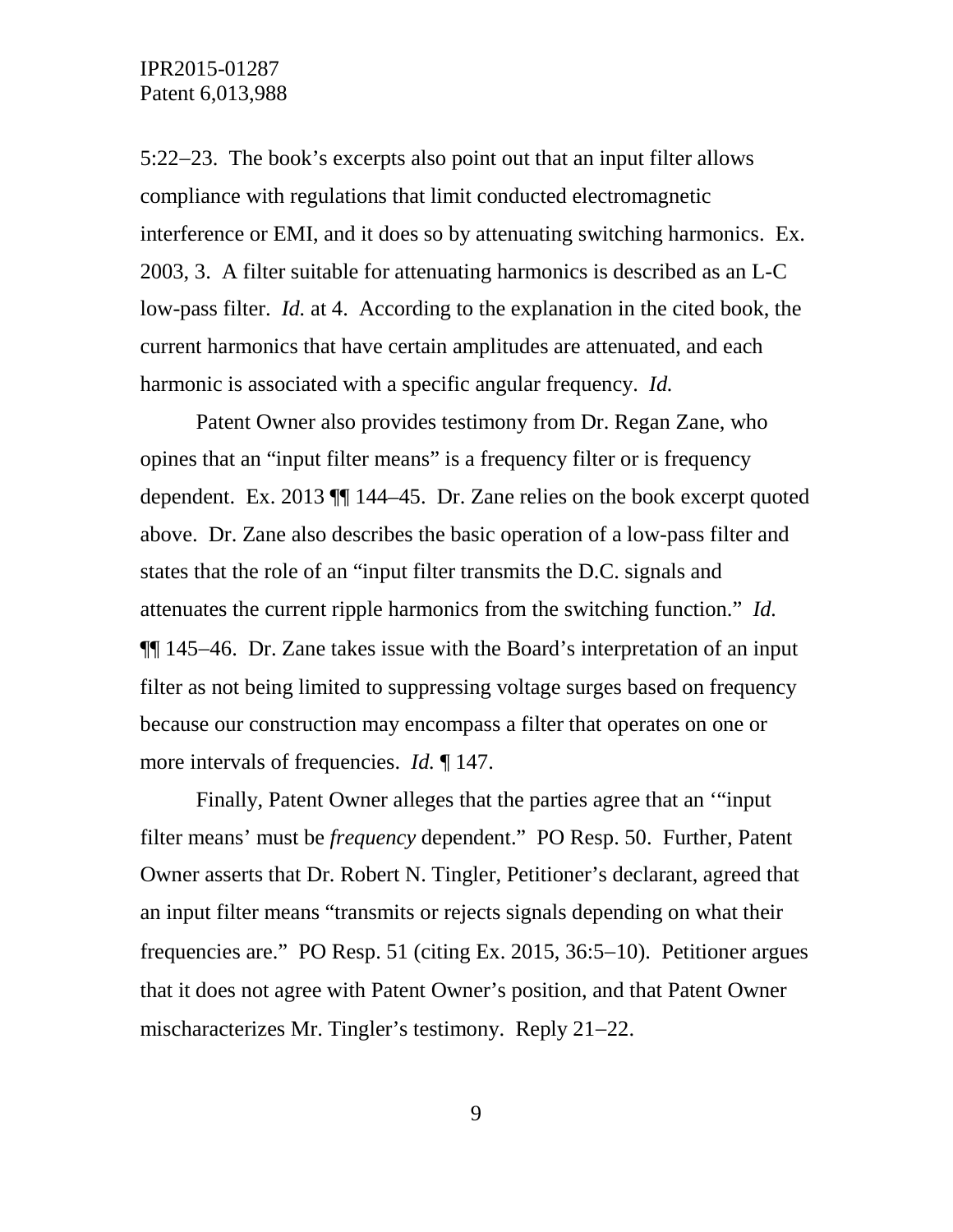5:22−23. The book's excerpts also point out that an input filter allows compliance with regulations that limit conducted electromagnetic interference or EMI, and it does so by attenuating switching harmonics. Ex. 2003, 3. A filter suitable for attenuating harmonics is described as an L-C low-pass filter. *Id.* at 4. According to the explanation in the cited book, the current harmonics that have certain amplitudes are attenuated, and each harmonic is associated with a specific angular frequency. *Id.*

Patent Owner also provides testimony from Dr. Regan Zane, who opines that an "input filter means" is a frequency filter or is frequency dependent. Ex. 2013 ¶¶ 144–45. Dr. Zane relies on the book excerpt quoted above. Dr. Zane also describes the basic operation of a low-pass filter and states that the role of an "input filter transmits the D.C. signals and attenuates the current ripple harmonics from the switching function." *Id.* ¶¶ 145−46. Dr. Zane takes issue with the Board's interpretation of an input filter as not being limited to suppressing voltage surges based on frequency because our construction may encompass a filter that operates on one or more intervals of frequencies. *Id.* ¶ 147.

Finally, Patent Owner alleges that the parties agree that an '"input filter means' must be *frequency* dependent." PO Resp. 50. Further, Patent Owner asserts that Dr. Robert N. Tingler, Petitioner's declarant, agreed that an input filter means "transmits or rejects signals depending on what their frequencies are." PO Resp. 51 (citing Ex. 2015, 36:5−10). Petitioner argues that it does not agree with Patent Owner's position, and that Patent Owner mischaracterizes Mr. Tingler's testimony. Reply 21−22.

9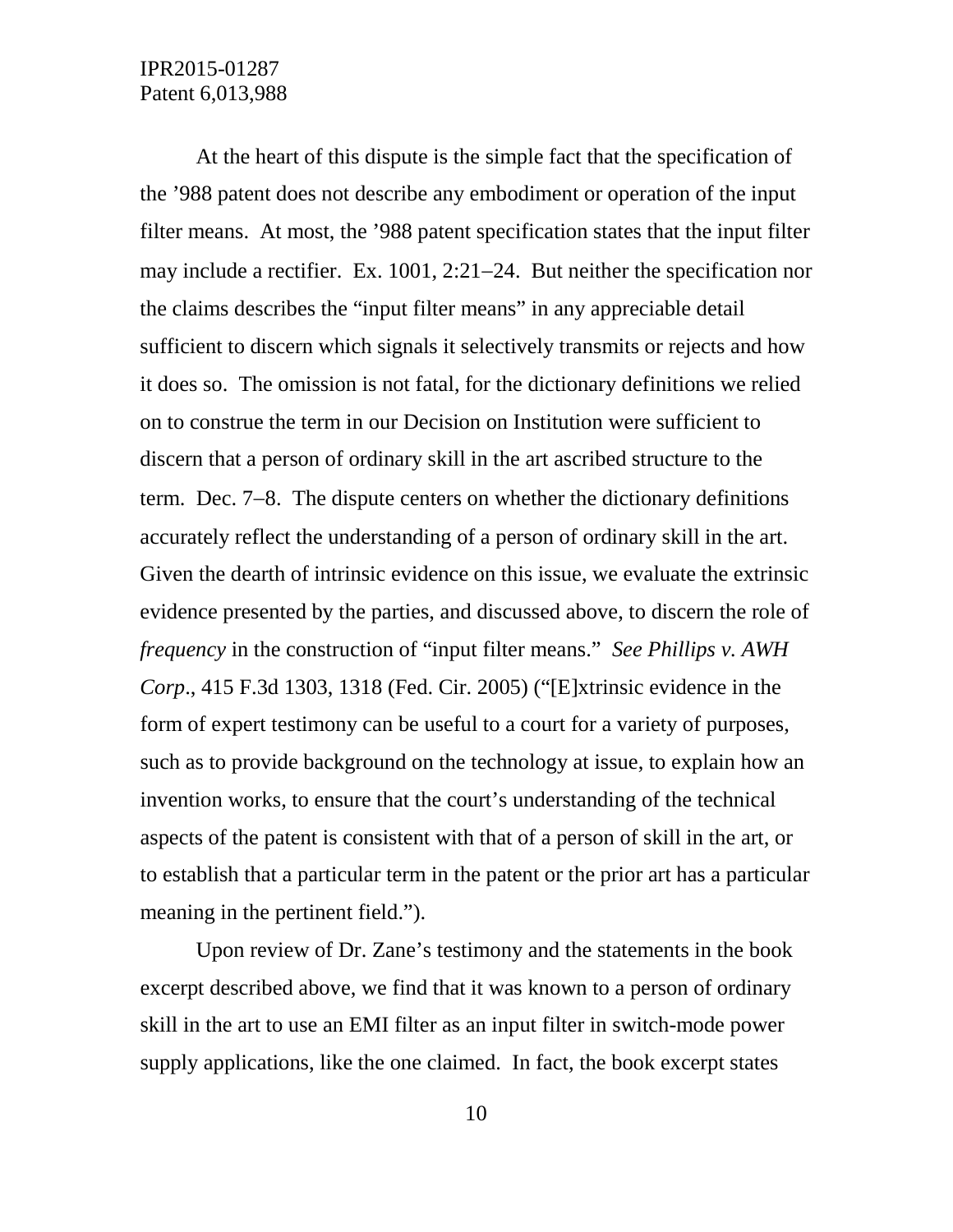At the heart of this dispute is the simple fact that the specification of the '988 patent does not describe any embodiment or operation of the input filter means. At most, the '988 patent specification states that the input filter may include a rectifier. Ex. 1001, 2:21−24. But neither the specification nor the claims describes the "input filter means" in any appreciable detail sufficient to discern which signals it selectively transmits or rejects and how it does so. The omission is not fatal, for the dictionary definitions we relied on to construe the term in our Decision on Institution were sufficient to discern that a person of ordinary skill in the art ascribed structure to the term. Dec. 7−8. The dispute centers on whether the dictionary definitions accurately reflect the understanding of a person of ordinary skill in the art. Given the dearth of intrinsic evidence on this issue, we evaluate the extrinsic evidence presented by the parties, and discussed above, to discern the role of *frequency* in the construction of "input filter means." *See Phillips v. AWH Corp*., 415 F.3d 1303, 1318 (Fed. Cir. 2005) ("[E]xtrinsic evidence in the form of expert testimony can be useful to a court for a variety of purposes, such as to provide background on the technology at issue, to explain how an invention works, to ensure that the court's understanding of the technical aspects of the patent is consistent with that of a person of skill in the art, or to establish that a particular term in the patent or the prior art has a particular meaning in the pertinent field.").

Upon review of Dr. Zane's testimony and the statements in the book excerpt described above, we find that it was known to a person of ordinary skill in the art to use an EMI filter as an input filter in switch-mode power supply applications, like the one claimed. In fact, the book excerpt states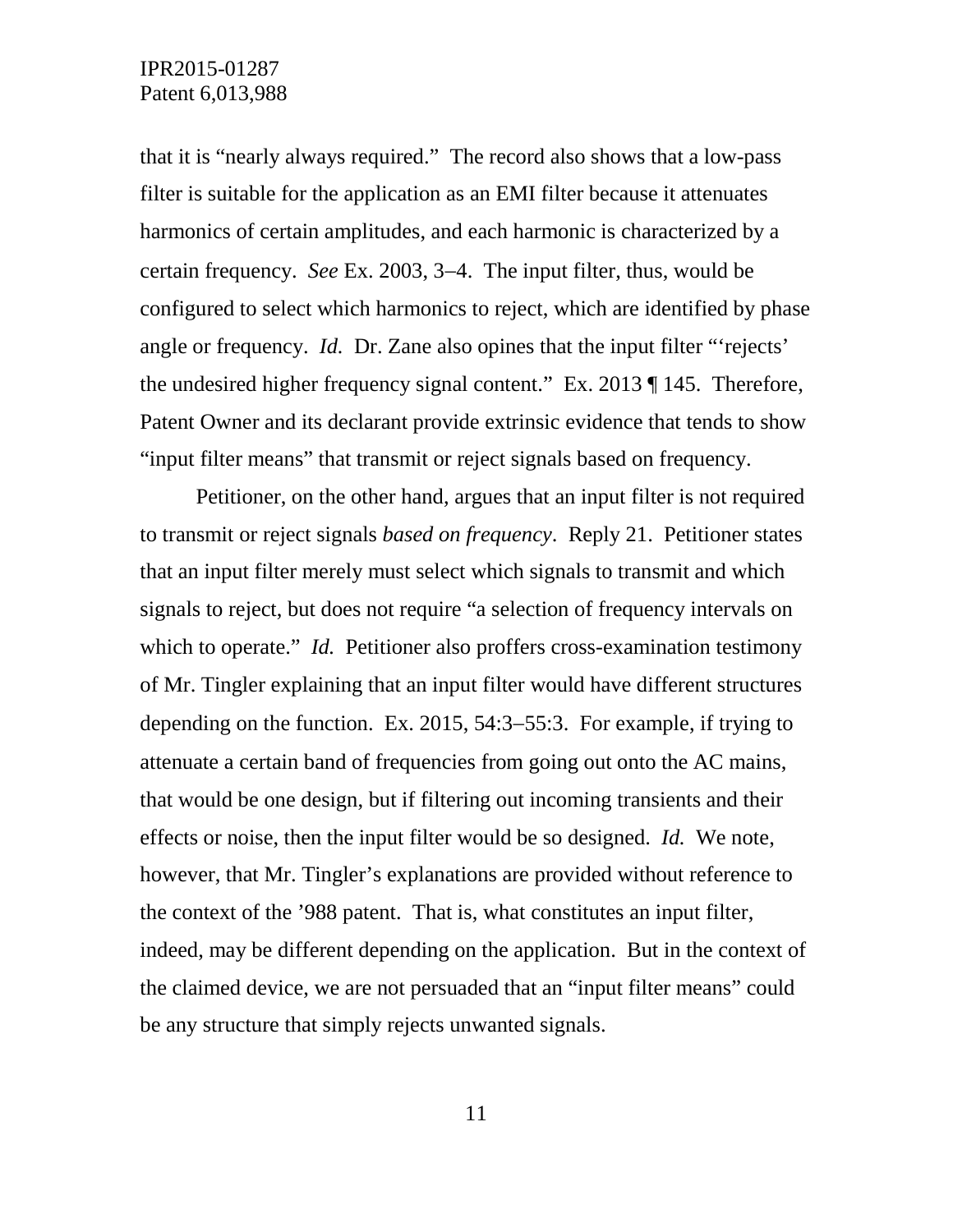that it is "nearly always required." The record also shows that a low-pass filter is suitable for the application as an EMI filter because it attenuates harmonics of certain amplitudes, and each harmonic is characterized by a certain frequency. *See* Ex. 2003, 3−4. The input filter, thus, would be configured to select which harmonics to reject, which are identified by phase angle or frequency. *Id.* Dr. Zane also opines that the input filter "'rejects' the undesired higher frequency signal content." Ex. 2013 ¶ 145. Therefore, Patent Owner and its declarant provide extrinsic evidence that tends to show "input filter means" that transmit or reject signals based on frequency.

Petitioner, on the other hand, argues that an input filter is not required to transmit or reject signals *based on frequency*. Reply 21. Petitioner states that an input filter merely must select which signals to transmit and which signals to reject, but does not require "a selection of frequency intervals on which to operate." *Id.* Petitioner also proffers cross-examination testimony of Mr. Tingler explaining that an input filter would have different structures depending on the function. Ex. 2015, 54:3−55:3. For example, if trying to attenuate a certain band of frequencies from going out onto the AC mains, that would be one design, but if filtering out incoming transients and their effects or noise, then the input filter would be so designed. *Id.* We note, however, that Mr. Tingler's explanations are provided without reference to the context of the '988 patent. That is, what constitutes an input filter, indeed, may be different depending on the application. But in the context of the claimed device, we are not persuaded that an "input filter means" could be any structure that simply rejects unwanted signals.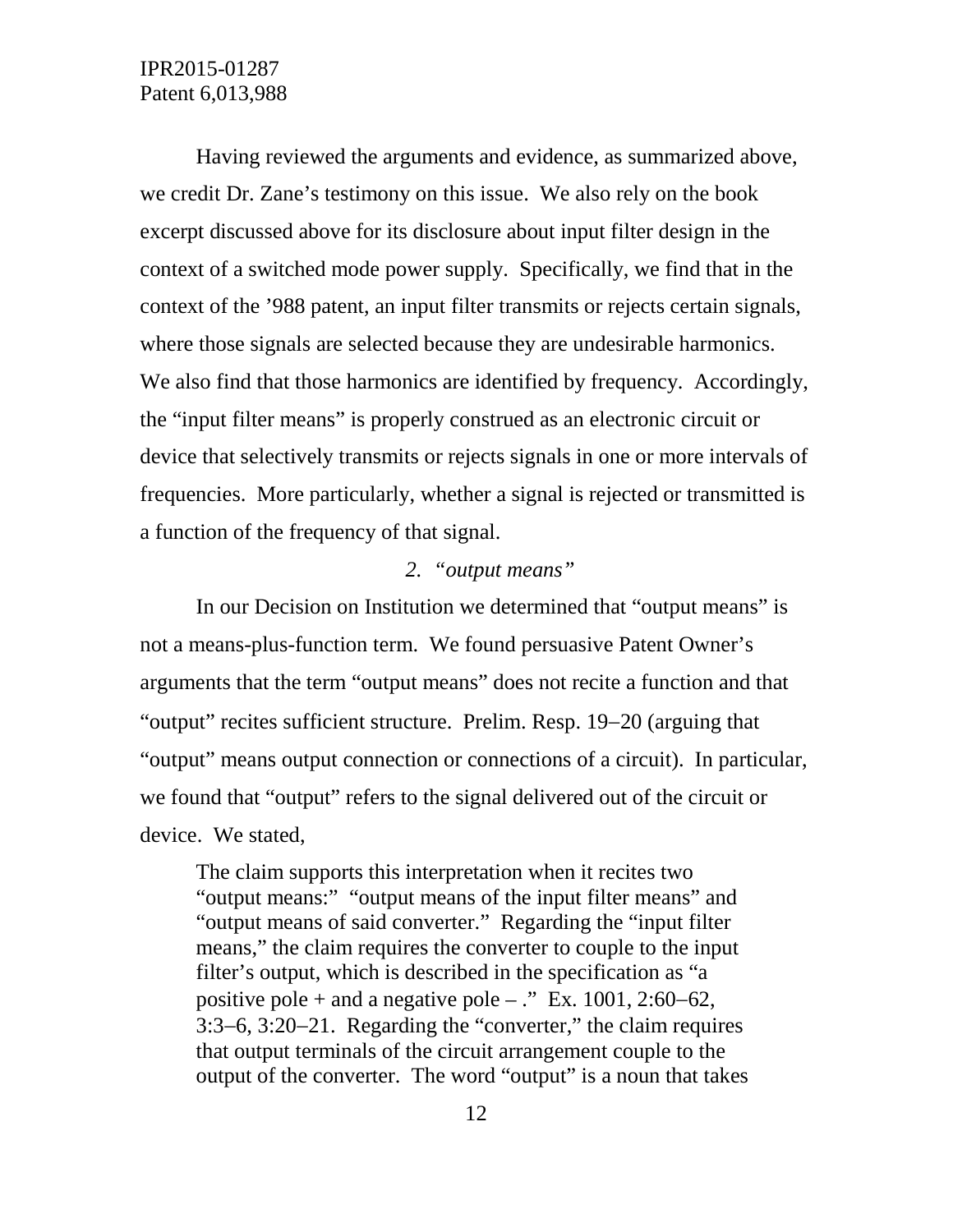Having reviewed the arguments and evidence, as summarized above, we credit Dr. Zane's testimony on this issue. We also rely on the book excerpt discussed above for its disclosure about input filter design in the context of a switched mode power supply. Specifically, we find that in the context of the '988 patent, an input filter transmits or rejects certain signals, where those signals are selected because they are undesirable harmonics. We also find that those harmonics are identified by frequency. Accordingly, the "input filter means" is properly construed as an electronic circuit or device that selectively transmits or rejects signals in one or more intervals of frequencies. More particularly, whether a signal is rejected or transmitted is a function of the frequency of that signal.

#### *2. "output means"*

In our Decision on Institution we determined that "output means" is not a means-plus-function term. We found persuasive Patent Owner's arguments that the term "output means" does not recite a function and that "output" recites sufficient structure. Prelim. Resp. 19−20 (arguing that "output" means output connection or connections of a circuit). In particular, we found that "output" refers to the signal delivered out of the circuit or device. We stated,

The claim supports this interpretation when it recites two "output means:" "output means of the input filter means" and "output means of said converter." Regarding the "input filter means," the claim requires the converter to couple to the input filter's output, which is described in the specification as "a positive pole + and a negative pole – ." Ex. 1001, 2:60–62, 3:3−6, 3:20−21. Regarding the "converter," the claim requires that output terminals of the circuit arrangement couple to the output of the converter. The word "output" is a noun that takes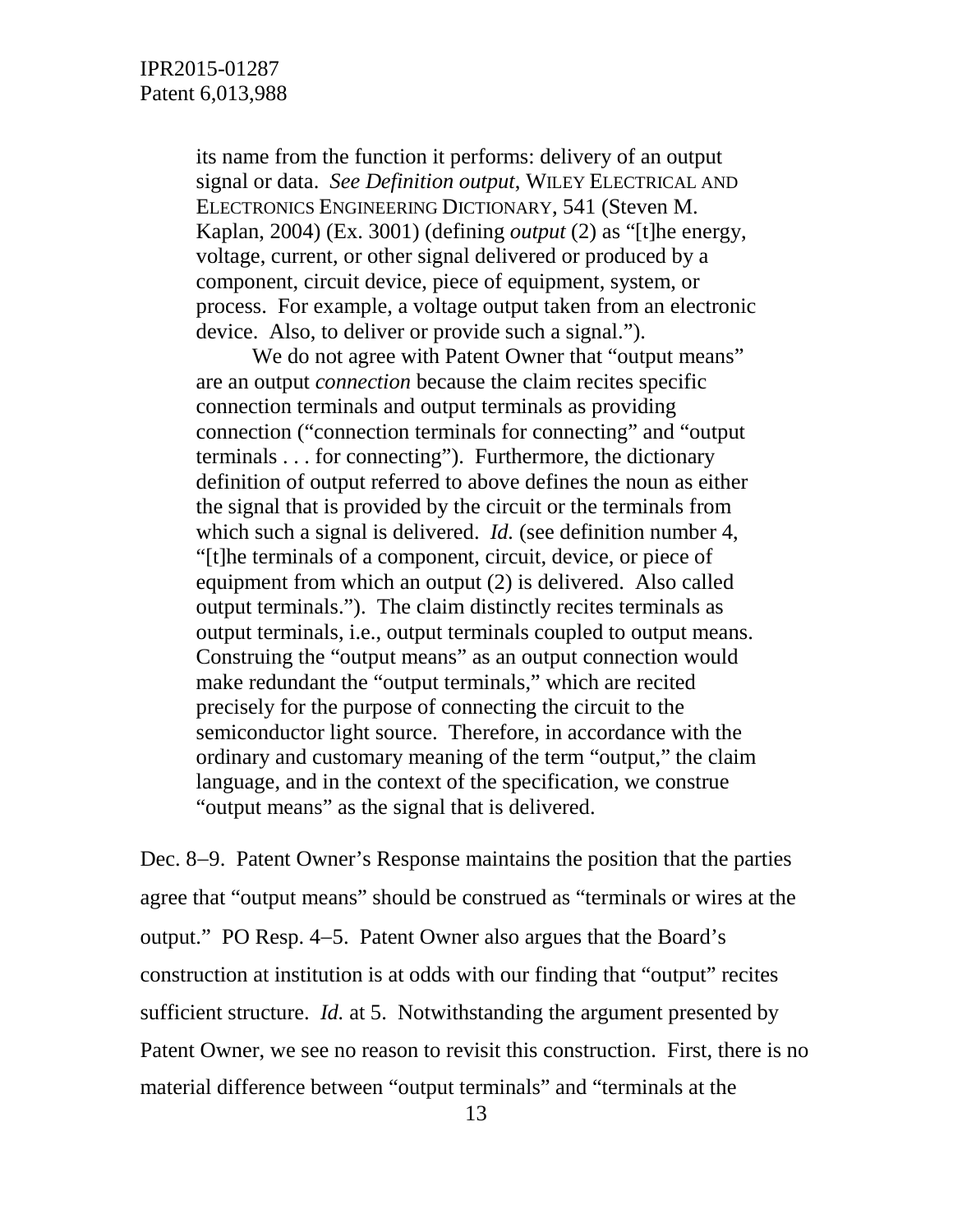its name from the function it performs: delivery of an output signal or data. *See Definition output*, WILEY ELECTRICAL AND ELECTRONICS ENGINEERING DICTIONARY, 541 (Steven M. Kaplan, 2004) (Ex. 3001) (defining *output* (2) as "[t]he energy, voltage, current, or other signal delivered or produced by a component, circuit device, piece of equipment, system, or process. For example, a voltage output taken from an electronic device. Also, to deliver or provide such a signal.").

We do not agree with Patent Owner that "output means" are an output *connection* because the claim recites specific connection terminals and output terminals as providing connection ("connection terminals for connecting" and "output terminals . . . for connecting"). Furthermore, the dictionary definition of output referred to above defines the noun as either the signal that is provided by the circuit or the terminals from which such a signal is delivered. *Id.* (see definition number 4, "[t]he terminals of a component, circuit, device, or piece of equipment from which an output (2) is delivered. Also called output terminals."). The claim distinctly recites terminals as output terminals, i.e., output terminals coupled to output means. Construing the "output means" as an output connection would make redundant the "output terminals," which are recited precisely for the purpose of connecting the circuit to the semiconductor light source. Therefore, in accordance with the ordinary and customary meaning of the term "output," the claim language, and in the context of the specification, we construe "output means" as the signal that is delivered.

Dec. 8−9. Patent Owner's Response maintains the position that the parties agree that "output means" should be construed as "terminals or wires at the output." PO Resp. 4−5. Patent Owner also argues that the Board's construction at institution is at odds with our finding that "output" recites sufficient structure. *Id.* at 5. Notwithstanding the argument presented by Patent Owner, we see no reason to revisit this construction. First, there is no material difference between "output terminals" and "terminals at the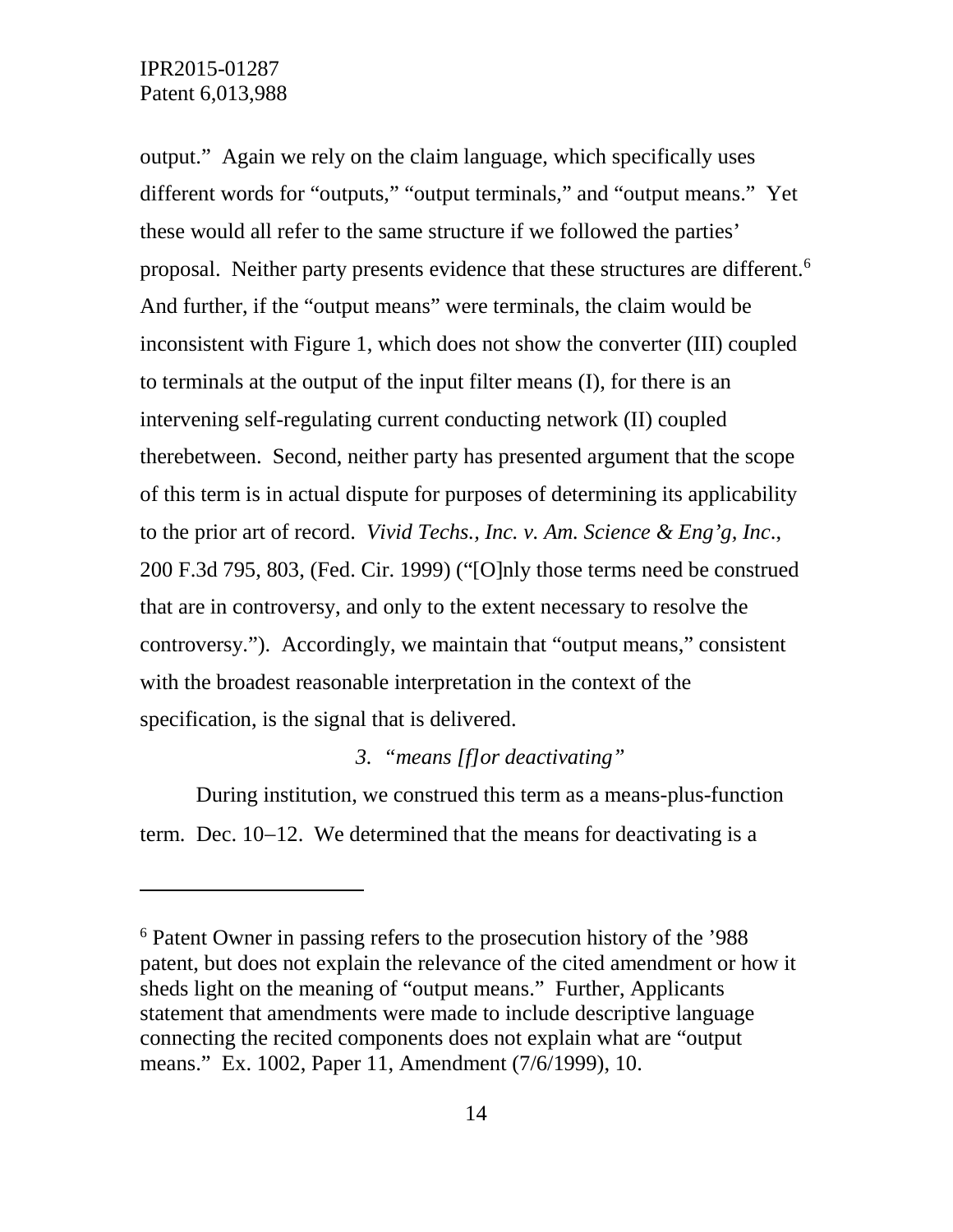$\overline{a}$ 

output." Again we rely on the claim language, which specifically uses different words for "outputs," "output terminals," and "output means." Yet these would all refer to the same structure if we followed the parties' proposal. Neither party presents evidence that these structures are different.<sup>[6](#page-13-0)</sup> And further, if the "output means" were terminals, the claim would be inconsistent with Figure 1, which does not show the converter (III) coupled to terminals at the output of the input filter means (I), for there is an intervening self-regulating current conducting network (II) coupled therebetween. Second, neither party has presented argument that the scope of this term is in actual dispute for purposes of determining its applicability to the prior art of record. *Vivid Techs., Inc. v. Am. Science & Eng'g, Inc*., 200 F.3d 795, 803, (Fed. Cir. 1999) ("[O]nly those terms need be construed that are in controversy, and only to the extent necessary to resolve the controversy."). Accordingly, we maintain that "output means," consistent with the broadest reasonable interpretation in the context of the specification, is the signal that is delivered.

#### *3. "means [f]or deactivating"*

During institution, we construed this term as a means-plus-function term. Dec. 10−12. We determined that the means for deactivating is a

<span id="page-13-0"></span><sup>6</sup> Patent Owner in passing refers to the prosecution history of the '988 patent, but does not explain the relevance of the cited amendment or how it sheds light on the meaning of "output means." Further, Applicants statement that amendments were made to include descriptive language connecting the recited components does not explain what are "output means." Ex. 1002, Paper 11, Amendment (7/6/1999), 10.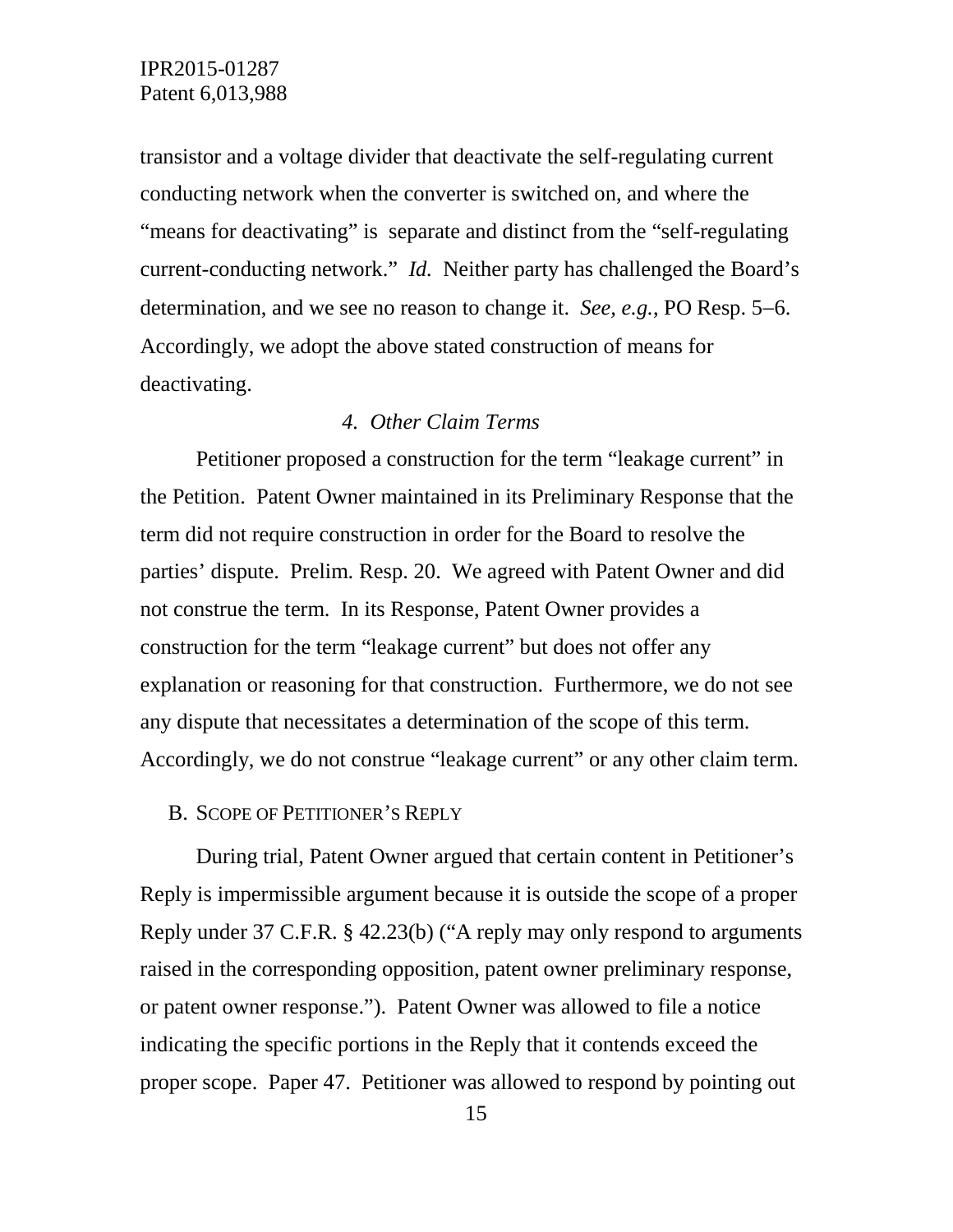transistor and a voltage divider that deactivate the self-regulating current conducting network when the converter is switched on, and where the "means for deactivating" is separate and distinct from the "self-regulating current-conducting network." *Id.* Neither party has challenged the Board's determination, and we see no reason to change it. *See, e.g.*, PO Resp. 5−6. Accordingly, we adopt the above stated construction of means for deactivating.

#### *4. Other Claim Terms*

Petitioner proposed a construction for the term "leakage current" in the Petition. Patent Owner maintained in its Preliminary Response that the term did not require construction in order for the Board to resolve the parties' dispute. Prelim. Resp. 20. We agreed with Patent Owner and did not construe the term. In its Response, Patent Owner provides a construction for the term "leakage current" but does not offer any explanation or reasoning for that construction. Furthermore, we do not see any dispute that necessitates a determination of the scope of this term. Accordingly, we do not construe "leakage current" or any other claim term.

#### B. SCOPE OF PETITIONER'S REPLY

During trial, Patent Owner argued that certain content in Petitioner's Reply is impermissible argument because it is outside the scope of a proper Reply under 37 C.F.R. § 42.23(b) ("A reply may only respond to arguments raised in the corresponding opposition, patent owner preliminary response, or patent owner response."). Patent Owner was allowed to file a notice indicating the specific portions in the Reply that it contends exceed the proper scope. Paper 47. Petitioner was allowed to respond by pointing out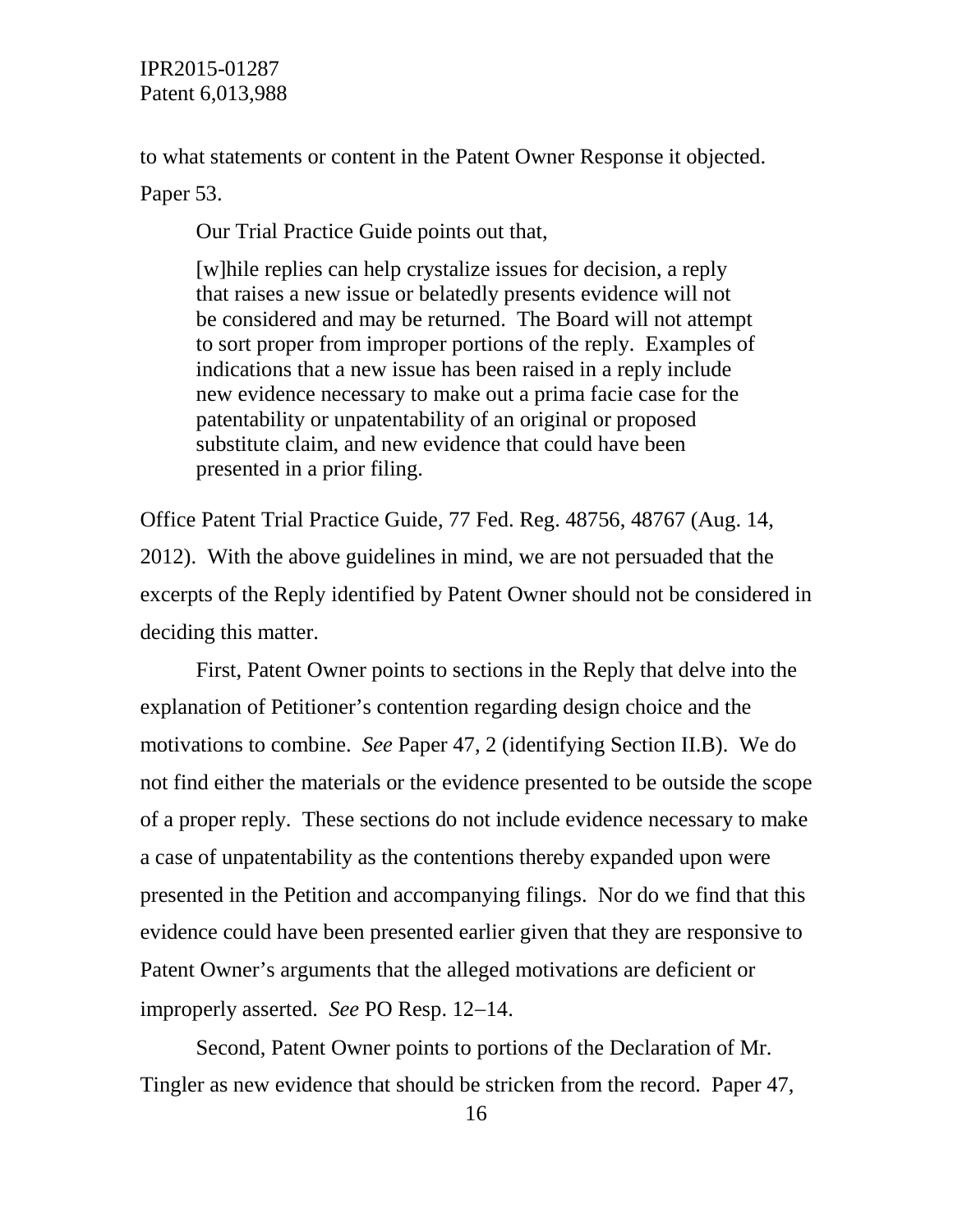to what statements or content in the Patent Owner Response it objected.

Paper 53.

Our Trial Practice Guide points out that,

[w]hile replies can help crystalize issues for decision, a reply that raises a new issue or belatedly presents evidence will not be considered and may be returned. The Board will not attempt to sort proper from improper portions of the reply. Examples of indications that a new issue has been raised in a reply include new evidence necessary to make out a prima facie case for the patentability or unpatentability of an original or proposed substitute claim, and new evidence that could have been presented in a prior filing.

Office Patent Trial Practice Guide, 77 Fed. Reg. 48756, 48767 (Aug. 14, 2012). With the above guidelines in mind, we are not persuaded that the excerpts of the Reply identified by Patent Owner should not be considered in deciding this matter.

First, Patent Owner points to sections in the Reply that delve into the explanation of Petitioner's contention regarding design choice and the motivations to combine. *See* Paper 47, 2 (identifying Section II.B). We do not find either the materials or the evidence presented to be outside the scope of a proper reply. These sections do not include evidence necessary to make a case of unpatentability as the contentions thereby expanded upon were presented in the Petition and accompanying filings. Nor do we find that this evidence could have been presented earlier given that they are responsive to Patent Owner's arguments that the alleged motivations are deficient or improperly asserted. *See* PO Resp. 12−14.

Second, Patent Owner points to portions of the Declaration of Mr. Tingler as new evidence that should be stricken from the record. Paper 47,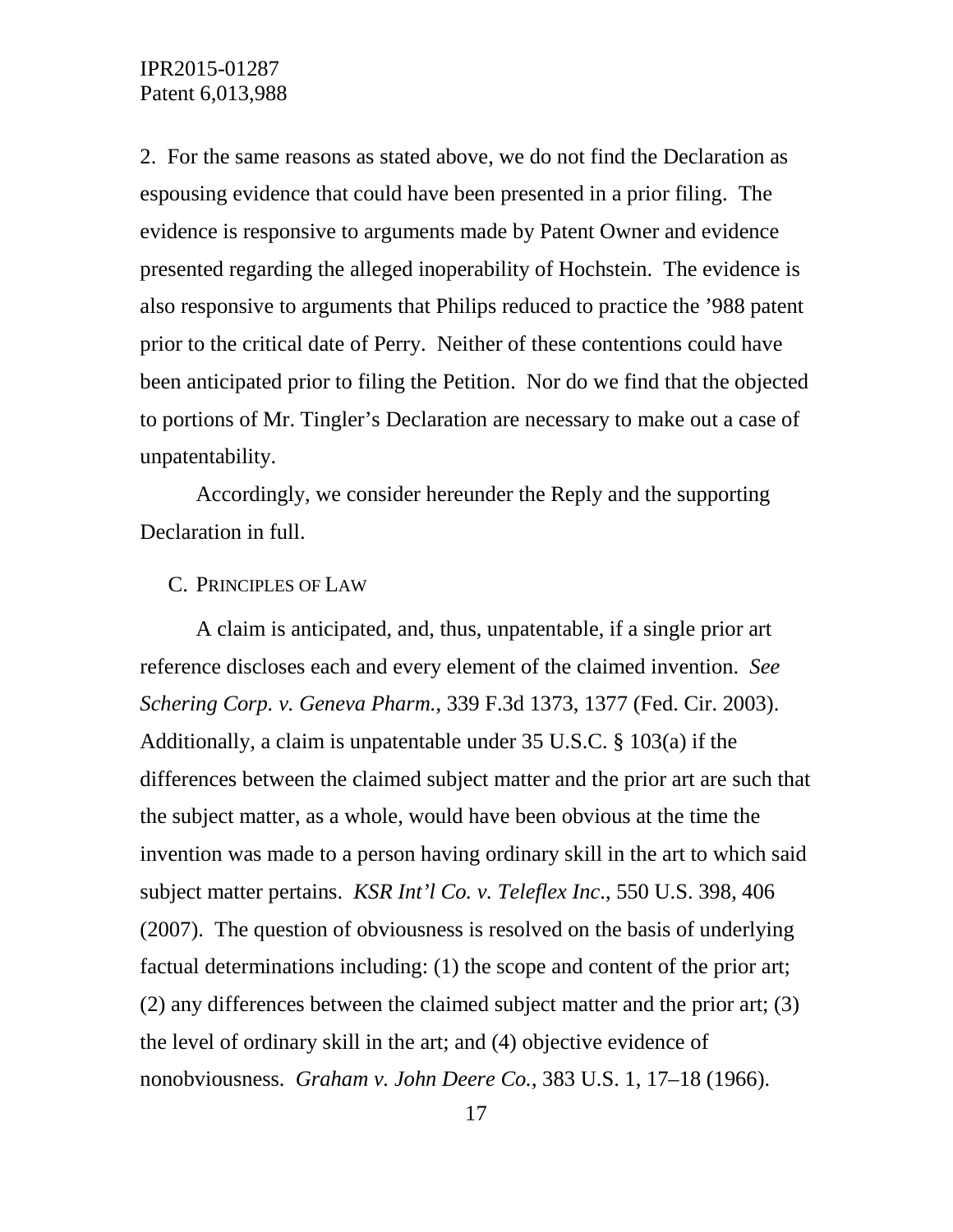2. For the same reasons as stated above, we do not find the Declaration as espousing evidence that could have been presented in a prior filing. The evidence is responsive to arguments made by Patent Owner and evidence presented regarding the alleged inoperability of Hochstein. The evidence is also responsive to arguments that Philips reduced to practice the '988 patent prior to the critical date of Perry. Neither of these contentions could have been anticipated prior to filing the Petition. Nor do we find that the objected to portions of Mr. Tingler's Declaration are necessary to make out a case of unpatentability.

Accordingly, we consider hereunder the Reply and the supporting Declaration in full.

#### C. PRINCIPLES OF LAW

A claim is anticipated, and, thus, unpatentable, if a single prior art reference discloses each and every element of the claimed invention. *See Schering Corp. v. Geneva Pharm.*, 339 F.3d 1373, 1377 (Fed. Cir. 2003). Additionally, a claim is unpatentable under 35 U.S.C. § 103(a) if the differences between the claimed subject matter and the prior art are such that the subject matter, as a whole, would have been obvious at the time the invention was made to a person having ordinary skill in the art to which said subject matter pertains. *KSR Int'l Co. v. Teleflex Inc*., 550 U.S. 398, 406 (2007). The question of obviousness is resolved on the basis of underlying factual determinations including: (1) the scope and content of the prior art; (2) any differences between the claimed subject matter and the prior art; (3) the level of ordinary skill in the art; and (4) objective evidence of nonobviousness. *Graham v. John Deere Co.*, 383 U.S. 1, 17–18 (1966).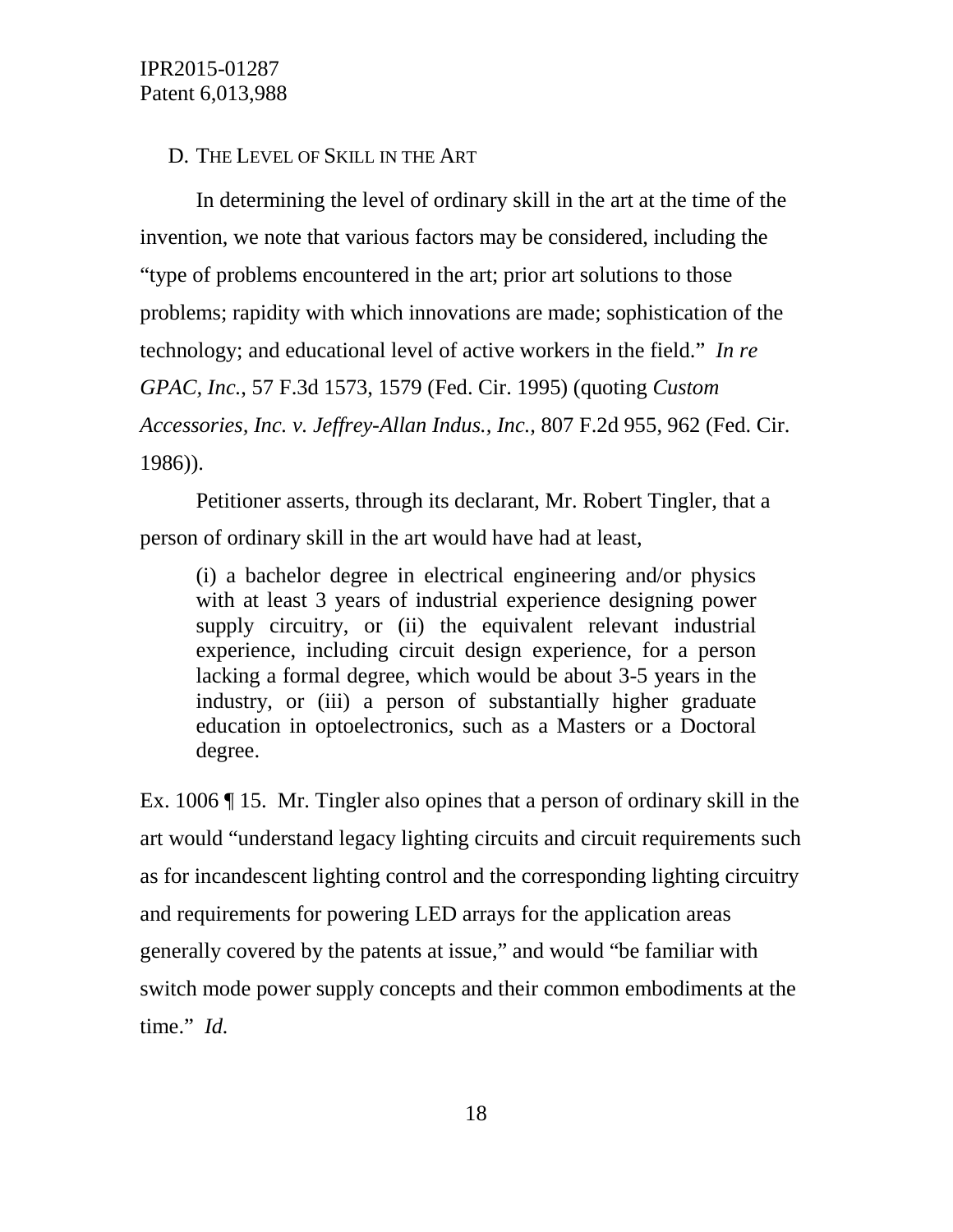#### D. THE LEVEL OF SKILL IN THE ART

In determining the level of ordinary skill in the art at the time of the invention, we note that various factors may be considered, including the "type of problems encountered in the art; prior art solutions to those problems; rapidity with which innovations are made; sophistication of the technology; and educational level of active workers in the field." *In re GPAC, Inc.*, 57 F.3d 1573, 1579 (Fed. Cir. 1995) (quoting *Custom Accessories, Inc. v. Jeffrey-Allan Indus., Inc.,* 807 F.2d 955, 962 (Fed. Cir. 1986)).

Petitioner asserts, through its declarant, Mr. Robert Tingler, that a person of ordinary skill in the art would have had at least,

(i) a bachelor degree in electrical engineering and/or physics with at least 3 years of industrial experience designing power supply circuitry, or (ii) the equivalent relevant industrial experience, including circuit design experience, for a person lacking a formal degree, which would be about 3-5 years in the industry, or (iii) a person of substantially higher graduate education in optoelectronics, such as a Masters or a Doctoral degree.

Ex. 1006 ¶ 15. Mr. Tingler also opines that a person of ordinary skill in the art would "understand legacy lighting circuits and circuit requirements such as for incandescent lighting control and the corresponding lighting circuitry and requirements for powering LED arrays for the application areas generally covered by the patents at issue," and would "be familiar with switch mode power supply concepts and their common embodiments at the time." *Id.*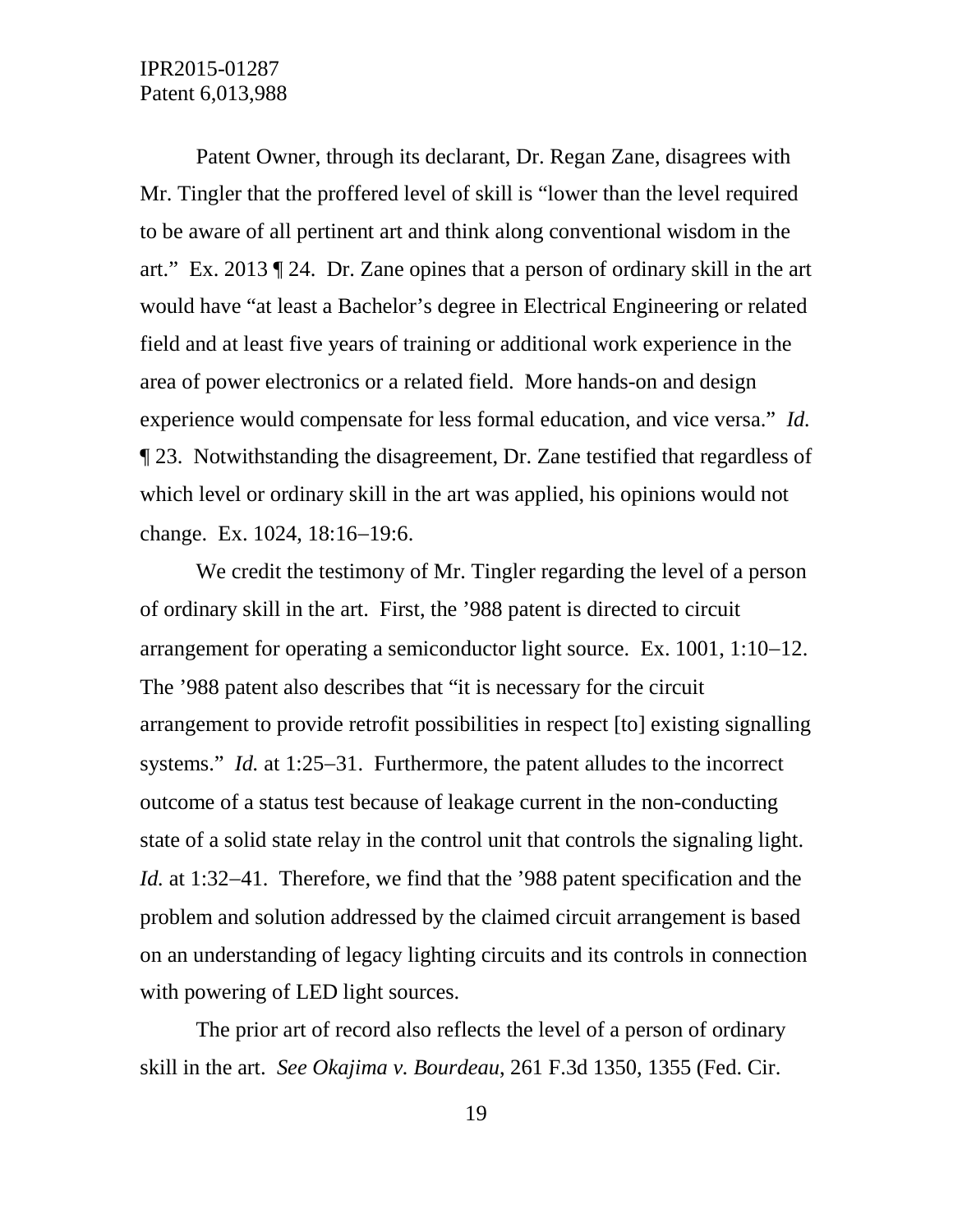Patent Owner, through its declarant, Dr. Regan Zane, disagrees with Mr. Tingler that the proffered level of skill is "lower than the level required to be aware of all pertinent art and think along conventional wisdom in the art." Ex. 2013 ¶ 24. Dr. Zane opines that a person of ordinary skill in the art would have "at least a Bachelor's degree in Electrical Engineering or related field and at least five years of training or additional work experience in the area of power electronics or a related field. More hands-on and design experience would compensate for less formal education, and vice versa." *Id.*  ¶ 23. Notwithstanding the disagreement, Dr. Zane testified that regardless of which level or ordinary skill in the art was applied, his opinions would not change. Ex. 1024, 18:16−19:6.

We credit the testimony of Mr. Tingler regarding the level of a person of ordinary skill in the art. First, the '988 patent is directed to circuit arrangement for operating a semiconductor light source. Ex. 1001, 1:10−12. The '988 patent also describes that "it is necessary for the circuit arrangement to provide retrofit possibilities in respect [to] existing signalling systems." *Id.* at 1:25−31. Furthermore, the patent alludes to the incorrect outcome of a status test because of leakage current in the non-conducting state of a solid state relay in the control unit that controls the signaling light. *Id.* at 1:32−41. Therefore, we find that the '988 patent specification and the problem and solution addressed by the claimed circuit arrangement is based on an understanding of legacy lighting circuits and its controls in connection with powering of LED light sources.

The prior art of record also reflects the level of a person of ordinary skill in the art. *See Okajima v. Bourdeau*, 261 F.3d 1350, 1355 (Fed. Cir.

19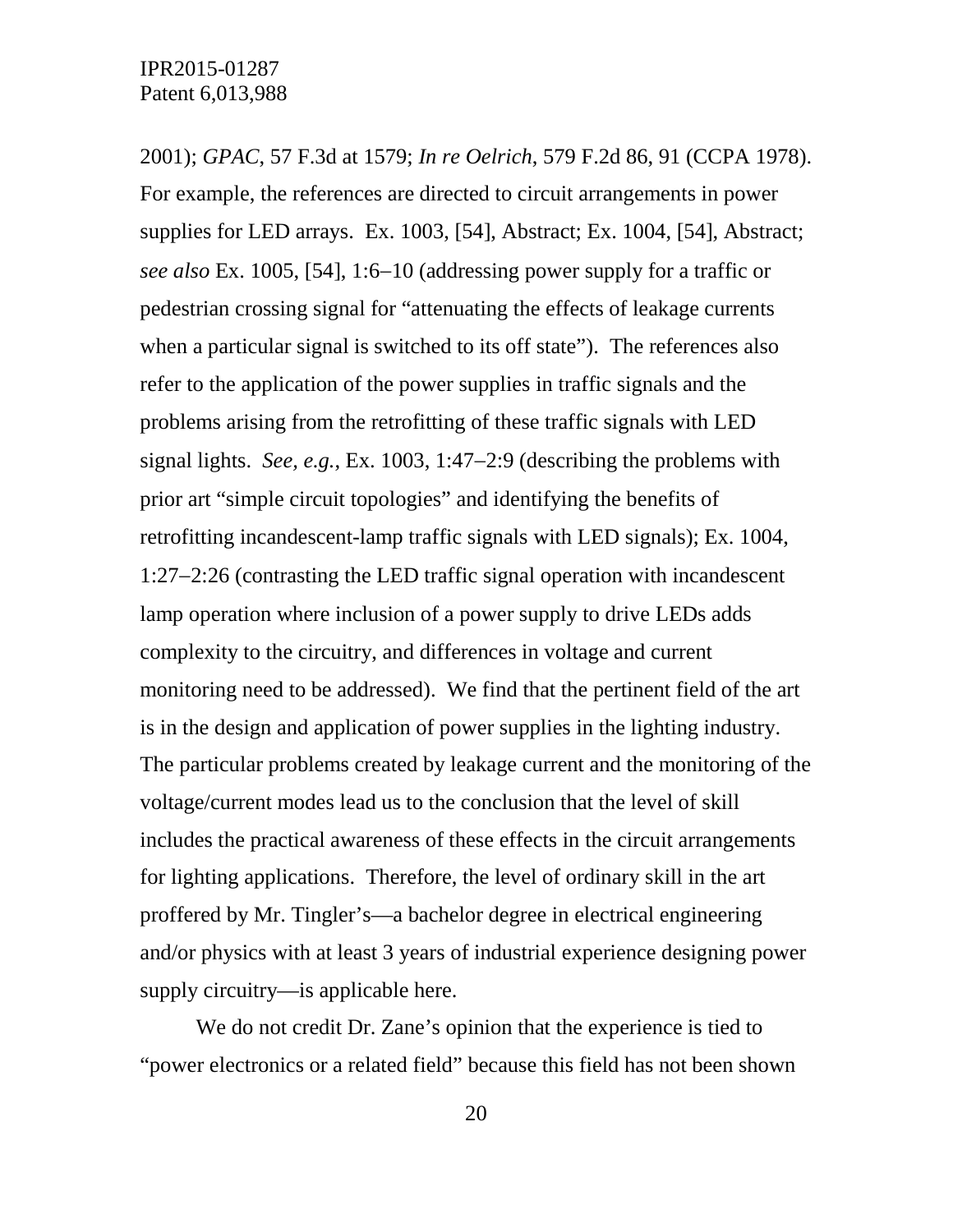2001); *GPAC*, 57 F.3d at 1579; *In re Oelrich*, 579 F.2d 86, 91 (CCPA 1978). For example, the references are directed to circuit arrangements in power supplies for LED arrays. Ex. 1003, [54], Abstract; Ex. 1004, [54], Abstract; *see also* Ex. 1005, [54], 1:6−10 (addressing power supply for a traffic or pedestrian crossing signal for "attenuating the effects of leakage currents when a particular signal is switched to its off state"). The references also refer to the application of the power supplies in traffic signals and the problems arising from the retrofitting of these traffic signals with LED signal lights. *See, e.g.*, Ex. 1003, 1:47−2:9 (describing the problems with prior art "simple circuit topologies" and identifying the benefits of retrofitting incandescent-lamp traffic signals with LED signals); Ex. 1004, 1:27−2:26 (contrasting the LED traffic signal operation with incandescent lamp operation where inclusion of a power supply to drive LEDs adds complexity to the circuitry, and differences in voltage and current monitoring need to be addressed). We find that the pertinent field of the art is in the design and application of power supplies in the lighting industry. The particular problems created by leakage current and the monitoring of the voltage/current modes lead us to the conclusion that the level of skill includes the practical awareness of these effects in the circuit arrangements for lighting applications. Therefore, the level of ordinary skill in the art proffered by Mr. Tingler's—a bachelor degree in electrical engineering and/or physics with at least 3 years of industrial experience designing power supply circuitry—is applicable here.

We do not credit Dr. Zane's opinion that the experience is tied to "power electronics or a related field" because this field has not been shown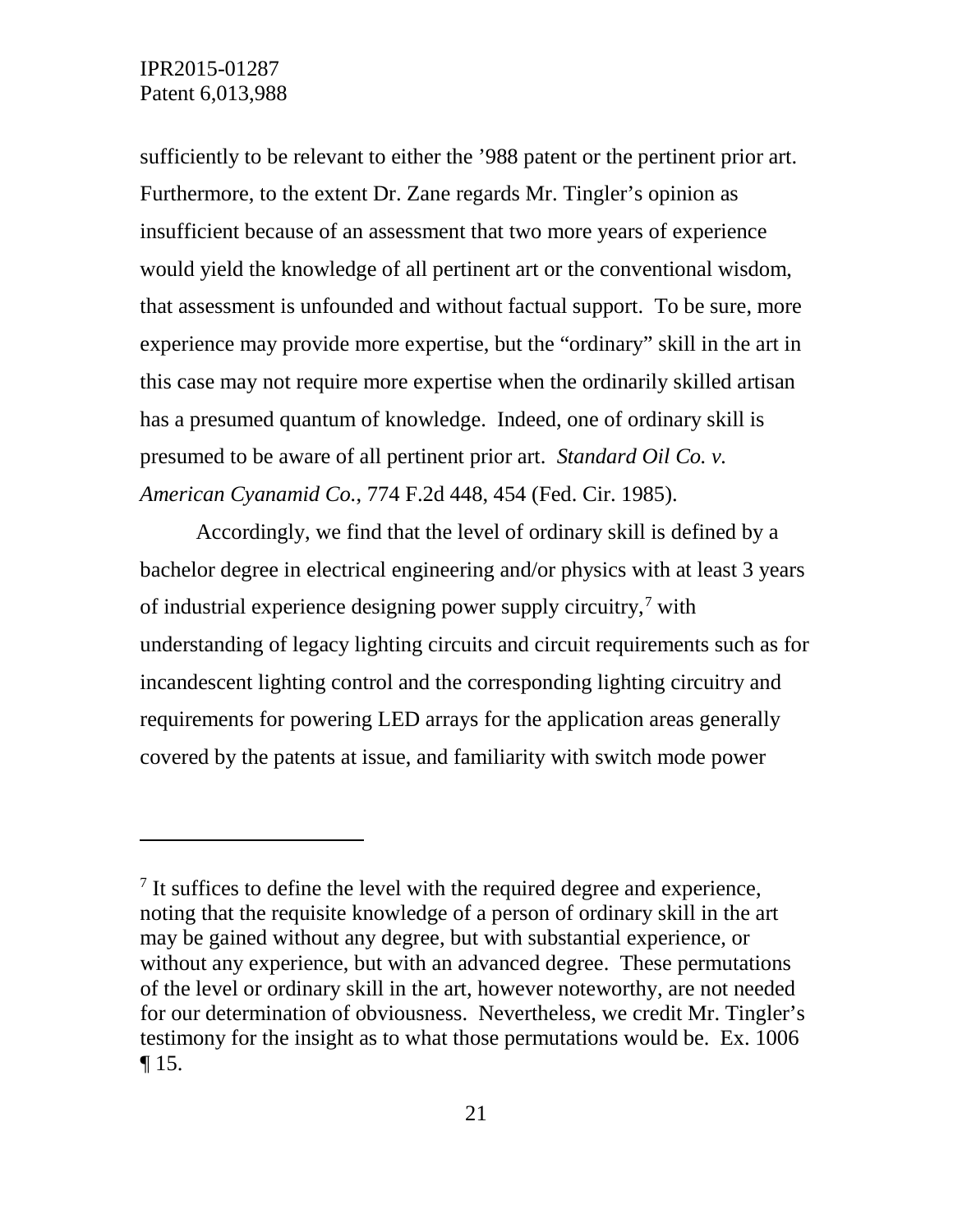$\overline{a}$ 

sufficiently to be relevant to either the '988 patent or the pertinent prior art. Furthermore, to the extent Dr. Zane regards Mr. Tingler's opinion as insufficient because of an assessment that two more years of experience would yield the knowledge of all pertinent art or the conventional wisdom, that assessment is unfounded and without factual support. To be sure, more experience may provide more expertise, but the "ordinary" skill in the art in this case may not require more expertise when the ordinarily skilled artisan has a presumed quantum of knowledge. Indeed, one of ordinary skill is presumed to be aware of all pertinent prior art. *Standard Oil Co. v. American Cyanamid Co.*, 774 F.2d 448, 454 (Fed. Cir. 1985).

Accordingly, we find that the level of ordinary skill is defined by a bachelor degree in electrical engineering and/or physics with at least 3 years of industrial experience designing power supply circuitry,[7](#page-20-0) with understanding of legacy lighting circuits and circuit requirements such as for incandescent lighting control and the corresponding lighting circuitry and requirements for powering LED arrays for the application areas generally covered by the patents at issue, and familiarity with switch mode power

<span id="page-20-0"></span> $<sup>7</sup>$  It suffices to define the level with the required degree and experience,</sup> noting that the requisite knowledge of a person of ordinary skill in the art may be gained without any degree, but with substantial experience, or without any experience, but with an advanced degree. These permutations of the level or ordinary skill in the art, however noteworthy, are not needed for our determination of obviousness. Nevertheless, we credit Mr. Tingler's testimony for the insight as to what those permutations would be. Ex. 1006  $\P$  15.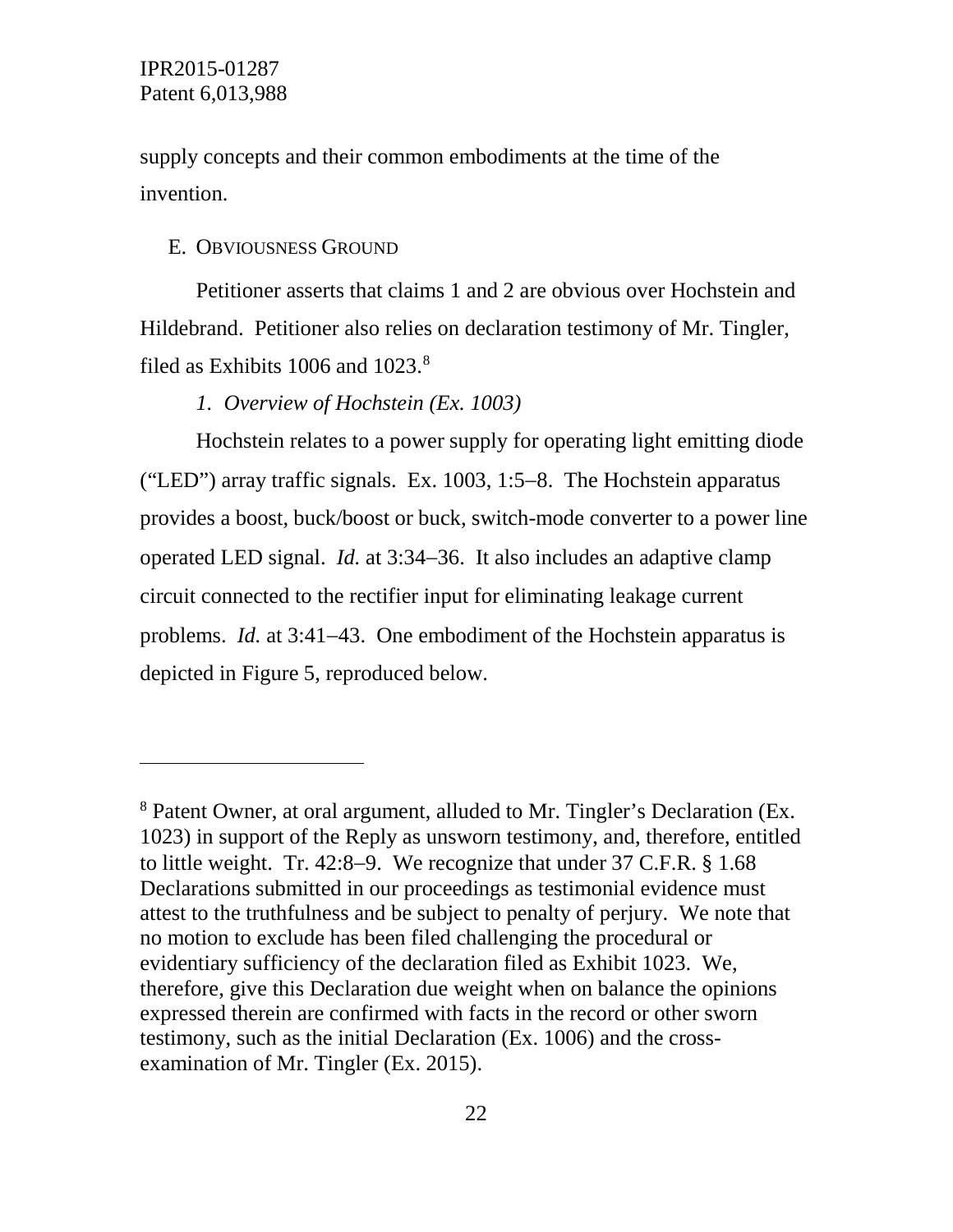$\overline{a}$ 

supply concepts and their common embodiments at the time of the invention.

## E. OBVIOUSNESS GROUND

Petitioner asserts that claims 1 and 2 are obvious over Hochstein and Hildebrand. Petitioner also relies on declaration testimony of Mr. Tingler, filed as Exhibits 1006 and 1023.<sup>[8](#page-21-0)</sup>

## *1. Overview of Hochstein (Ex. 1003)*

Hochstein relates to a power supply for operating light emitting diode ("LED") array traffic signals. Ex. 1003, 1:5−8. The Hochstein apparatus provides a boost, buck/boost or buck, switch-mode converter to a power line operated LED signal. *Id.* at 3:34−36. It also includes an adaptive clamp circuit connected to the rectifier input for eliminating leakage current problems. *Id.* at 3:41−43. One embodiment of the Hochstein apparatus is depicted in Figure 5, reproduced below.

<span id="page-21-0"></span><sup>8</sup> Patent Owner, at oral argument, alluded to Mr. Tingler's Declaration (Ex. 1023) in support of the Reply as unsworn testimony, and, therefore, entitled to little weight. Tr. 42:8−9. We recognize that under 37 C.F.R. § 1.68 Declarations submitted in our proceedings as testimonial evidence must attest to the truthfulness and be subject to penalty of perjury. We note that no motion to exclude has been filed challenging the procedural or evidentiary sufficiency of the declaration filed as Exhibit 1023. We, therefore, give this Declaration due weight when on balance the opinions expressed therein are confirmed with facts in the record or other sworn testimony, such as the initial Declaration (Ex. 1006) and the crossexamination of Mr. Tingler (Ex. 2015).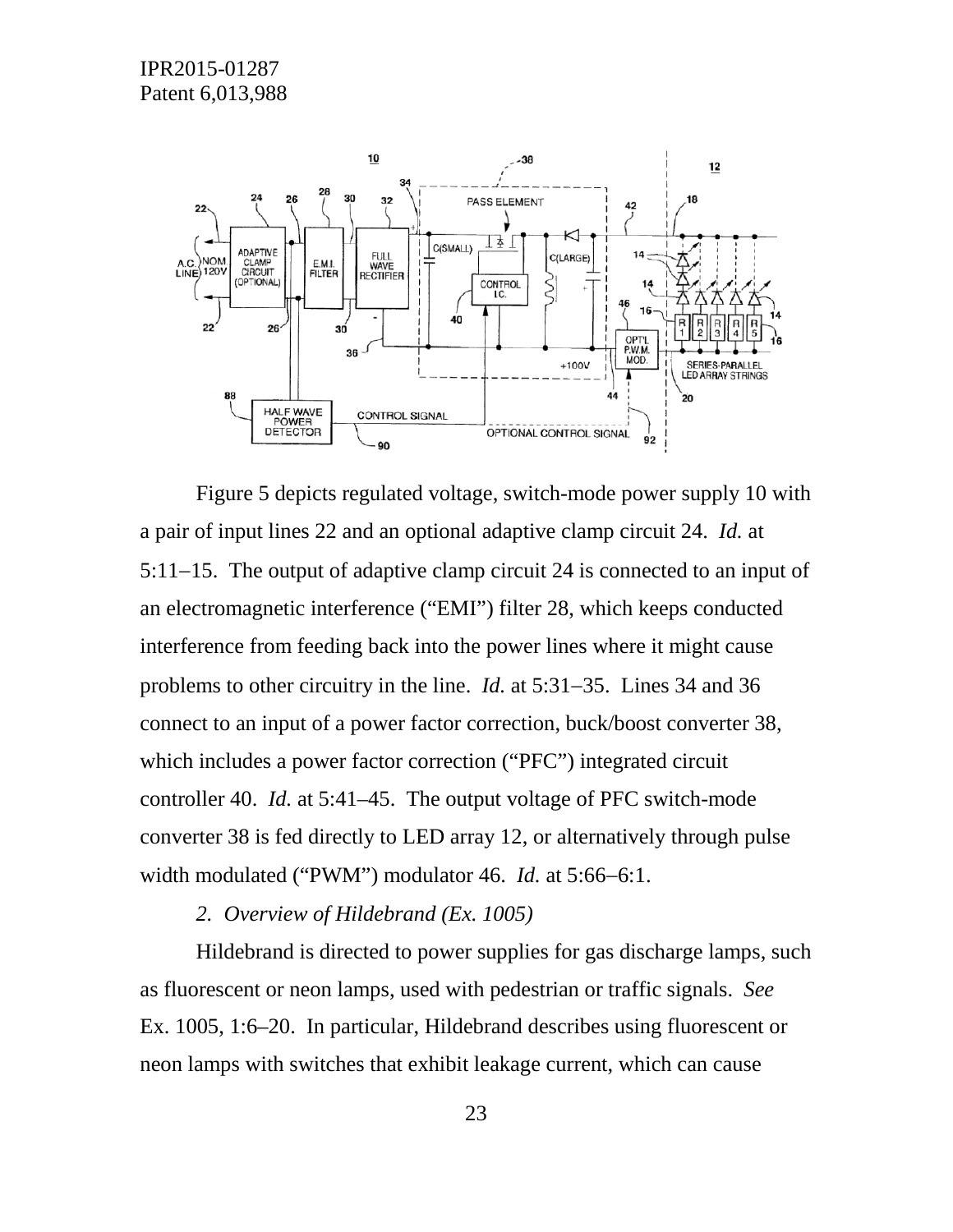

Figure 5 depicts regulated voltage, switch-mode power supply 10 with a pair of input lines 22 and an optional adaptive clamp circuit 24. *Id.* at 5:11−15. The output of adaptive clamp circuit 24 is connected to an input of an electromagnetic interference ("EMI") filter 28, which keeps conducted interference from feeding back into the power lines where it might cause problems to other circuitry in the line. *Id.* at 5:31−35. Lines 34 and 36 connect to an input of a power factor correction, buck/boost converter 38, which includes a power factor correction ("PFC") integrated circuit controller 40. *Id.* at 5:41–45. The output voltage of PFC switch-mode converter 38 is fed directly to LED array 12, or alternatively through pulse width modulated ("PWM") modulator 46. *Id.* at 5:66−6:1.

*2. Overview of Hildebrand (Ex. 1005)*

Hildebrand is directed to power supplies for gas discharge lamps, such as fluorescent or neon lamps, used with pedestrian or traffic signals. *See*  Ex. 1005, 1:6–20. In particular, Hildebrand describes using fluorescent or neon lamps with switches that exhibit leakage current, which can cause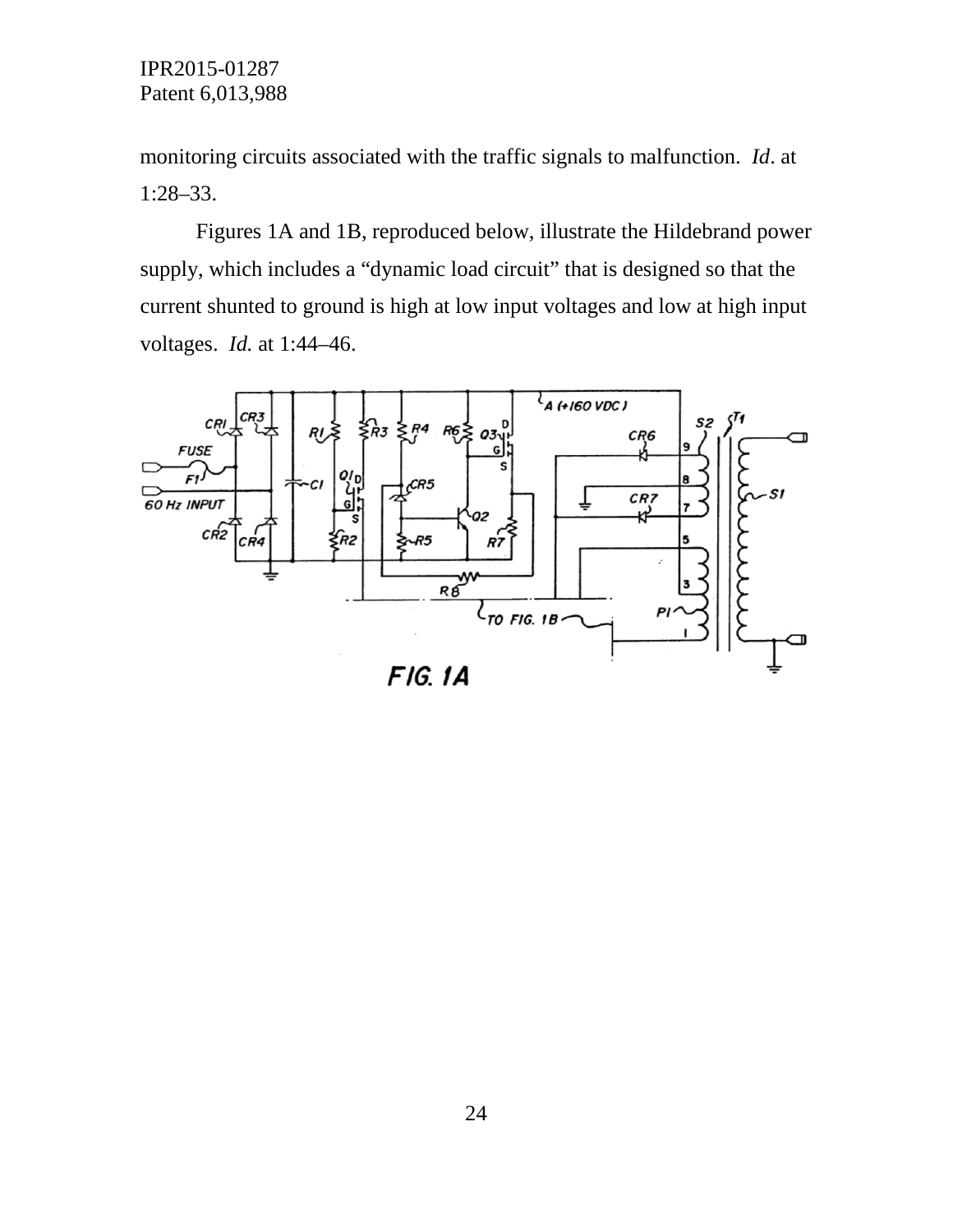monitoring circuits associated with the traffic signals to malfunction. *Id*. at 1:28–33.

Figures 1A and 1B, reproduced below, illustrate the Hildebrand power supply, which includes a "dynamic load circuit" that is designed so that the current shunted to ground is high at low input voltages and low at high input voltages. *Id.* at 1:44–46.

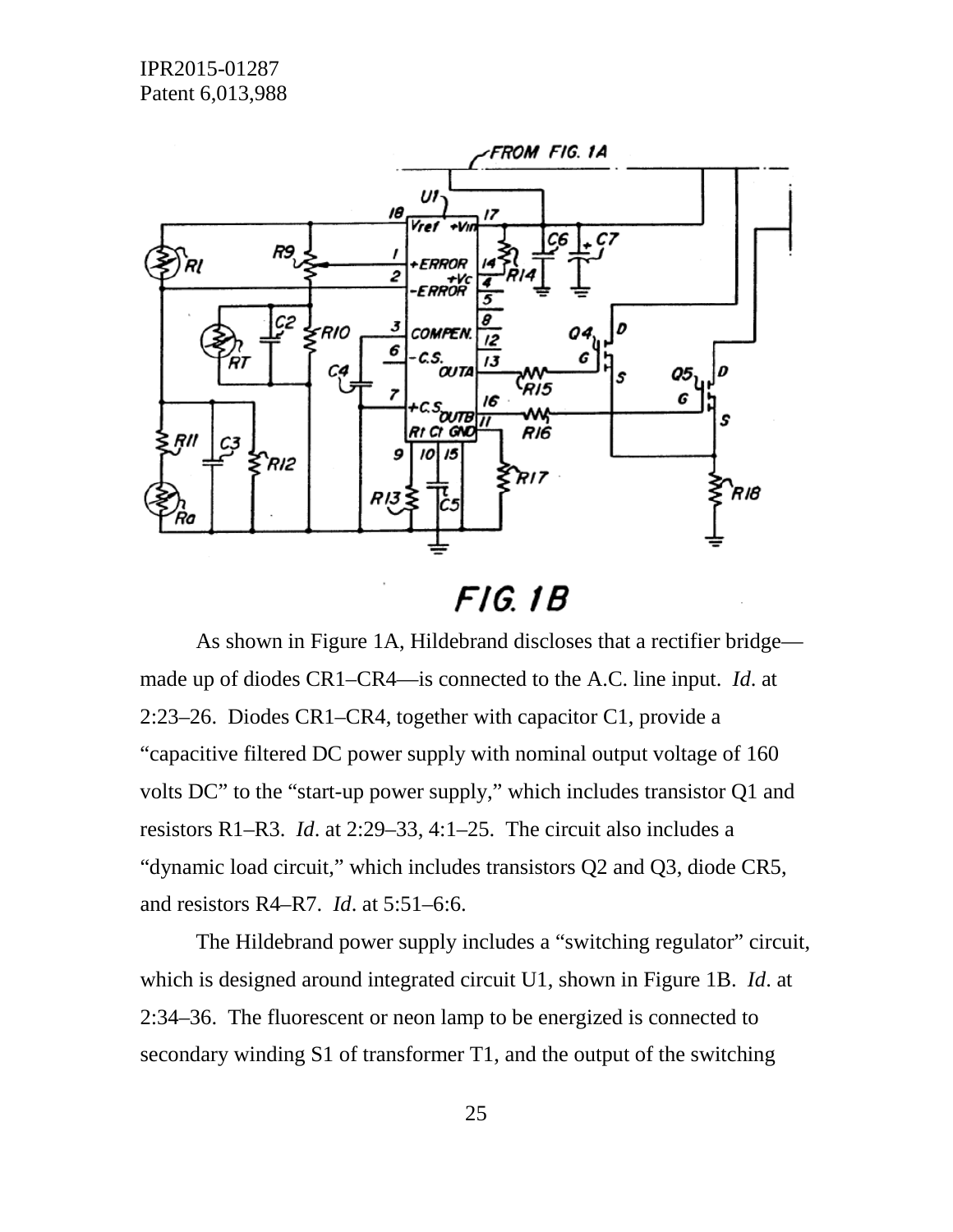

# $FIG. 1B$

As shown in Figure 1A, Hildebrand discloses that a rectifier bridge made up of diodes CR1–CR4—is connected to the A.C. line input. *Id*. at 2:23–26. Diodes CR1–CR4, together with capacitor C1, provide a "capacitive filtered DC power supply with nominal output voltage of 160 volts DC" to the "start-up power supply," which includes transistor Q1 and resistors R1–R3. *Id*. at 2:29–33, 4:1–25. The circuit also includes a "dynamic load circuit," which includes transistors Q2 and Q3, diode CR5, and resistors R4–R7. *Id*. at 5:51–6:6.

The Hildebrand power supply includes a "switching regulator" circuit, which is designed around integrated circuit U1, shown in Figure 1B. *Id*. at 2:34–36. The fluorescent or neon lamp to be energized is connected to secondary winding S1 of transformer T1, and the output of the switching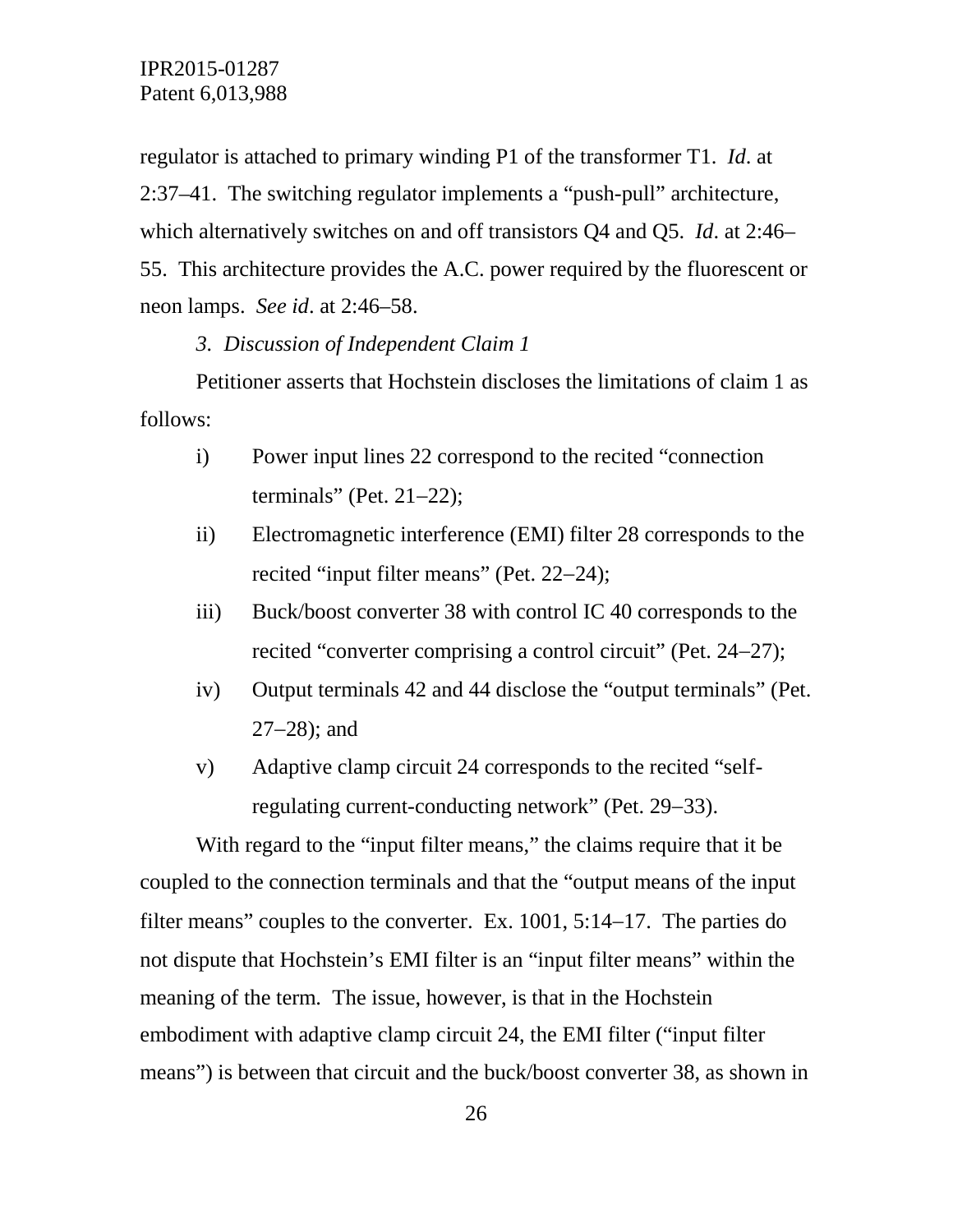regulator is attached to primary winding P1 of the transformer T1. *Id*. at 2:37–41. The switching regulator implements a "push-pull" architecture, which alternatively switches on and off transistors Q4 and Q5. *Id*. at 2:46– 55. This architecture provides the A.C. power required by the fluorescent or neon lamps. *See id*. at 2:46–58.

#### *3. Discussion of Independent Claim 1*

Petitioner asserts that Hochstein discloses the limitations of claim 1 as follows:

- i) Power input lines 22 correspond to the recited "connection terminals" (Pet. 21−22);
- ii) Electromagnetic interference (EMI) filter 28 corresponds to the recited "input filter means" (Pet. 22−24);
- iii) Buck/boost converter 38 with control IC 40 corresponds to the recited "converter comprising a control circuit" (Pet. 24−27);
- iv) Output terminals 42 and 44 disclose the "output terminals" (Pet. 27−28); and
- v) Adaptive clamp circuit 24 corresponds to the recited "selfregulating current-conducting network" (Pet. 29−33).

With regard to the "input filter means," the claims require that it be coupled to the connection terminals and that the "output means of the input filter means" couples to the converter. Ex. 1001, 5:14–17. The parties do not dispute that Hochstein's EMI filter is an "input filter means" within the meaning of the term. The issue, however, is that in the Hochstein embodiment with adaptive clamp circuit 24, the EMI filter ("input filter means") is between that circuit and the buck/boost converter 38, as shown in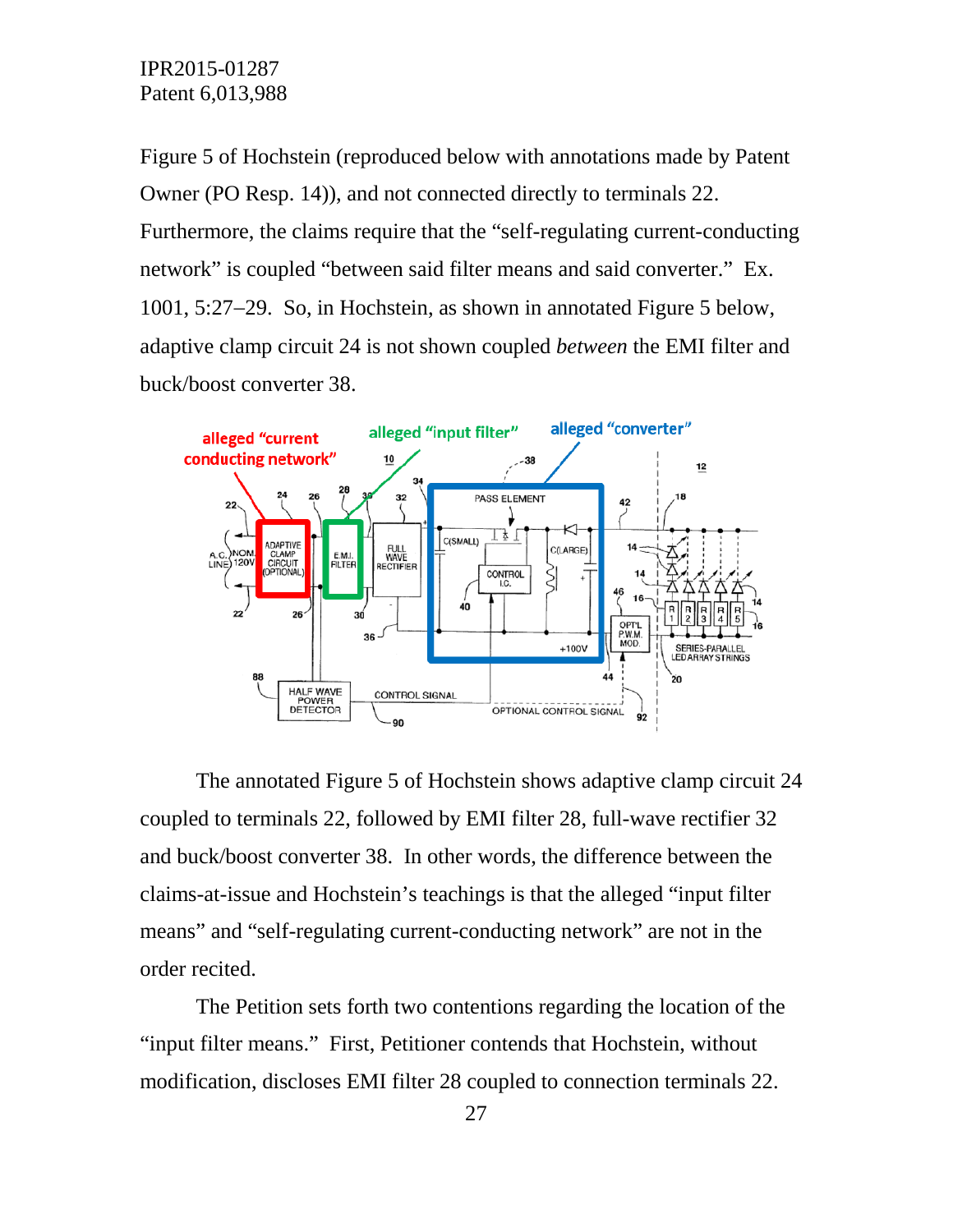Figure 5 of Hochstein (reproduced below with annotations made by Patent Owner (PO Resp. 14)), and not connected directly to terminals 22. Furthermore, the claims require that the "self-regulating current-conducting network" is coupled "between said filter means and said converter." Ex. 1001, 5:27−29. So, in Hochstein, as shown in annotated Figure 5 below, adaptive clamp circuit 24 is not shown coupled *between* the EMI filter and buck/boost converter 38.



The annotated Figure 5 of Hochstein shows adaptive clamp circuit 24 coupled to terminals 22, followed by EMI filter 28, full-wave rectifier 32 and buck/boost converter 38. In other words, the difference between the claims-at-issue and Hochstein's teachings is that the alleged "input filter means" and "self-regulating current-conducting network" are not in the order recited.

The Petition sets forth two contentions regarding the location of the "input filter means." First, Petitioner contends that Hochstein, without modification, discloses EMI filter 28 coupled to connection terminals 22.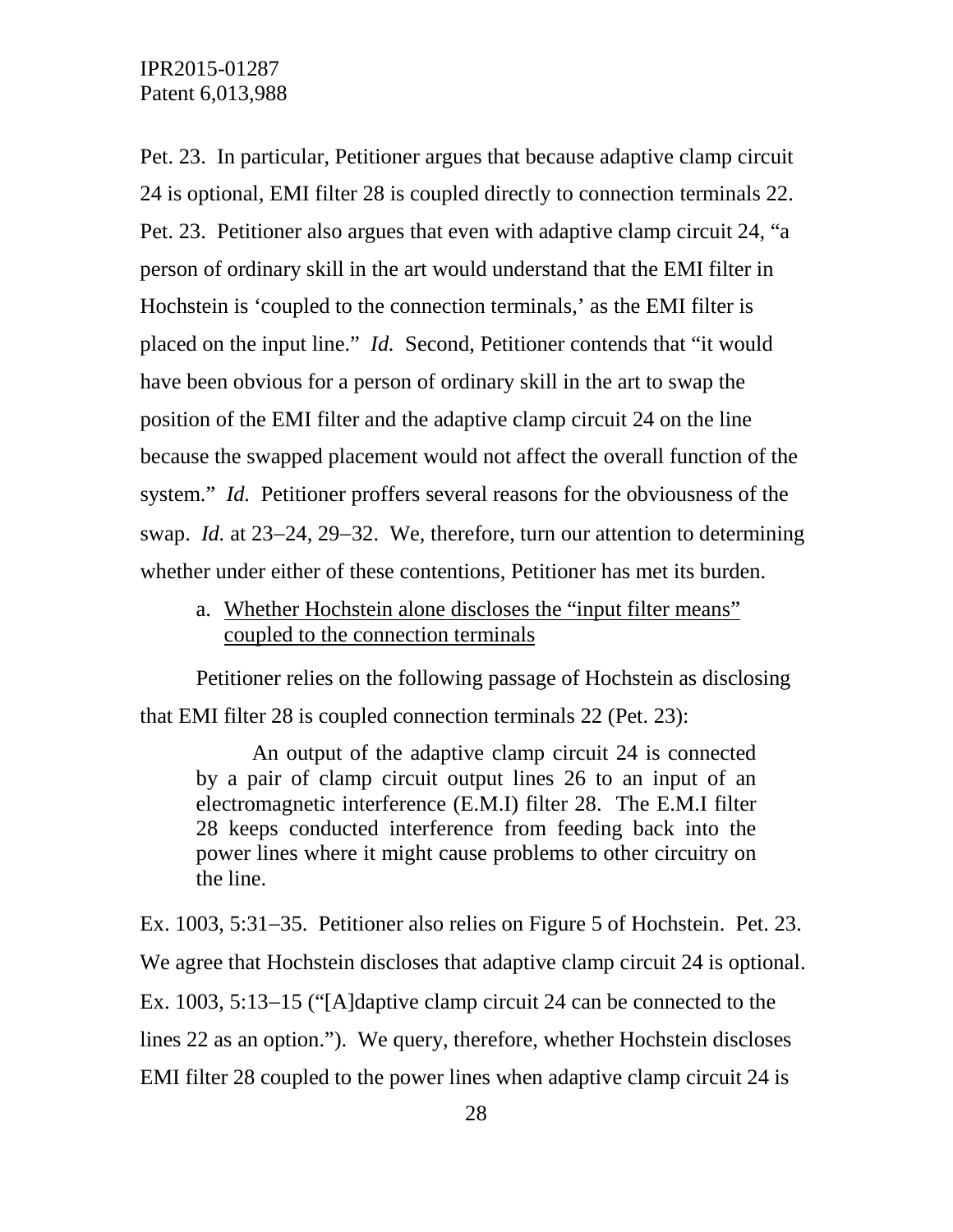Pet. 23. In particular, Petitioner argues that because adaptive clamp circuit 24 is optional, EMI filter 28 is coupled directly to connection terminals 22. Pet. 23. Petitioner also argues that even with adaptive clamp circuit 24, "a person of ordinary skill in the art would understand that the EMI filter in Hochstein is 'coupled to the connection terminals,' as the EMI filter is placed on the input line." *Id.* Second, Petitioner contends that "it would have been obvious for a person of ordinary skill in the art to swap the position of the EMI filter and the adaptive clamp circuit 24 on the line because the swapped placement would not affect the overall function of the system." *Id.* Petitioner proffers several reasons for the obviousness of the swap. *Id.* at 23−24, 29−32. We, therefore, turn our attention to determining whether under either of these contentions, Petitioner has met its burden.

a. Whether Hochstein alone discloses the "input filter means" coupled to the connection terminals

Petitioner relies on the following passage of Hochstein as disclosing that EMI filter 28 is coupled connection terminals 22 (Pet. 23):

An output of the adaptive clamp circuit 24 is connected by a pair of clamp circuit output lines 26 to an input of an electromagnetic interference (E.M.I) filter 28. The E.M.I filter 28 keeps conducted interference from feeding back into the power lines where it might cause problems to other circuitry on the line.

Ex. 1003, 5:31−35. Petitioner also relies on Figure 5 of Hochstein. Pet. 23. We agree that Hochstein discloses that adaptive clamp circuit 24 is optional. Ex. 1003, 5:13−15 ("[A]daptive clamp circuit 24 can be connected to the lines 22 as an option."). We query, therefore, whether Hochstein discloses EMI filter 28 coupled to the power lines when adaptive clamp circuit 24 is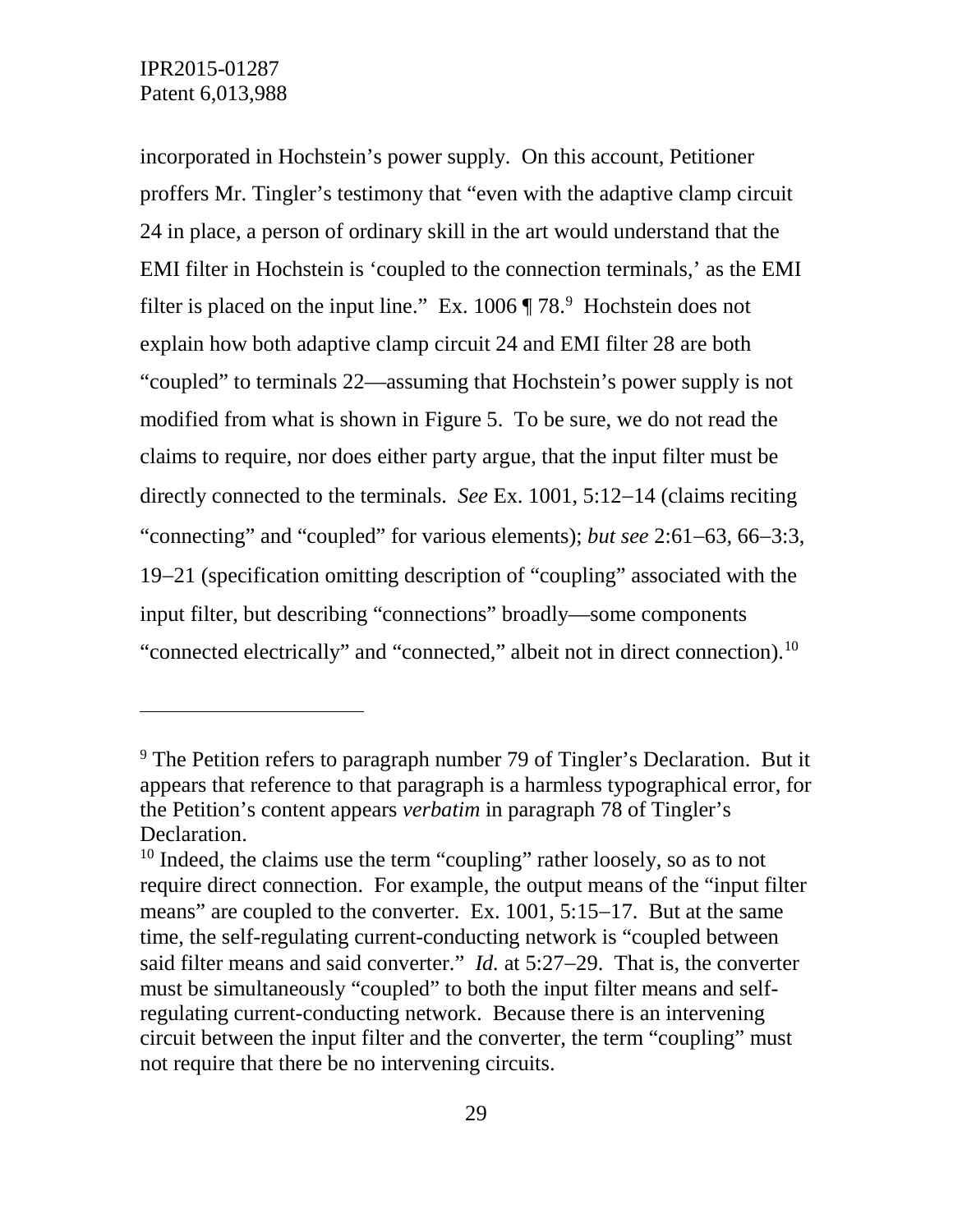$\overline{a}$ 

incorporated in Hochstein's power supply. On this account, Petitioner proffers Mr. Tingler's testimony that "even with the adaptive clamp circuit 24 in place, a person of ordinary skill in the art would understand that the EMI filter in Hochstein is 'coupled to the connection terminals,' as the EMI filter is placed on the input line." Ex.  $1006 \text{ T}$  78. $\text{ }^9$  $\text{ }^9$  Hochstein does not explain how both adaptive clamp circuit 24 and EMI filter 28 are both "coupled" to terminals 22—assuming that Hochstein's power supply is not modified from what is shown in Figure 5. To be sure, we do not read the claims to require, nor does either party argue, that the input filter must be directly connected to the terminals. *See* Ex. 1001, 5:12−14 (claims reciting "connecting" and "coupled" for various elements); *but see* 2:61−63, 66−3:3, 19−21 (specification omitting description of "coupling" associated with the input filter, but describing "connections" broadly—some components "connected electrically" and "connected," albeit not in direct connection).<sup>[10](#page-28-1)</sup>

<span id="page-28-0"></span> $9$  The Petition refers to paragraph number 79 of Tingler's Declaration. But it appears that reference to that paragraph is a harmless typographical error, for the Petition's content appears *verbatim* in paragraph 78 of Tingler's Declaration.

<span id="page-28-1"></span><sup>&</sup>lt;sup>10</sup> Indeed, the claims use the term "coupling" rather loosely, so as to not require direct connection. For example, the output means of the "input filter means" are coupled to the converter. Ex. 1001, 5:15−17. But at the same time, the self-regulating current-conducting network is "coupled between said filter means and said converter." *Id.* at 5:27−29. That is, the converter must be simultaneously "coupled" to both the input filter means and selfregulating current-conducting network. Because there is an intervening circuit between the input filter and the converter, the term "coupling" must not require that there be no intervening circuits.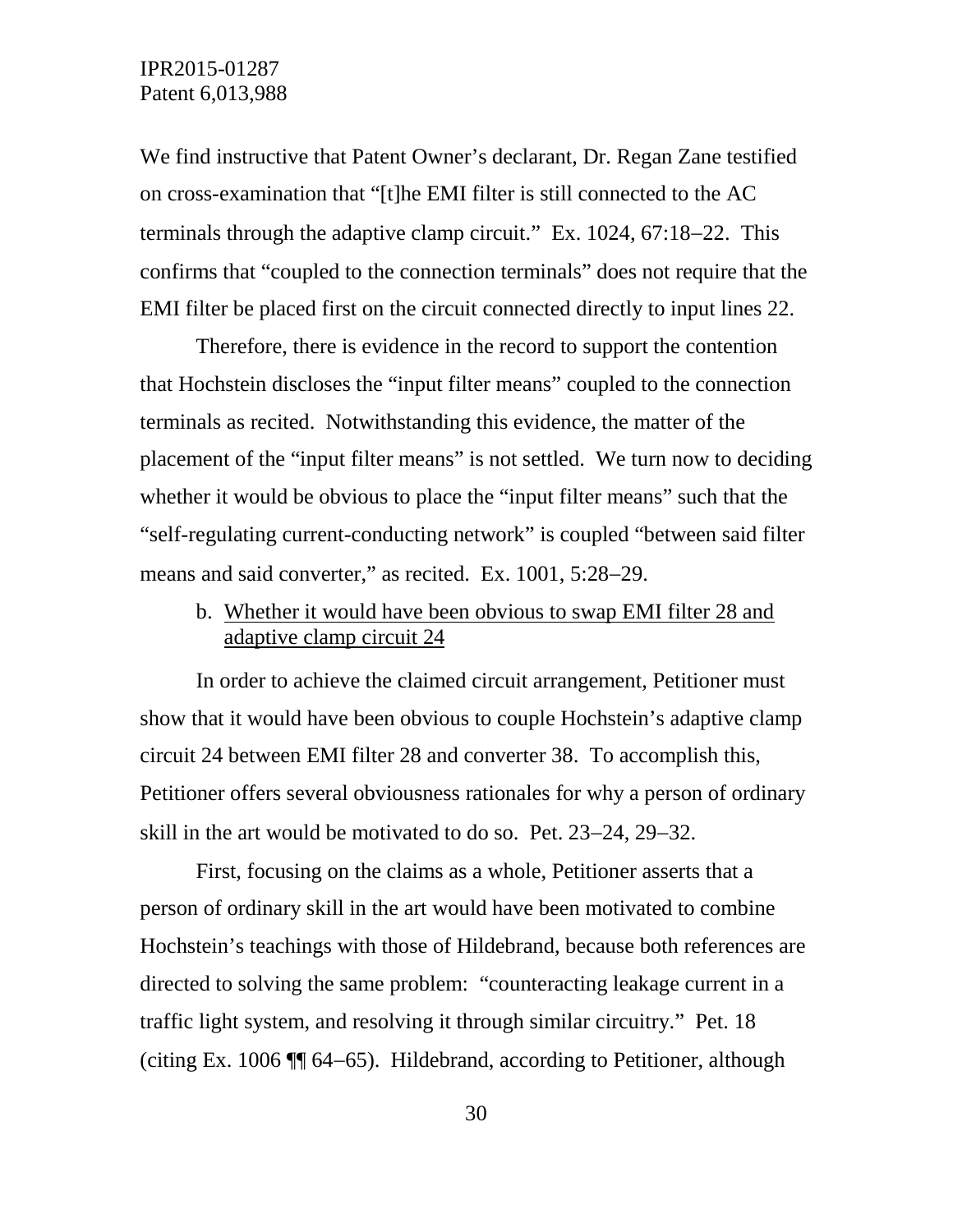We find instructive that Patent Owner's declarant, Dr. Regan Zane testified on cross-examination that "[t]he EMI filter is still connected to the AC terminals through the adaptive clamp circuit." Ex. 1024, 67:18−22. This confirms that "coupled to the connection terminals" does not require that the EMI filter be placed first on the circuit connected directly to input lines 22.

Therefore, there is evidence in the record to support the contention that Hochstein discloses the "input filter means" coupled to the connection terminals as recited. Notwithstanding this evidence, the matter of the placement of the "input filter means" is not settled. We turn now to deciding whether it would be obvious to place the "input filter means" such that the "self-regulating current-conducting network" is coupled "between said filter means and said converter," as recited. Ex. 1001, 5:28–29.

b. Whether it would have been obvious to swap EMI filter 28 and adaptive clamp circuit 24

In order to achieve the claimed circuit arrangement, Petitioner must show that it would have been obvious to couple Hochstein's adaptive clamp circuit 24 between EMI filter 28 and converter 38. To accomplish this, Petitioner offers several obviousness rationales for why a person of ordinary skill in the art would be motivated to do so. Pet. 23−24, 29−32.

First, focusing on the claims as a whole, Petitioner asserts that a person of ordinary skill in the art would have been motivated to combine Hochstein's teachings with those of Hildebrand, because both references are directed to solving the same problem: "counteracting leakage current in a traffic light system, and resolving it through similar circuitry." Pet. 18 (citing Ex. 1006 ¶¶ 64−65). Hildebrand, according to Petitioner, although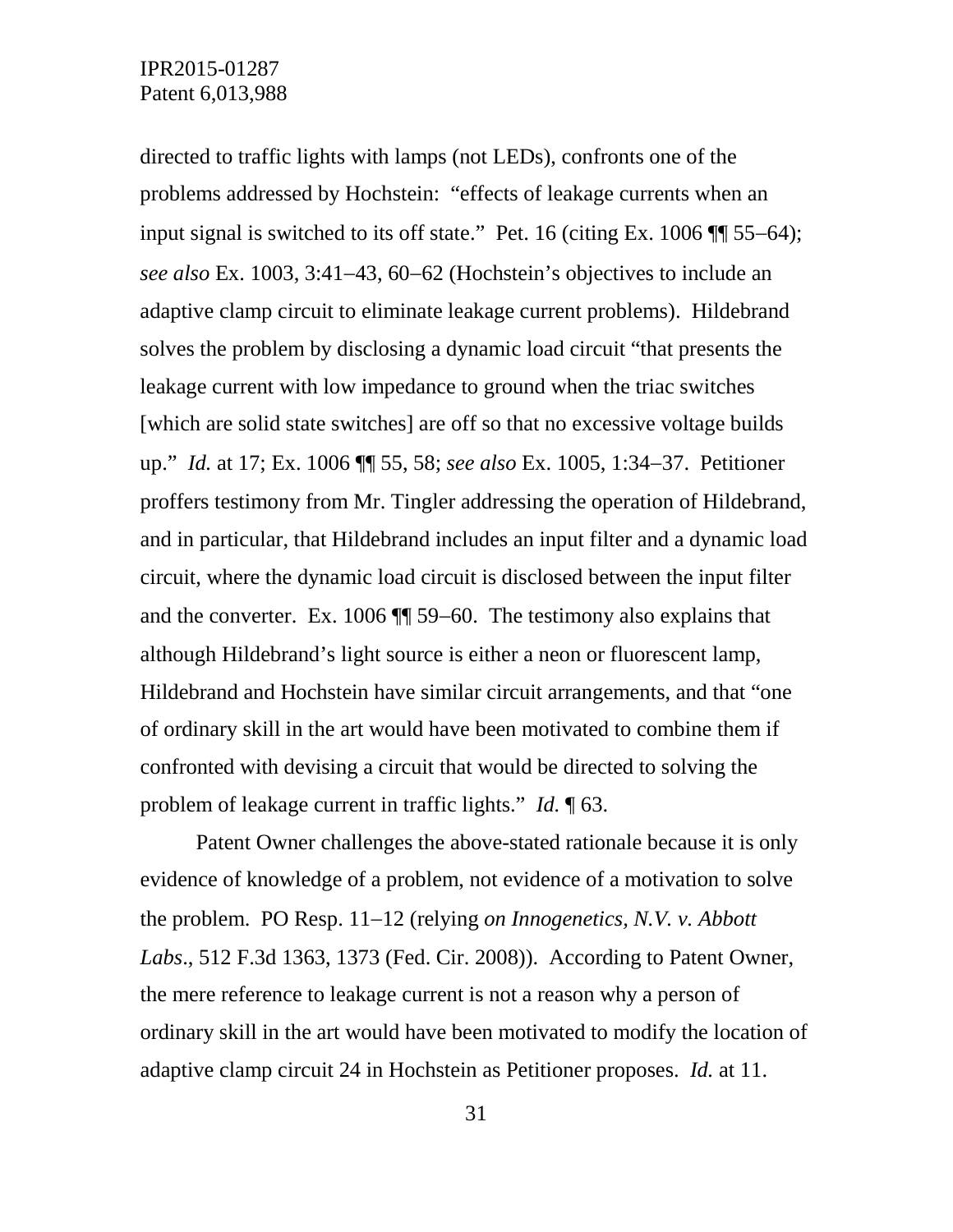directed to traffic lights with lamps (not LEDs), confronts one of the problems addressed by Hochstein: "effects of leakage currents when an input signal is switched to its off state." Pet. 16 (citing Ex. 1006 ¶¶ 55−64); *see also* Ex. 1003, 3:41−43, 60−62 (Hochstein's objectives to include an adaptive clamp circuit to eliminate leakage current problems). Hildebrand solves the problem by disclosing a dynamic load circuit "that presents the leakage current with low impedance to ground when the triac switches [which are solid state switches] are off so that no excessive voltage builds up." *Id.* at 17; Ex. 1006 ¶¶ 55, 58; *see also* Ex. 1005, 1:34−37. Petitioner proffers testimony from Mr. Tingler addressing the operation of Hildebrand, and in particular, that Hildebrand includes an input filter and a dynamic load circuit, where the dynamic load circuit is disclosed between the input filter and the converter. Ex. 1006 ¶¶ 59−60. The testimony also explains that although Hildebrand's light source is either a neon or fluorescent lamp, Hildebrand and Hochstein have similar circuit arrangements, and that "one of ordinary skill in the art would have been motivated to combine them if confronted with devising a circuit that would be directed to solving the problem of leakage current in traffic lights." *Id.* ¶ 63.

Patent Owner challenges the above-stated rationale because it is only evidence of knowledge of a problem, not evidence of a motivation to solve the problem. PO Resp. 11−12 (relying *on Innogenetics, N.V. v. Abbott Labs*., 512 F.3d 1363, 1373 (Fed. Cir. 2008)). According to Patent Owner, the mere reference to leakage current is not a reason why a person of ordinary skill in the art would have been motivated to modify the location of adaptive clamp circuit 24 in Hochstein as Petitioner proposes. *Id.* at 11.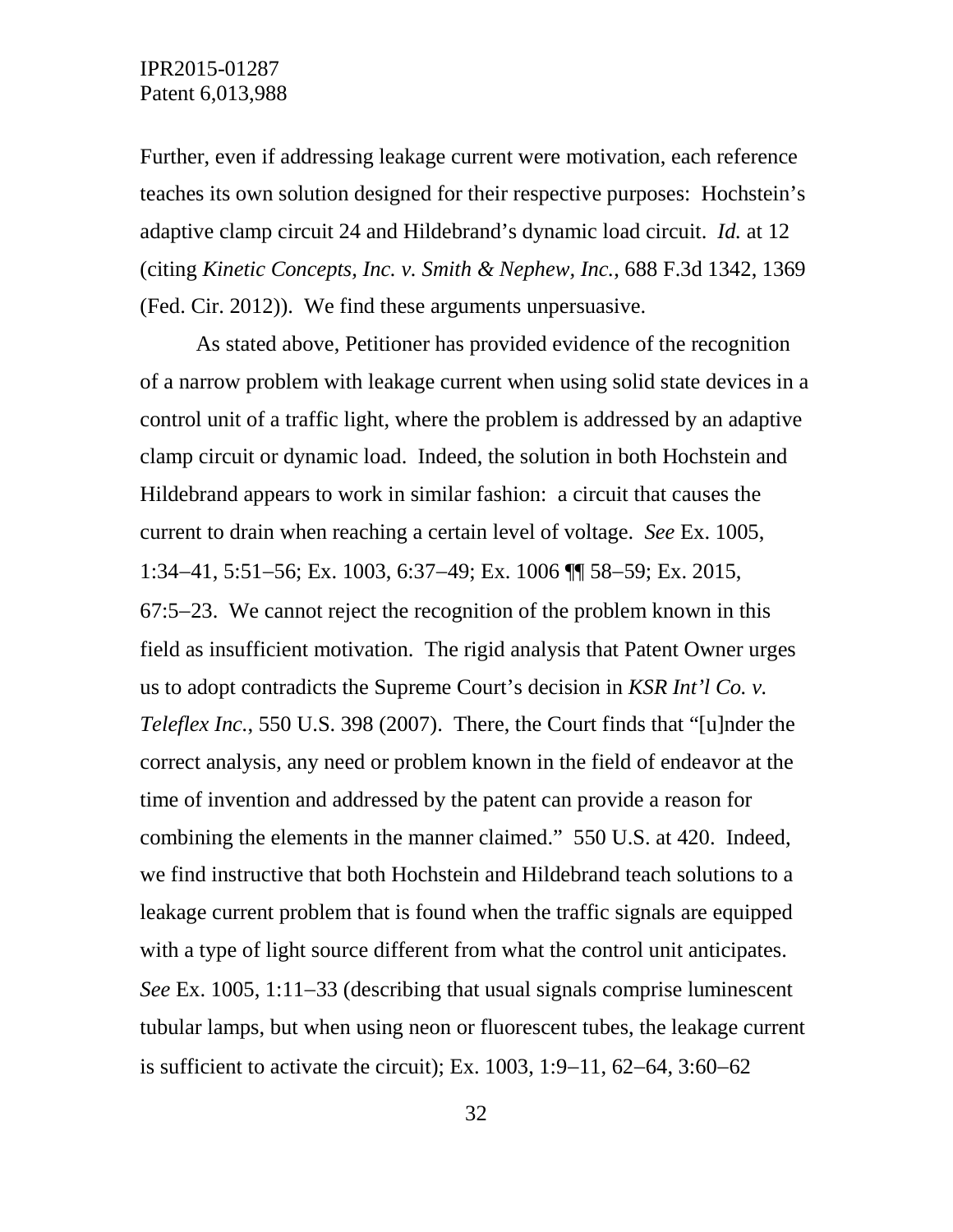Further, even if addressing leakage current were motivation, each reference teaches its own solution designed for their respective purposes: Hochstein's adaptive clamp circuit 24 and Hildebrand's dynamic load circuit. *Id.* at 12 (citing *Kinetic Concepts, Inc. v. Smith & Nephew, Inc.*, 688 F.3d 1342, 1369 (Fed. Cir. 2012)). We find these arguments unpersuasive.

As stated above, Petitioner has provided evidence of the recognition of a narrow problem with leakage current when using solid state devices in a control unit of a traffic light, where the problem is addressed by an adaptive clamp circuit or dynamic load. Indeed, the solution in both Hochstein and Hildebrand appears to work in similar fashion: a circuit that causes the current to drain when reaching a certain level of voltage. *See* Ex. 1005, 1:34−41, 5:51−56; Ex. 1003, 6:37−49; Ex. 1006 ¶¶ 58−59; Ex. 2015, 67:5−23. We cannot reject the recognition of the problem known in this field as insufficient motivation. The rigid analysis that Patent Owner urges us to adopt contradicts the Supreme Court's decision in *KSR Int'l Co. v. Teleflex Inc.*, 550 U.S. 398 (2007). There, the Court finds that "[u]nder the correct analysis, any need or problem known in the field of endeavor at the time of invention and addressed by the patent can provide a reason for combining the elements in the manner claimed." 550 U.S. at 420. Indeed, we find instructive that both Hochstein and Hildebrand teach solutions to a leakage current problem that is found when the traffic signals are equipped with a type of light source different from what the control unit anticipates. *See* Ex. 1005, 1:11−33 (describing that usual signals comprise luminescent tubular lamps, but when using neon or fluorescent tubes, the leakage current is sufficient to activate the circuit); Ex. 1003, 1:9−11, 62−64, 3:60−62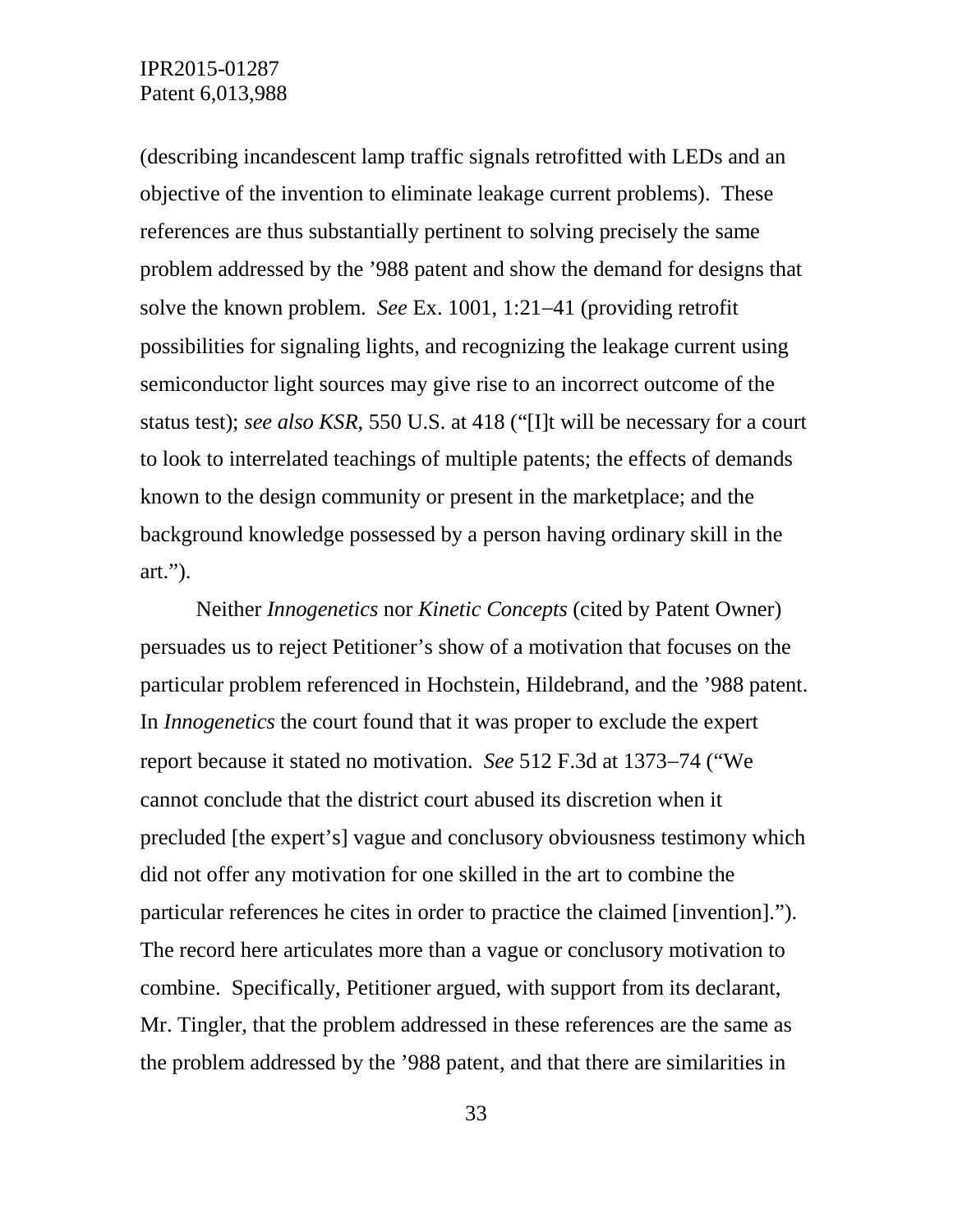(describing incandescent lamp traffic signals retrofitted with LEDs and an objective of the invention to eliminate leakage current problems). These references are thus substantially pertinent to solving precisely the same problem addressed by the '988 patent and show the demand for designs that solve the known problem. *See* Ex. 1001, 1:21−41 (providing retrofit possibilities for signaling lights, and recognizing the leakage current using semiconductor light sources may give rise to an incorrect outcome of the status test); *see also KSR*, 550 U.S. at 418 ("[I]t will be necessary for a court to look to interrelated teachings of multiple patents; the effects of demands known to the design community or present in the marketplace; and the background knowledge possessed by a person having ordinary skill in the art.").

Neither *Innogenetics* nor *Kinetic Concepts* (cited by Patent Owner) persuades us to reject Petitioner's show of a motivation that focuses on the particular problem referenced in Hochstein, Hildebrand, and the '988 patent. In *Innogenetics* the court found that it was proper to exclude the expert report because it stated no motivation. *See* 512 F.3d at 1373−74 ("We cannot conclude that the district court abused its discretion when it precluded [the expert's] vague and conclusory obviousness testimony which did not offer any motivation for one skilled in the art to combine the particular references he cites in order to practice the claimed [invention]."). The record here articulates more than a vague or conclusory motivation to combine. Specifically, Petitioner argued, with support from its declarant, Mr. Tingler, that the problem addressed in these references are the same as the problem addressed by the '988 patent, and that there are similarities in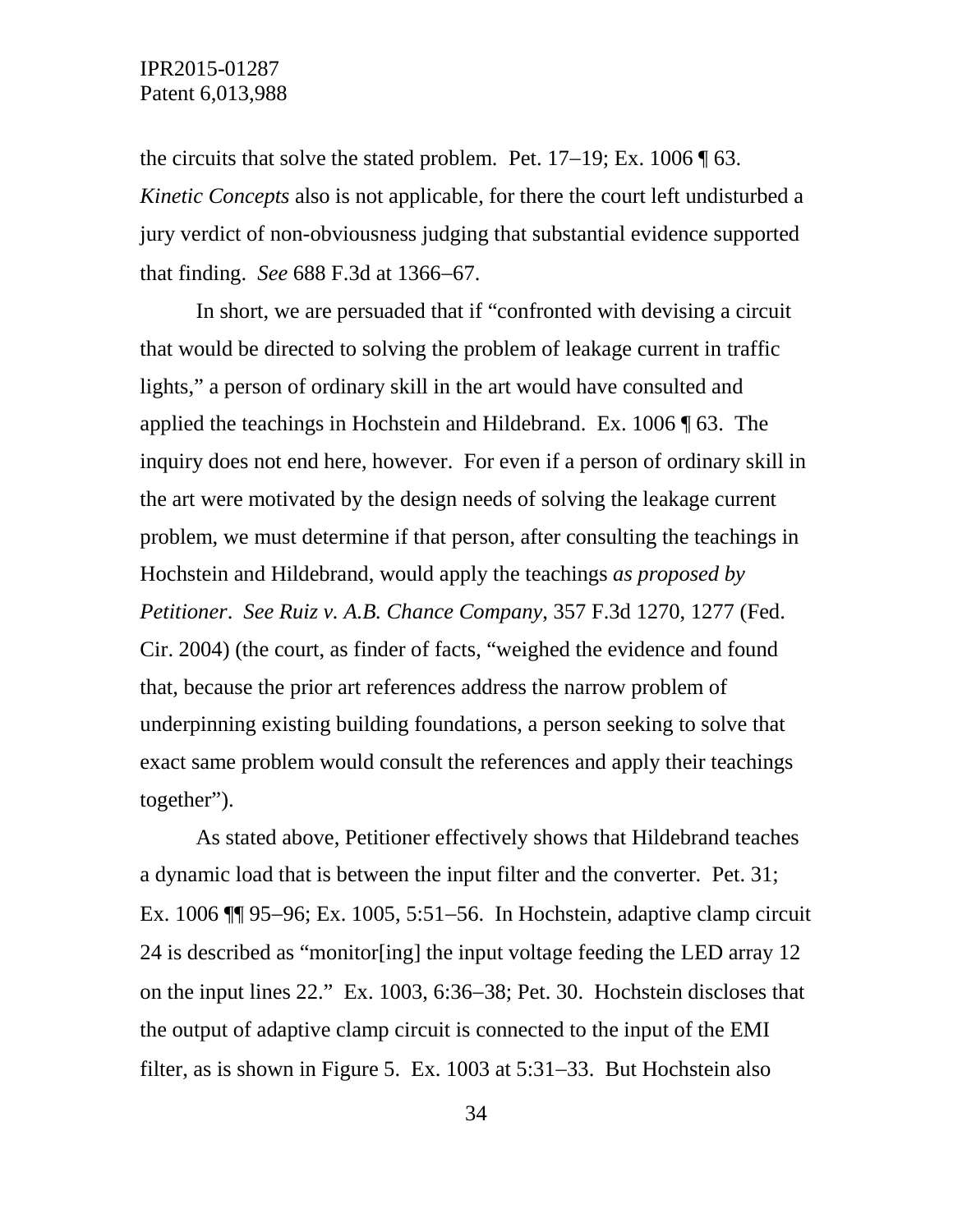the circuits that solve the stated problem. Pet. 17−19; Ex. 1006 ¶ 63. *Kinetic Concepts* also is not applicable, for there the court left undisturbed a jury verdict of non-obviousness judging that substantial evidence supported that finding. *See* 688 F.3d at 1366−67.

In short, we are persuaded that if "confronted with devising a circuit that would be directed to solving the problem of leakage current in traffic lights," a person of ordinary skill in the art would have consulted and applied the teachings in Hochstein and Hildebrand. Ex. 1006 ¶ 63. The inquiry does not end here, however. For even if a person of ordinary skill in the art were motivated by the design needs of solving the leakage current problem, we must determine if that person, after consulting the teachings in Hochstein and Hildebrand, would apply the teachings *as proposed by Petitioner*. *See Ruiz v. A.B. Chance Company*, 357 F.3d 1270, 1277 (Fed. Cir. 2004) (the court, as finder of facts, "weighed the evidence and found that, because the prior art references address the narrow problem of underpinning existing building foundations, a person seeking to solve that exact same problem would consult the references and apply their teachings together").

As stated above, Petitioner effectively shows that Hildebrand teaches a dynamic load that is between the input filter and the converter. Pet. 31; Ex. 1006 ¶¶ 95−96; Ex. 1005, 5:51−56. In Hochstein, adaptive clamp circuit 24 is described as "monitor[ing] the input voltage feeding the LED array 12 on the input lines 22." Ex. 1003, 6:36−38; Pet. 30. Hochstein discloses that the output of adaptive clamp circuit is connected to the input of the EMI filter, as is shown in Figure 5. Ex. 1003 at 5:31−33. But Hochstein also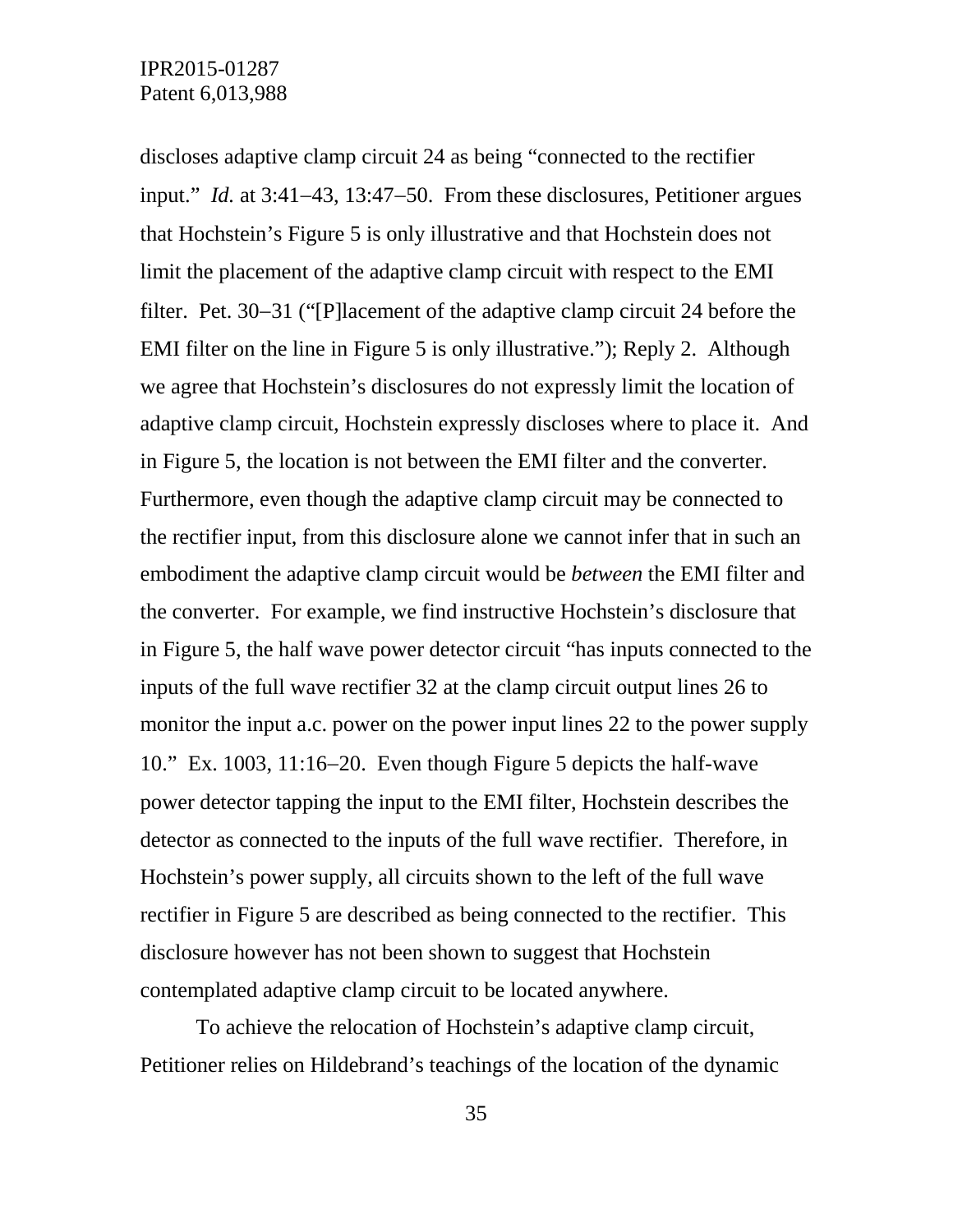discloses adaptive clamp circuit 24 as being "connected to the rectifier input." *Id.* at 3:41−43, 13:47−50. From these disclosures, Petitioner argues that Hochstein's Figure 5 is only illustrative and that Hochstein does not limit the placement of the adaptive clamp circuit with respect to the EMI filter. Pet. 30−31 ("[P]lacement of the adaptive clamp circuit 24 before the EMI filter on the line in Figure 5 is only illustrative."); Reply 2. Although we agree that Hochstein's disclosures do not expressly limit the location of adaptive clamp circuit, Hochstein expressly discloses where to place it. And in Figure 5, the location is not between the EMI filter and the converter. Furthermore, even though the adaptive clamp circuit may be connected to the rectifier input, from this disclosure alone we cannot infer that in such an embodiment the adaptive clamp circuit would be *between* the EMI filter and the converter. For example, we find instructive Hochstein's disclosure that in Figure 5, the half wave power detector circuit "has inputs connected to the inputs of the full wave rectifier 32 at the clamp circuit output lines 26 to monitor the input a.c. power on the power input lines 22 to the power supply 10." Ex. 1003, 11:16−20. Even though Figure 5 depicts the half-wave power detector tapping the input to the EMI filter, Hochstein describes the detector as connected to the inputs of the full wave rectifier. Therefore, in Hochstein's power supply, all circuits shown to the left of the full wave rectifier in Figure 5 are described as being connected to the rectifier. This disclosure however has not been shown to suggest that Hochstein contemplated adaptive clamp circuit to be located anywhere.

To achieve the relocation of Hochstein's adaptive clamp circuit, Petitioner relies on Hildebrand's teachings of the location of the dynamic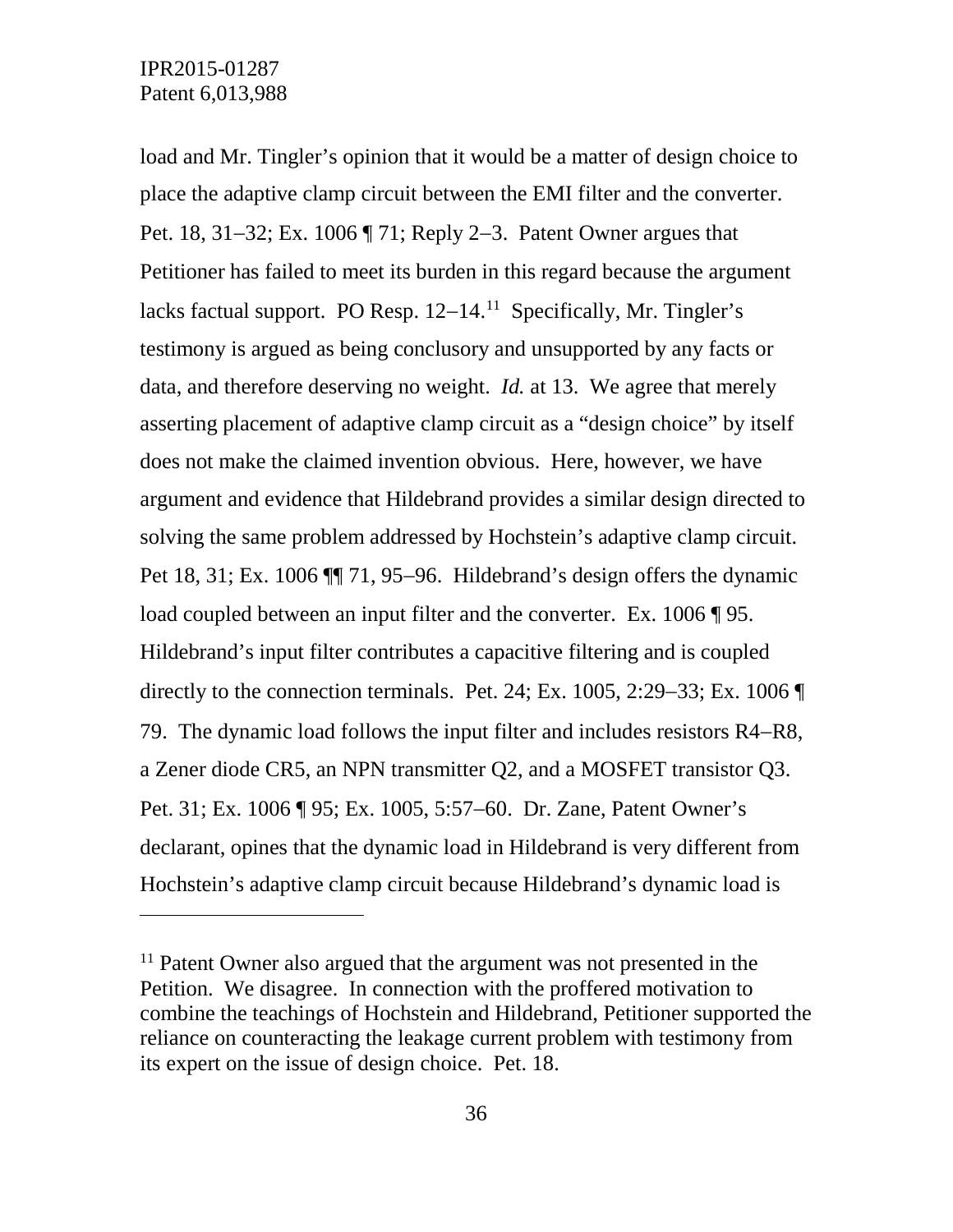$\overline{a}$ 

load and Mr. Tingler's opinion that it would be a matter of design choice to place the adaptive clamp circuit between the EMI filter and the converter. Pet. 18, 31−32; Ex. 1006 ¶ 71; Reply 2−3. Patent Owner argues that Petitioner has failed to meet its burden in this regard because the argument lacks factual support. PO Resp. 12−14. [11](#page-35-0) Specifically, Mr. Tingler's testimony is argued as being conclusory and unsupported by any facts or data, and therefore deserving no weight. *Id.* at 13. We agree that merely asserting placement of adaptive clamp circuit as a "design choice" by itself does not make the claimed invention obvious. Here, however, we have argument and evidence that Hildebrand provides a similar design directed to solving the same problem addressed by Hochstein's adaptive clamp circuit. Pet 18, 31; Ex. 1006 ¶ 71, 95–96. Hildebrand's design offers the dynamic load coupled between an input filter and the converter. Ex. 1006 ¶ 95. Hildebrand's input filter contributes a capacitive filtering and is coupled directly to the connection terminals. Pet. 24; Ex. 1005, 2:29−33; Ex. 1006 ¶ 79. The dynamic load follows the input filter and includes resistors R4−R8, a Zener diode CR5, an NPN transmitter Q2, and a MOSFET transistor Q3. Pet. 31; Ex. 1006 ¶ 95; Ex. 1005, 5:57−60. Dr. Zane, Patent Owner's declarant, opines that the dynamic load in Hildebrand is very different from Hochstein's adaptive clamp circuit because Hildebrand's dynamic load is

<span id="page-35-0"></span><sup>&</sup>lt;sup>11</sup> Patent Owner also argued that the argument was not presented in the Petition. We disagree. In connection with the proffered motivation to combine the teachings of Hochstein and Hildebrand, Petitioner supported the reliance on counteracting the leakage current problem with testimony from its expert on the issue of design choice. Pet. 18.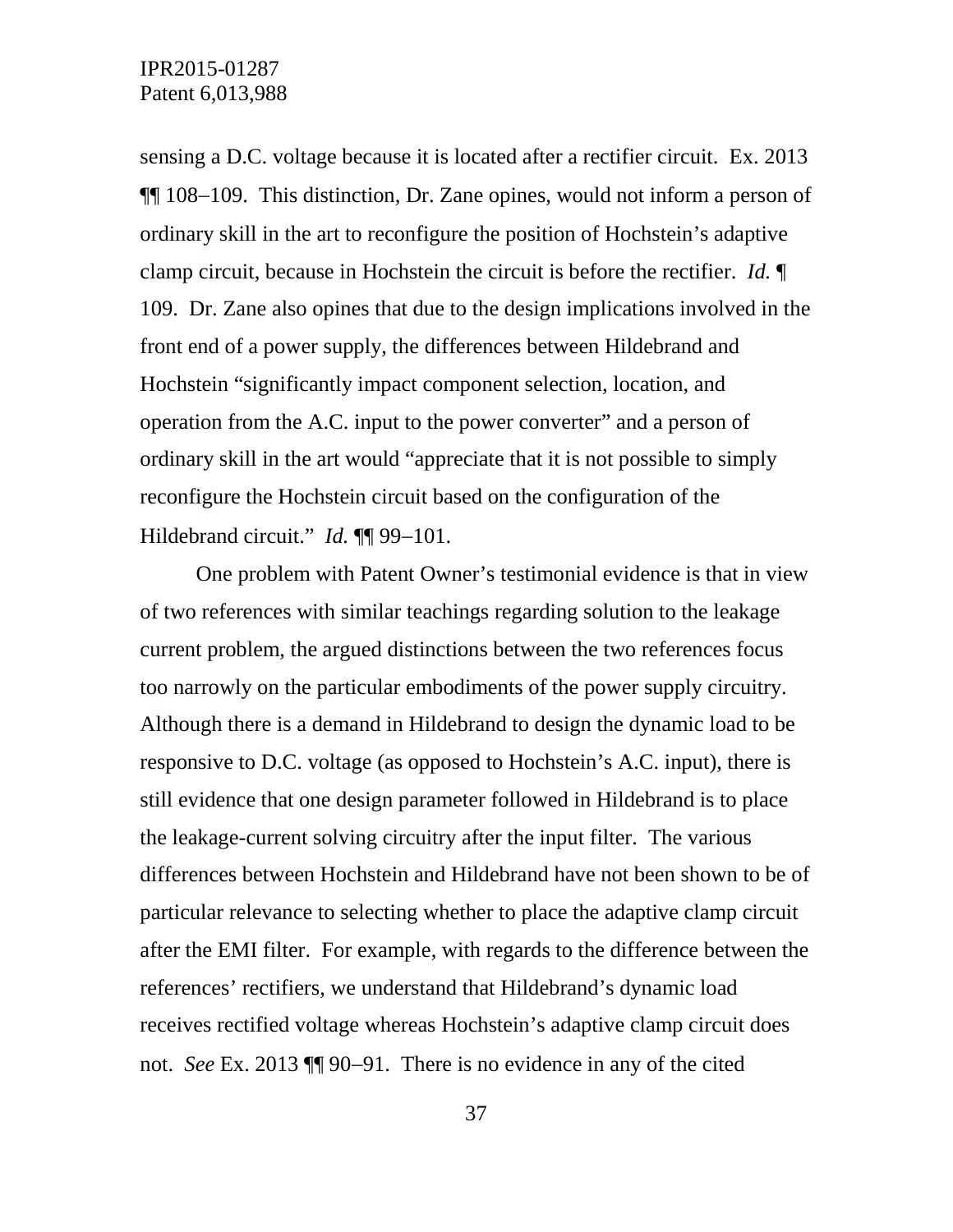sensing a D.C. voltage because it is located after a rectifier circuit. Ex. 2013 ¶¶ 108−109. This distinction, Dr. Zane opines, would not inform a person of ordinary skill in the art to reconfigure the position of Hochstein's adaptive clamp circuit, because in Hochstein the circuit is before the rectifier. *Id.* ¶ 109. Dr. Zane also opines that due to the design implications involved in the front end of a power supply, the differences between Hildebrand and Hochstein "significantly impact component selection, location, and operation from the A.C. input to the power converter" and a person of ordinary skill in the art would "appreciate that it is not possible to simply reconfigure the Hochstein circuit based on the configuration of the Hildebrand circuit." *Id.* ¶¶ 99−101.

One problem with Patent Owner's testimonial evidence is that in view of two references with similar teachings regarding solution to the leakage current problem, the argued distinctions between the two references focus too narrowly on the particular embodiments of the power supply circuitry. Although there is a demand in Hildebrand to design the dynamic load to be responsive to D.C. voltage (as opposed to Hochstein's A.C. input), there is still evidence that one design parameter followed in Hildebrand is to place the leakage-current solving circuitry after the input filter. The various differences between Hochstein and Hildebrand have not been shown to be of particular relevance to selecting whether to place the adaptive clamp circuit after the EMI filter. For example, with regards to the difference between the references' rectifiers, we understand that Hildebrand's dynamic load receives rectified voltage whereas Hochstein's adaptive clamp circuit does not. *See* Ex. 2013 ¶¶ 90−91. There is no evidence in any of the cited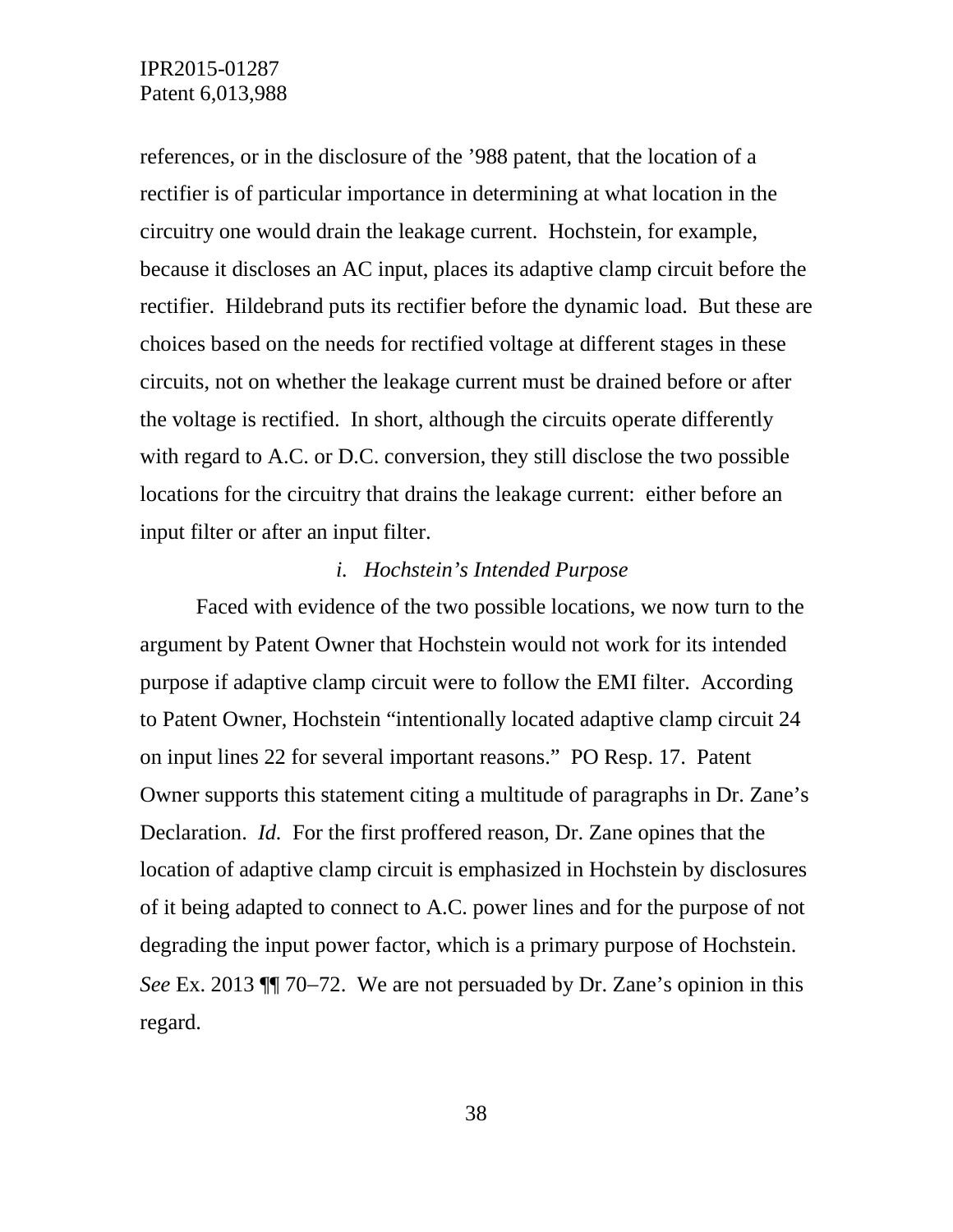references, or in the disclosure of the '988 patent, that the location of a rectifier is of particular importance in determining at what location in the circuitry one would drain the leakage current. Hochstein, for example, because it discloses an AC input, places its adaptive clamp circuit before the rectifier. Hildebrand puts its rectifier before the dynamic load. But these are choices based on the needs for rectified voltage at different stages in these circuits, not on whether the leakage current must be drained before or after the voltage is rectified. In short, although the circuits operate differently with regard to A.C. or D.C. conversion, they still disclose the two possible locations for the circuitry that drains the leakage current: either before an input filter or after an input filter.

#### *i. Hochstein's Intended Purpose*

Faced with evidence of the two possible locations, we now turn to the argument by Patent Owner that Hochstein would not work for its intended purpose if adaptive clamp circuit were to follow the EMI filter. According to Patent Owner, Hochstein "intentionally located adaptive clamp circuit 24 on input lines 22 for several important reasons." PO Resp. 17. Patent Owner supports this statement citing a multitude of paragraphs in Dr. Zane's Declaration. *Id.* For the first proffered reason, Dr. Zane opines that the location of adaptive clamp circuit is emphasized in Hochstein by disclosures of it being adapted to connect to A.C. power lines and for the purpose of not degrading the input power factor, which is a primary purpose of Hochstein. *See* Ex. 2013 ¶¶ 70−72. We are not persuaded by Dr. Zane's opinion in this regard.

38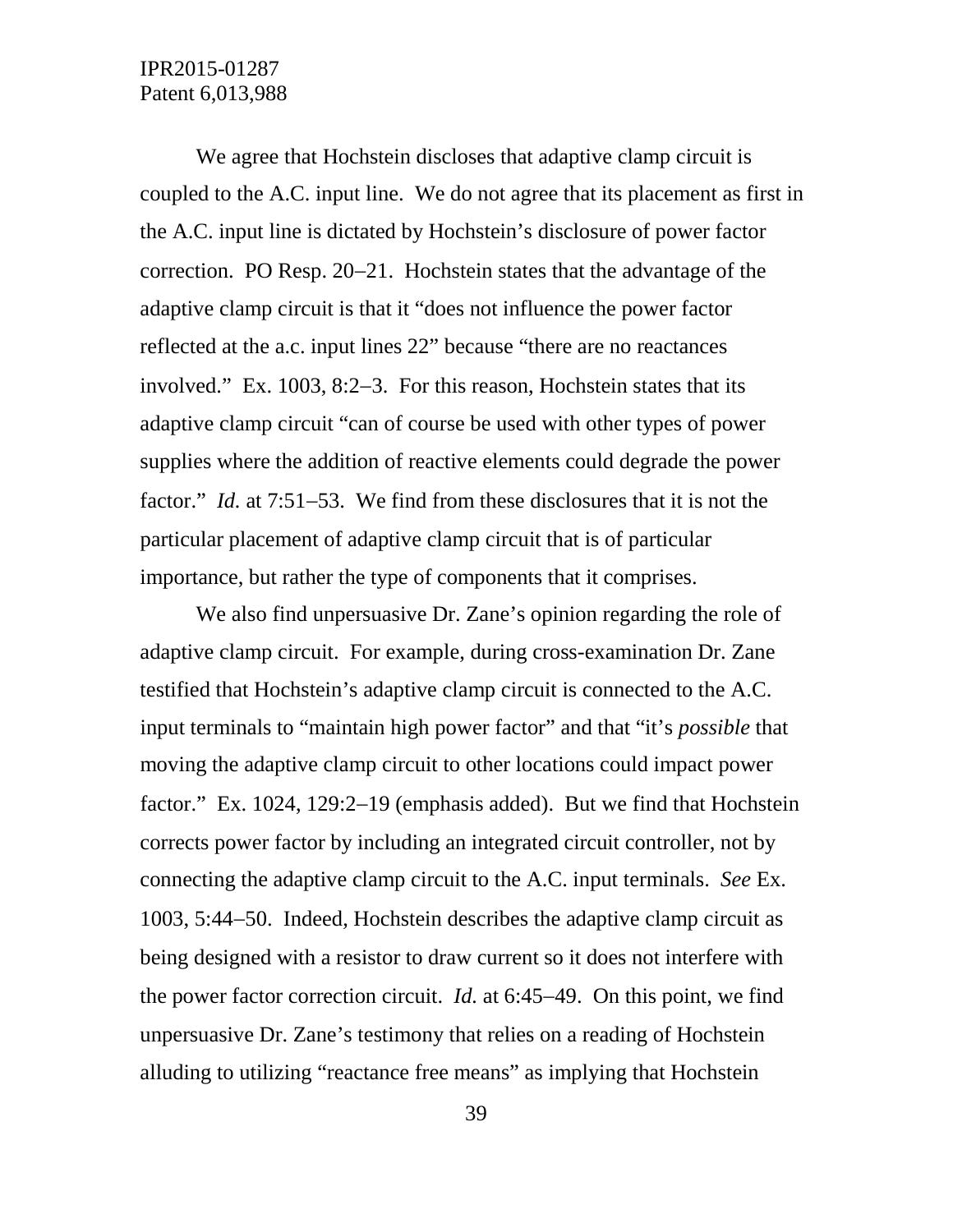We agree that Hochstein discloses that adaptive clamp circuit is coupled to the A.C. input line. We do not agree that its placement as first in the A.C. input line is dictated by Hochstein's disclosure of power factor correction. PO Resp. 20−21. Hochstein states that the advantage of the adaptive clamp circuit is that it "does not influence the power factor reflected at the a.c. input lines 22" because "there are no reactances involved." Ex. 1003, 8:2−3. For this reason, Hochstein states that its adaptive clamp circuit "can of course be used with other types of power supplies where the addition of reactive elements could degrade the power factor." *Id.* at 7:51−53. We find from these disclosures that it is not the particular placement of adaptive clamp circuit that is of particular importance, but rather the type of components that it comprises.

We also find unpersuasive Dr. Zane's opinion regarding the role of adaptive clamp circuit. For example, during cross-examination Dr. Zane testified that Hochstein's adaptive clamp circuit is connected to the A.C. input terminals to "maintain high power factor" and that "it's *possible* that moving the adaptive clamp circuit to other locations could impact power factor." Ex. 1024, 129:2−19 (emphasis added). But we find that Hochstein corrects power factor by including an integrated circuit controller, not by connecting the adaptive clamp circuit to the A.C. input terminals. *See* Ex. 1003, 5:44−50. Indeed, Hochstein describes the adaptive clamp circuit as being designed with a resistor to draw current so it does not interfere with the power factor correction circuit. *Id.* at 6:45−49. On this point, we find unpersuasive Dr. Zane's testimony that relies on a reading of Hochstein alluding to utilizing "reactance free means" as implying that Hochstein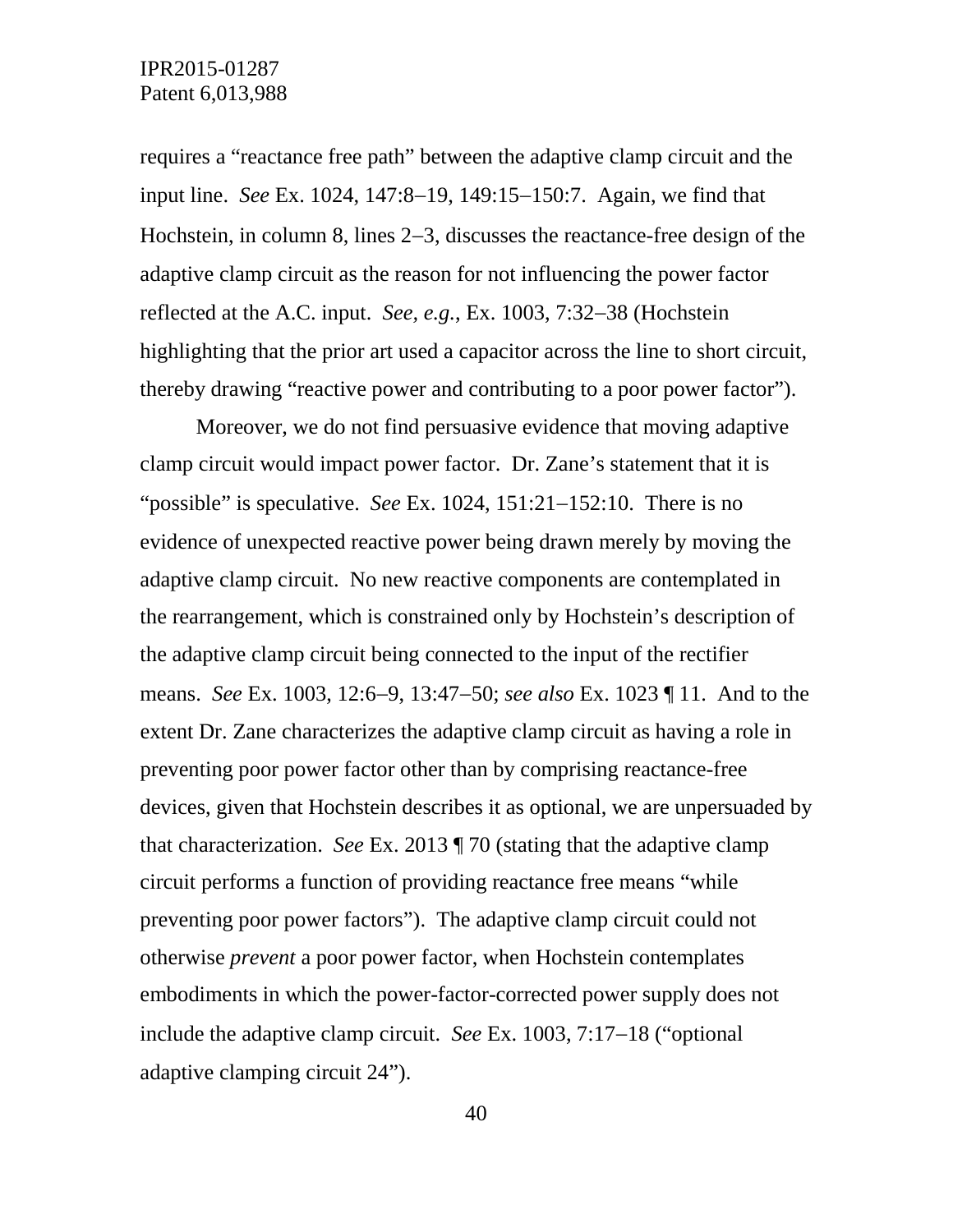requires a "reactance free path" between the adaptive clamp circuit and the input line. *See* Ex. 1024, 147:8−19, 149:15−150:7. Again, we find that Hochstein, in column 8, lines 2−3, discusses the reactance-free design of the adaptive clamp circuit as the reason for not influencing the power factor reflected at the A.C. input. *See, e.g.*, Ex. 1003, 7:32−38 (Hochstein highlighting that the prior art used a capacitor across the line to short circuit, thereby drawing "reactive power and contributing to a poor power factor").

Moreover, we do not find persuasive evidence that moving adaptive clamp circuit would impact power factor. Dr. Zane's statement that it is "possible" is speculative. *See* Ex. 1024, 151:21−152:10. There is no evidence of unexpected reactive power being drawn merely by moving the adaptive clamp circuit. No new reactive components are contemplated in the rearrangement, which is constrained only by Hochstein's description of the adaptive clamp circuit being connected to the input of the rectifier means. *See* Ex. 1003, 12:6−9, 13:47−50; *see also* Ex. 1023 ¶ 11. And to the extent Dr. Zane characterizes the adaptive clamp circuit as having a role in preventing poor power factor other than by comprising reactance-free devices, given that Hochstein describes it as optional, we are unpersuaded by that characterization. *See* Ex. 2013 ¶ 70 (stating that the adaptive clamp circuit performs a function of providing reactance free means "while preventing poor power factors"). The adaptive clamp circuit could not otherwise *prevent* a poor power factor, when Hochstein contemplates embodiments in which the power-factor-corrected power supply does not include the adaptive clamp circuit. *See* Ex. 1003, 7:17−18 ("optional adaptive clamping circuit 24").

40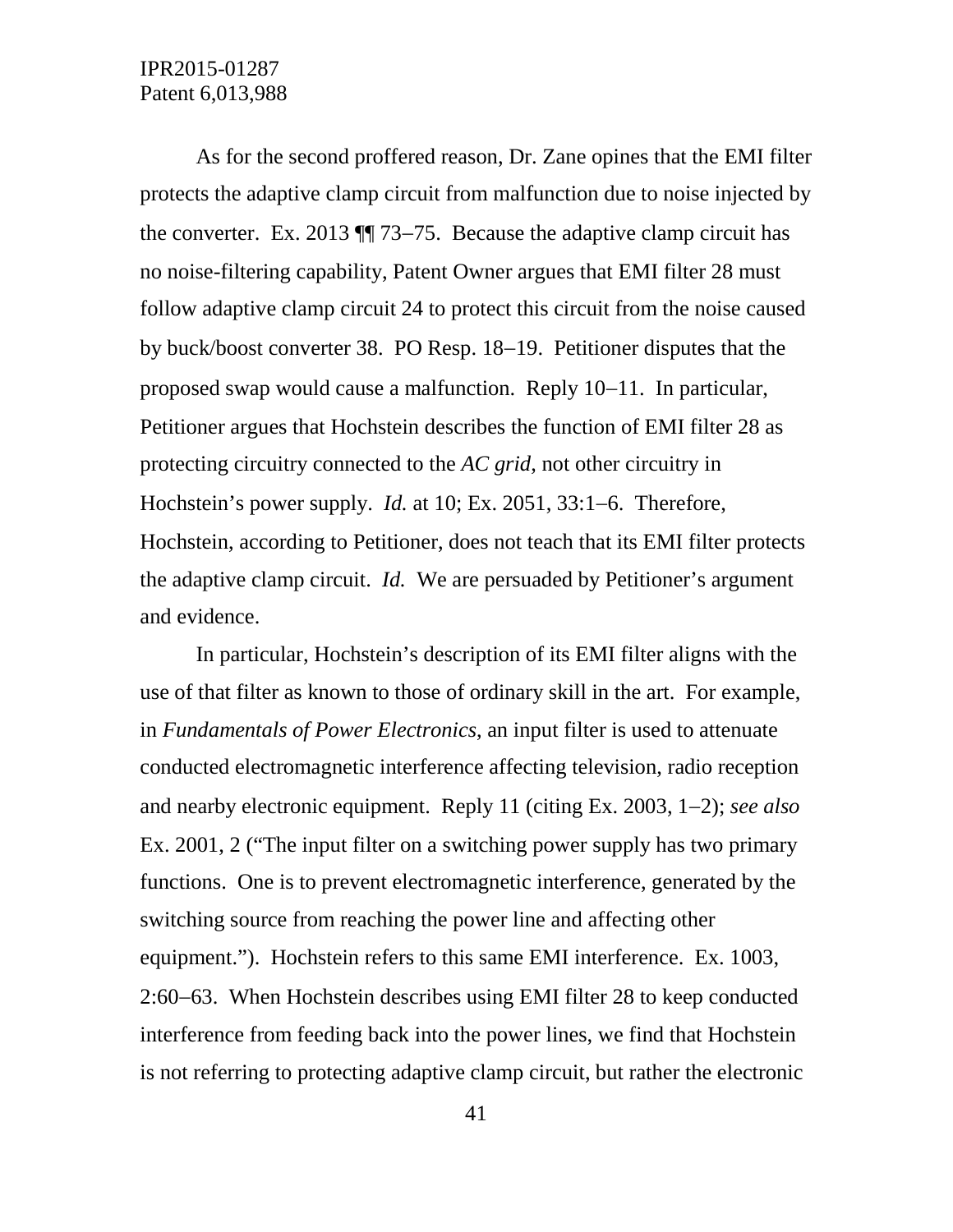As for the second proffered reason, Dr. Zane opines that the EMI filter protects the adaptive clamp circuit from malfunction due to noise injected by the converter. Ex. 2013 ¶¶ 73−75. Because the adaptive clamp circuit has no noise-filtering capability, Patent Owner argues that EMI filter 28 must follow adaptive clamp circuit 24 to protect this circuit from the noise caused by buck/boost converter 38. PO Resp. 18−19. Petitioner disputes that the proposed swap would cause a malfunction. Reply 10−11. In particular, Petitioner argues that Hochstein describes the function of EMI filter 28 as protecting circuitry connected to the *AC grid*, not other circuitry in Hochstein's power supply. *Id.* at 10; Ex. 2051, 33:1−6. Therefore, Hochstein, according to Petitioner, does not teach that its EMI filter protects the adaptive clamp circuit. *Id.* We are persuaded by Petitioner's argument and evidence.

In particular, Hochstein's description of its EMI filter aligns with the use of that filter as known to those of ordinary skill in the art. For example, in *Fundamentals of Power Electronics*, an input filter is used to attenuate conducted electromagnetic interference affecting television, radio reception and nearby electronic equipment. Reply 11 (citing Ex. 2003, 1−2); *see also*  Ex. 2001, 2 ("The input filter on a switching power supply has two primary functions. One is to prevent electromagnetic interference, generated by the switching source from reaching the power line and affecting other equipment."). Hochstein refers to this same EMI interference. Ex. 1003, 2:60−63. When Hochstein describes using EMI filter 28 to keep conducted interference from feeding back into the power lines, we find that Hochstein is not referring to protecting adaptive clamp circuit, but rather the electronic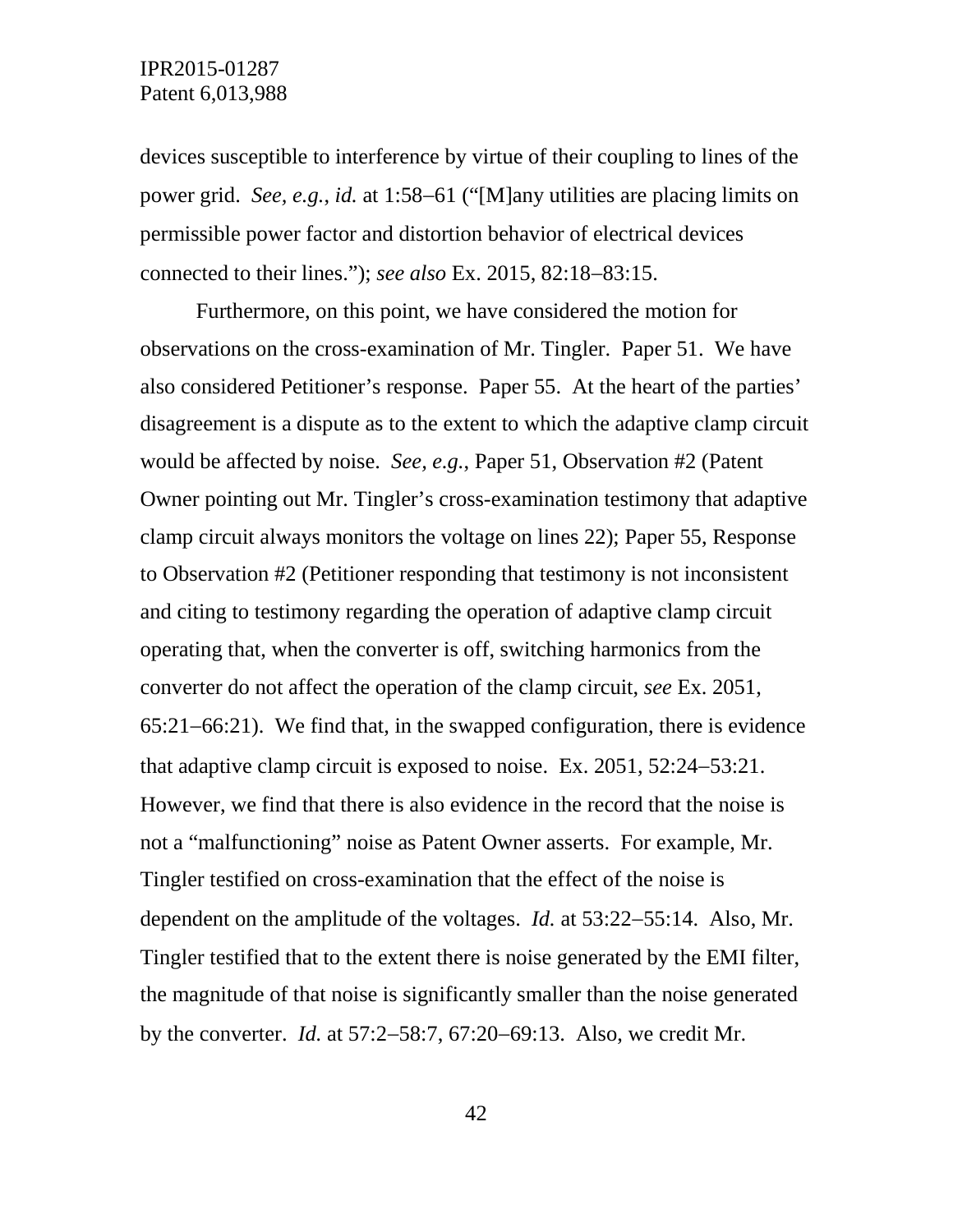devices susceptible to interference by virtue of their coupling to lines of the power grid. *See, e.g.*, *id.* at 1:58−61 ("[M]any utilities are placing limits on permissible power factor and distortion behavior of electrical devices connected to their lines."); *see also* Ex. 2015, 82:18−83:15.

Furthermore, on this point, we have considered the motion for observations on the cross-examination of Mr. Tingler. Paper 51. We have also considered Petitioner's response. Paper 55. At the heart of the parties' disagreement is a dispute as to the extent to which the adaptive clamp circuit would be affected by noise. *See, e.g.*, Paper 51, Observation #2 (Patent Owner pointing out Mr. Tingler's cross-examination testimony that adaptive clamp circuit always monitors the voltage on lines 22); Paper 55, Response to Observation #2 (Petitioner responding that testimony is not inconsistent and citing to testimony regarding the operation of adaptive clamp circuit operating that, when the converter is off, switching harmonics from the converter do not affect the operation of the clamp circuit, *see* Ex. 2051, 65:21−66:21). We find that, in the swapped configuration, there is evidence that adaptive clamp circuit is exposed to noise. Ex. 2051, 52:24−53:21. However, we find that there is also evidence in the record that the noise is not a "malfunctioning" noise as Patent Owner asserts. For example, Mr. Tingler testified on cross-examination that the effect of the noise is dependent on the amplitude of the voltages. *Id.* at 53:22−55:14. Also, Mr. Tingler testified that to the extent there is noise generated by the EMI filter, the magnitude of that noise is significantly smaller than the noise generated by the converter. *Id.* at 57:2−58:7, 67:20−69:13. Also, we credit Mr.

42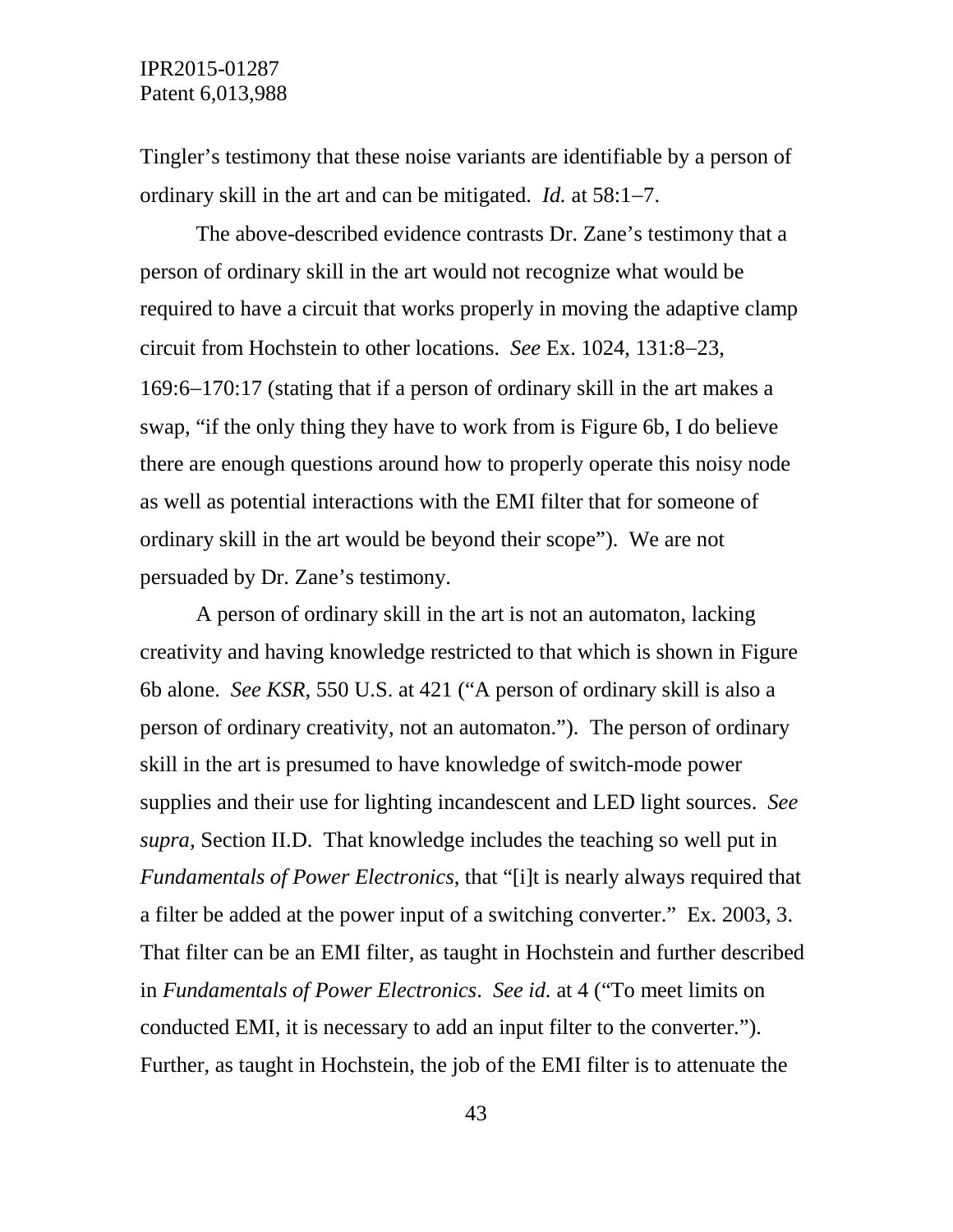Tingler's testimony that these noise variants are identifiable by a person of ordinary skill in the art and can be mitigated. *Id.* at 58:1−7.

The above-described evidence contrasts Dr. Zane's testimony that a person of ordinary skill in the art would not recognize what would be required to have a circuit that works properly in moving the adaptive clamp circuit from Hochstein to other locations. *See* Ex. 1024, 131:8−23, 169:6−170:17 (stating that if a person of ordinary skill in the art makes a swap, "if the only thing they have to work from is Figure 6b, I do believe there are enough questions around how to properly operate this noisy node as well as potential interactions with the EMI filter that for someone of ordinary skill in the art would be beyond their scope"). We are not persuaded by Dr. Zane's testimony.

A person of ordinary skill in the art is not an automaton, lacking creativity and having knowledge restricted to that which is shown in Figure 6b alone. *See KSR*, 550 U.S. at 421 ("A person of ordinary skill is also a person of ordinary creativity, not an automaton."). The person of ordinary skill in the art is presumed to have knowledge of switch-mode power supplies and their use for lighting incandescent and LED light sources. *See supra,* Section II.D. That knowledge includes the teaching so well put in *Fundamentals of Power Electronics*, that "[i]t is nearly always required that a filter be added at the power input of a switching converter." Ex. 2003, 3. That filter can be an EMI filter, as taught in Hochstein and further described in *Fundamentals of Power Electronics*. *See id.* at 4 ("To meet limits on conducted EMI, it is necessary to add an input filter to the converter."). Further, as taught in Hochstein, the job of the EMI filter is to attenuate the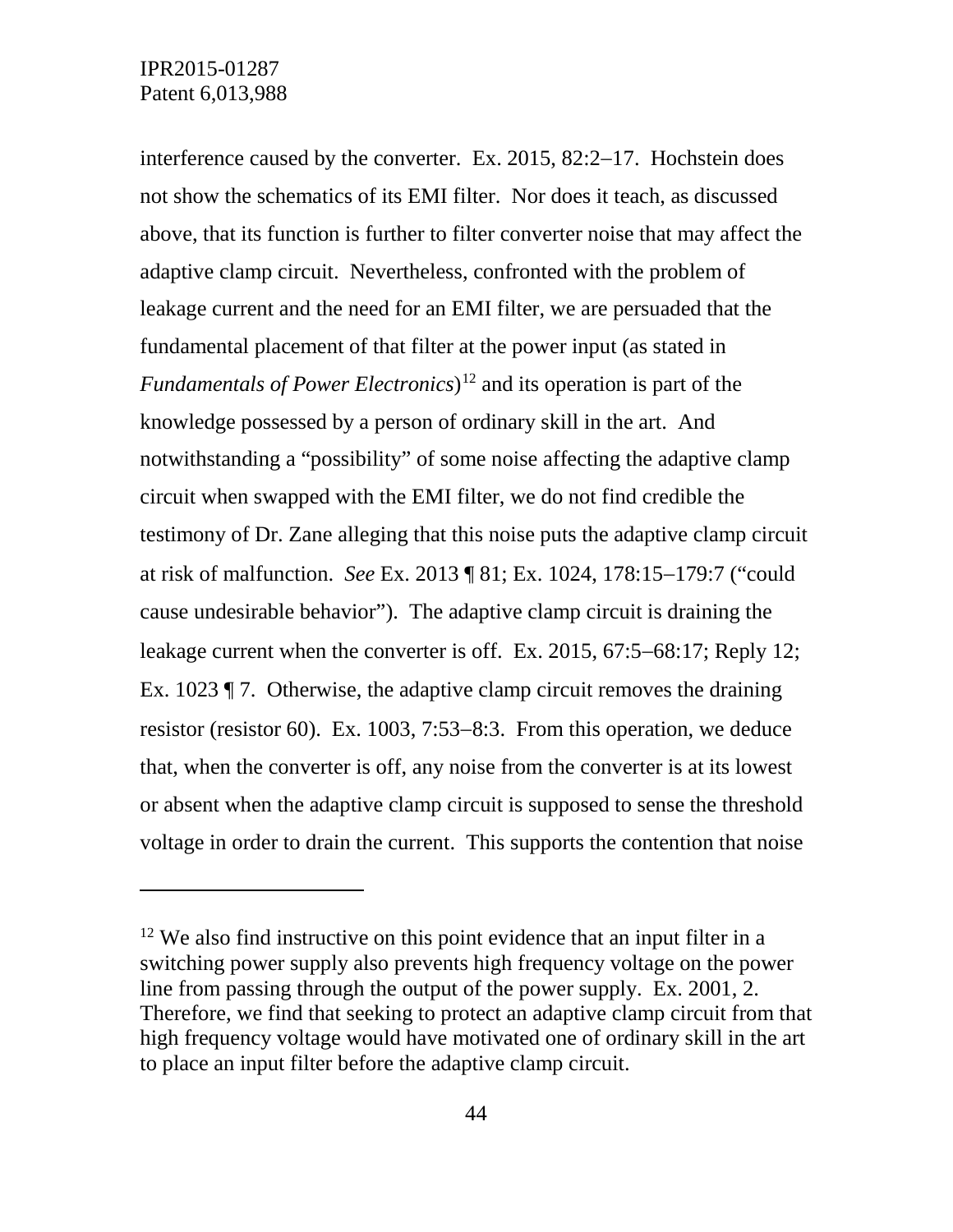$\overline{a}$ 

interference caused by the converter. Ex. 2015, 82:2−17. Hochstein does not show the schematics of its EMI filter. Nor does it teach, as discussed above, that its function is further to filter converter noise that may affect the adaptive clamp circuit. Nevertheless, confronted with the problem of leakage current and the need for an EMI filter, we are persuaded that the fundamental placement of that filter at the power input (as stated in *Fundamentals of Power Electronics*)<sup>[12](#page-43-0)</sup> and its operation is part of the knowledge possessed by a person of ordinary skill in the art. And notwithstanding a "possibility" of some noise affecting the adaptive clamp circuit when swapped with the EMI filter, we do not find credible the testimony of Dr. Zane alleging that this noise puts the adaptive clamp circuit at risk of malfunction. *See* Ex. 2013 ¶ 81; Ex. 1024, 178:15−179:7 ("could cause undesirable behavior"). The adaptive clamp circuit is draining the leakage current when the converter is off. Ex. 2015, 67:5−68:17; Reply 12; Ex. 1023 ¶ 7. Otherwise, the adaptive clamp circuit removes the draining resistor (resistor 60). Ex. 1003, 7:53−8:3. From this operation, we deduce that, when the converter is off, any noise from the converter is at its lowest or absent when the adaptive clamp circuit is supposed to sense the threshold voltage in order to drain the current. This supports the contention that noise

<span id="page-43-0"></span> $12$  We also find instructive on this point evidence that an input filter in a switching power supply also prevents high frequency voltage on the power line from passing through the output of the power supply. Ex. 2001, 2. Therefore, we find that seeking to protect an adaptive clamp circuit from that high frequency voltage would have motivated one of ordinary skill in the art to place an input filter before the adaptive clamp circuit.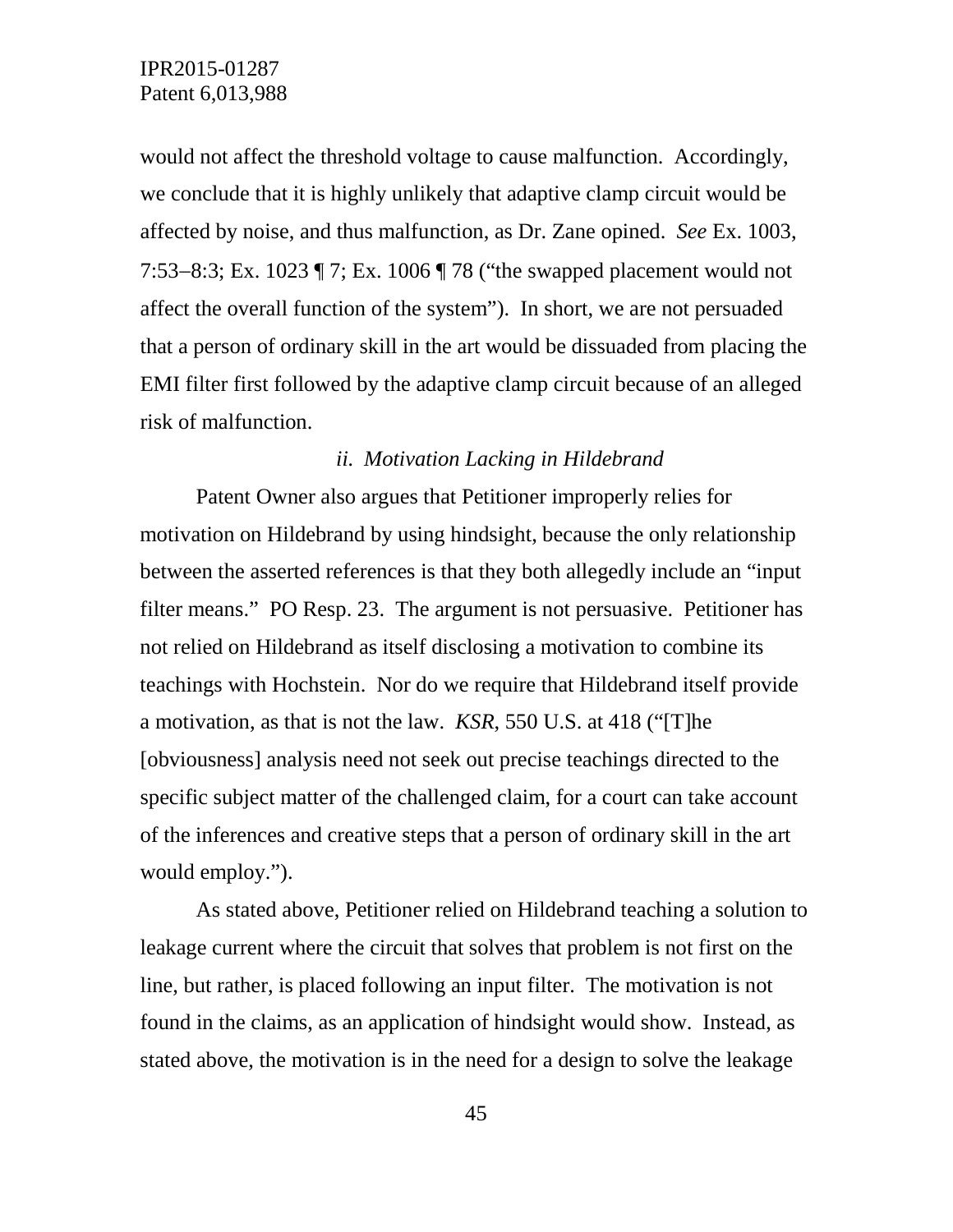would not affect the threshold voltage to cause malfunction. Accordingly, we conclude that it is highly unlikely that adaptive clamp circuit would be affected by noise, and thus malfunction, as Dr. Zane opined. *See* Ex. 1003, 7:53−8:3; Ex. 1023 ¶ 7; Ex. 1006 ¶ 78 ("the swapped placement would not affect the overall function of the system"). In short, we are not persuaded that a person of ordinary skill in the art would be dissuaded from placing the EMI filter first followed by the adaptive clamp circuit because of an alleged risk of malfunction.

#### *ii. Motivation Lacking in Hildebrand*

Patent Owner also argues that Petitioner improperly relies for motivation on Hildebrand by using hindsight, because the only relationship between the asserted references is that they both allegedly include an "input filter means." PO Resp. 23. The argument is not persuasive. Petitioner has not relied on Hildebrand as itself disclosing a motivation to combine its teachings with Hochstein. Nor do we require that Hildebrand itself provide a motivation, as that is not the law. *KSR*, 550 U.S. at 418 ("[T]he [obviousness] analysis need not seek out precise teachings directed to the specific subject matter of the challenged claim, for a court can take account of the inferences and creative steps that a person of ordinary skill in the art would employ.").

As stated above, Petitioner relied on Hildebrand teaching a solution to leakage current where the circuit that solves that problem is not first on the line, but rather, is placed following an input filter. The motivation is not found in the claims, as an application of hindsight would show. Instead, as stated above, the motivation is in the need for a design to solve the leakage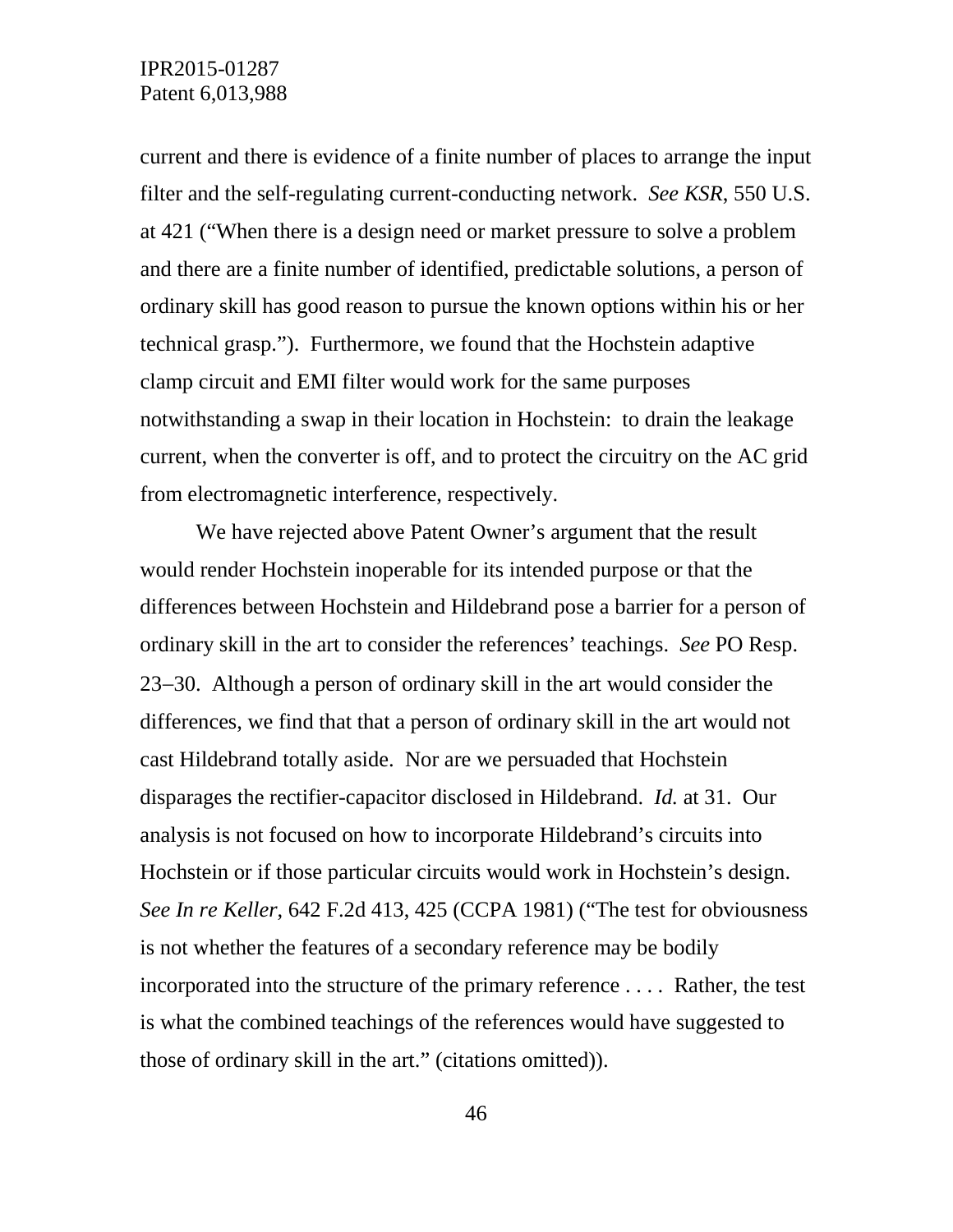current and there is evidence of a finite number of places to arrange the input filter and the self-regulating current-conducting network. *See KSR*, 550 U.S. at 421 ("When there is a design need or market pressure to solve a problem and there are a finite number of identified, predictable solutions, a person of ordinary skill has good reason to pursue the known options within his or her technical grasp."). Furthermore, we found that the Hochstein adaptive clamp circuit and EMI filter would work for the same purposes notwithstanding a swap in their location in Hochstein: to drain the leakage current, when the converter is off, and to protect the circuitry on the AC grid from electromagnetic interference, respectively.

We have rejected above Patent Owner's argument that the result would render Hochstein inoperable for its intended purpose or that the differences between Hochstein and Hildebrand pose a barrier for a person of ordinary skill in the art to consider the references' teachings. *See* PO Resp. 23−30. Although a person of ordinary skill in the art would consider the differences, we find that that a person of ordinary skill in the art would not cast Hildebrand totally aside. Nor are we persuaded that Hochstein disparages the rectifier-capacitor disclosed in Hildebrand. *Id.* at 31. Our analysis is not focused on how to incorporate Hildebrand's circuits into Hochstein or if those particular circuits would work in Hochstein's design. *See In re Keller*, 642 F.2d 413, 425 (CCPA 1981) ("The test for obviousness is not whether the features of a secondary reference may be bodily incorporated into the structure of the primary reference . . . . Rather, the test is what the combined teachings of the references would have suggested to those of ordinary skill in the art." (citations omitted)).

46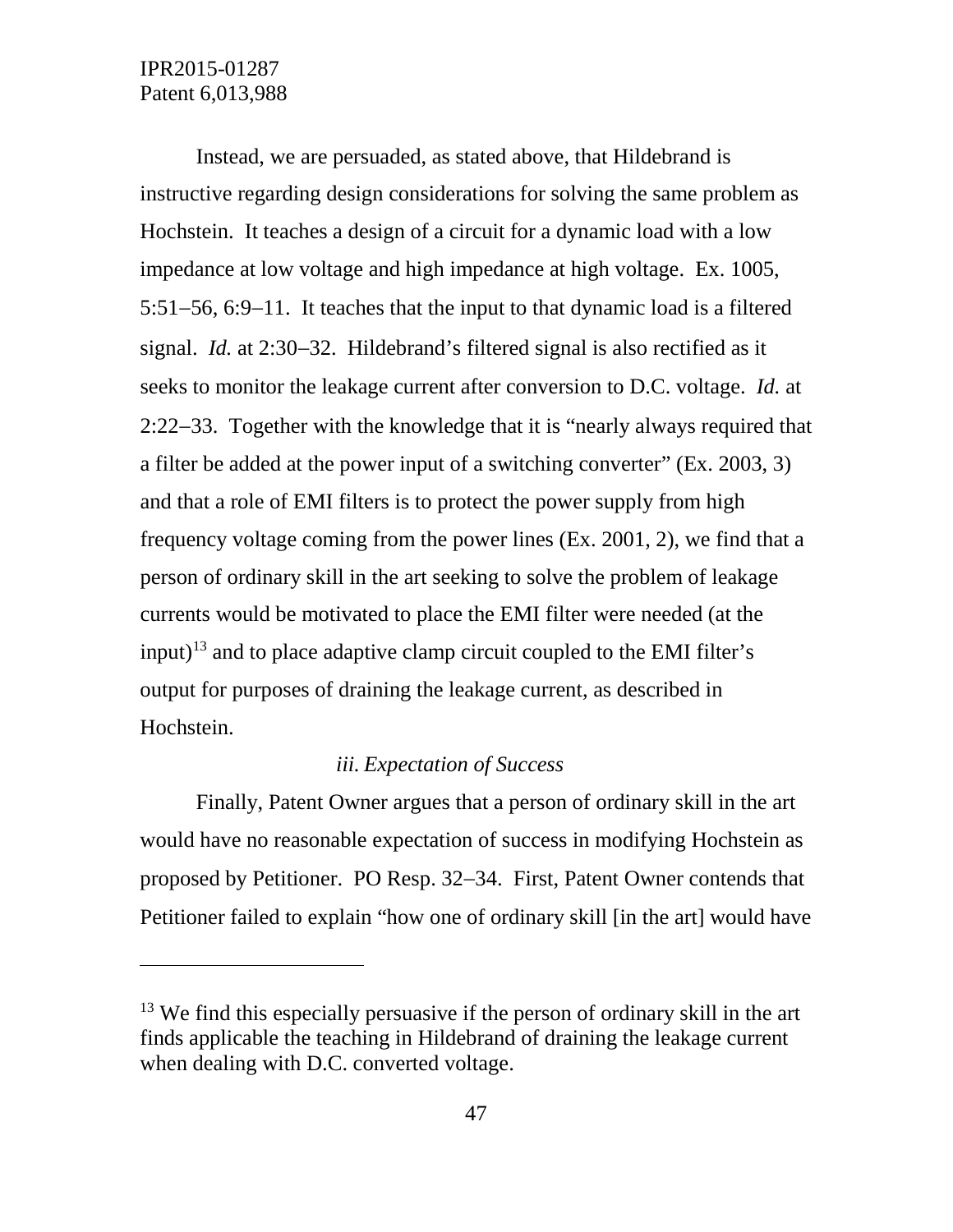$\overline{a}$ 

Instead, we are persuaded, as stated above, that Hildebrand is instructive regarding design considerations for solving the same problem as Hochstein. It teaches a design of a circuit for a dynamic load with a low impedance at low voltage and high impedance at high voltage. Ex. 1005, 5:51−56, 6:9−11. It teaches that the input to that dynamic load is a filtered signal. *Id.* at 2:30−32. Hildebrand's filtered signal is also rectified as it seeks to monitor the leakage current after conversion to D.C. voltage. *Id.* at 2:22−33. Together with the knowledge that it is "nearly always required that a filter be added at the power input of a switching converter" (Ex. 2003, 3) and that a role of EMI filters is to protect the power supply from high frequency voltage coming from the power lines (Ex. 2001, 2), we find that a person of ordinary skill in the art seeking to solve the problem of leakage currents would be motivated to place the EMI filter were needed (at the input)<sup>[13](#page-46-0)</sup> and to place adaptive clamp circuit coupled to the EMI filter's output for purposes of draining the leakage current, as described in Hochstein.

## *iii. Expectation of Success*

Finally, Patent Owner argues that a person of ordinary skill in the art would have no reasonable expectation of success in modifying Hochstein as proposed by Petitioner. PO Resp. 32−34. First, Patent Owner contends that Petitioner failed to explain "how one of ordinary skill [in the art] would have

<span id="page-46-0"></span><sup>&</sup>lt;sup>13</sup> We find this especially persuasive if the person of ordinary skill in the art finds applicable the teaching in Hildebrand of draining the leakage current when dealing with D.C. converted voltage.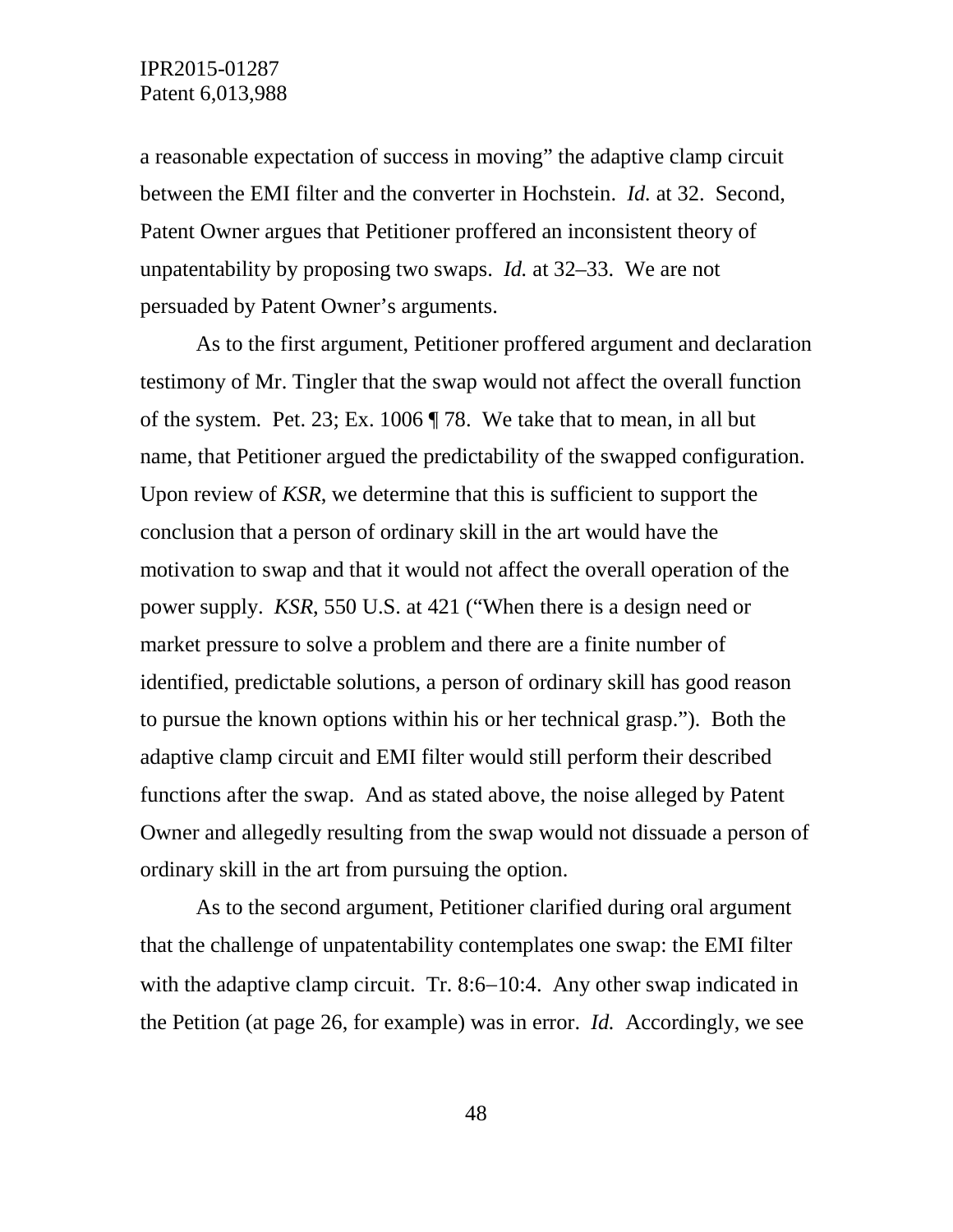a reasonable expectation of success in moving" the adaptive clamp circuit between the EMI filter and the converter in Hochstein. *Id.* at 32. Second, Patent Owner argues that Petitioner proffered an inconsistent theory of unpatentability by proposing two swaps. *Id.* at 32–33. We are not persuaded by Patent Owner's arguments.

As to the first argument, Petitioner proffered argument and declaration testimony of Mr. Tingler that the swap would not affect the overall function of the system. Pet. 23; Ex. 1006 ¶ 78. We take that to mean, in all but name, that Petitioner argued the predictability of the swapped configuration. Upon review of *KSR*, we determine that this is sufficient to support the conclusion that a person of ordinary skill in the art would have the motivation to swap and that it would not affect the overall operation of the power supply. *KSR*, 550 U.S. at 421 ("When there is a design need or market pressure to solve a problem and there are a finite number of identified, predictable solutions, a person of ordinary skill has good reason to pursue the known options within his or her technical grasp."). Both the adaptive clamp circuit and EMI filter would still perform their described functions after the swap. And as stated above, the noise alleged by Patent Owner and allegedly resulting from the swap would not dissuade a person of ordinary skill in the art from pursuing the option.

As to the second argument, Petitioner clarified during oral argument that the challenge of unpatentability contemplates one swap: the EMI filter with the adaptive clamp circuit. Tr. 8:6–10:4. Any other swap indicated in the Petition (at page 26, for example) was in error. *Id.* Accordingly, we see

48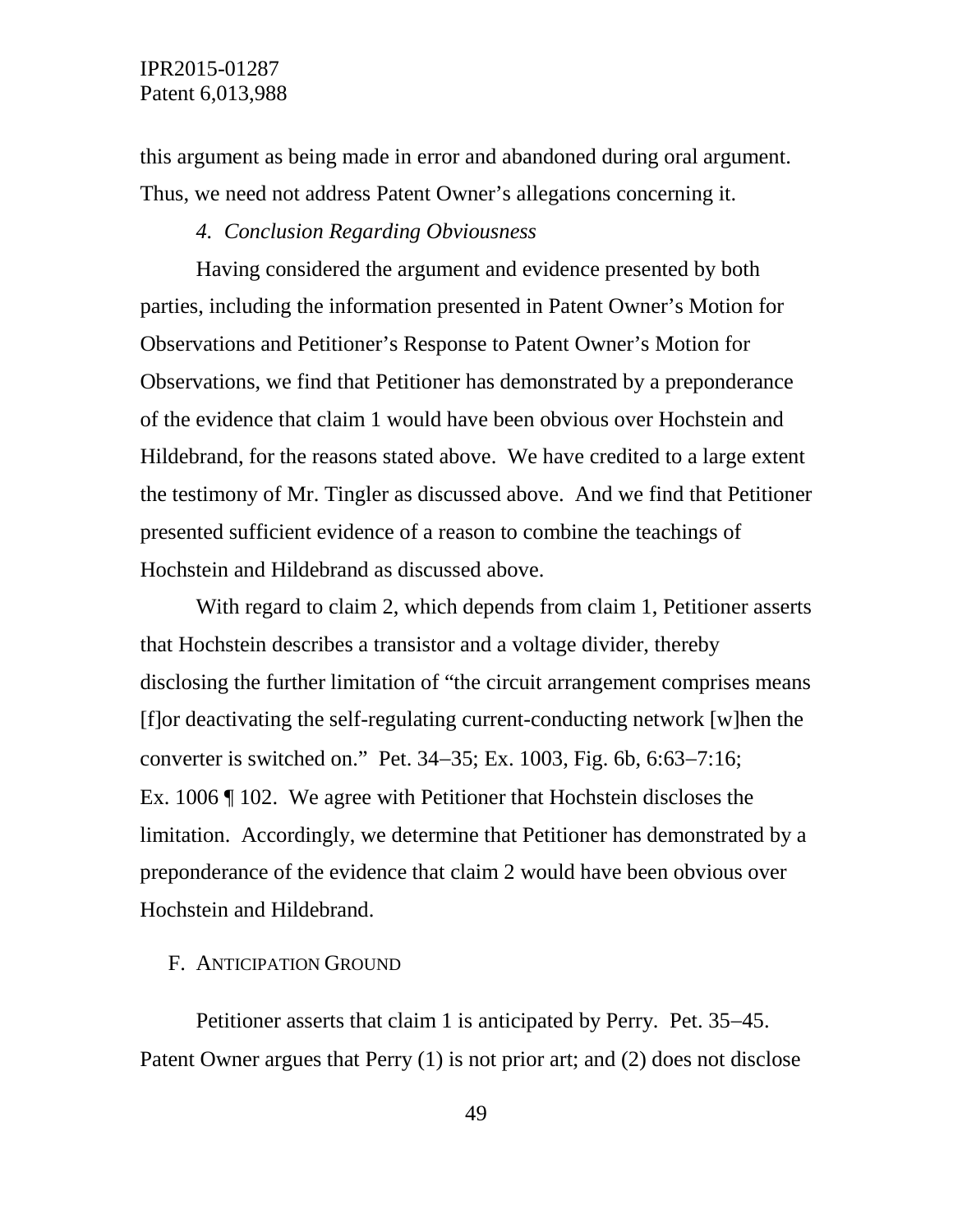this argument as being made in error and abandoned during oral argument. Thus, we need not address Patent Owner's allegations concerning it.

#### *4. Conclusion Regarding Obviousness*

Having considered the argument and evidence presented by both parties, including the information presented in Patent Owner's Motion for Observations and Petitioner's Response to Patent Owner's Motion for Observations, we find that Petitioner has demonstrated by a preponderance of the evidence that claim 1 would have been obvious over Hochstein and Hildebrand, for the reasons stated above. We have credited to a large extent the testimony of Mr. Tingler as discussed above. And we find that Petitioner presented sufficient evidence of a reason to combine the teachings of Hochstein and Hildebrand as discussed above.

With regard to claim 2, which depends from claim 1, Petitioner asserts that Hochstein describes a transistor and a voltage divider, thereby disclosing the further limitation of "the circuit arrangement comprises means [f]or deactivating the self-regulating current-conducting network [w]hen the converter is switched on." Pet. 34−35; Ex. 1003, Fig. 6b, 6:63−7:16; Ex. 1006 ¶ 102. We agree with Petitioner that Hochstein discloses the limitation. Accordingly, we determine that Petitioner has demonstrated by a preponderance of the evidence that claim 2 would have been obvious over Hochstein and Hildebrand.

#### F. ANTICIPATION GROUND

Petitioner asserts that claim 1 is anticipated by Perry. Pet. 35−45. Patent Owner argues that Perry (1) is not prior art; and (2) does not disclose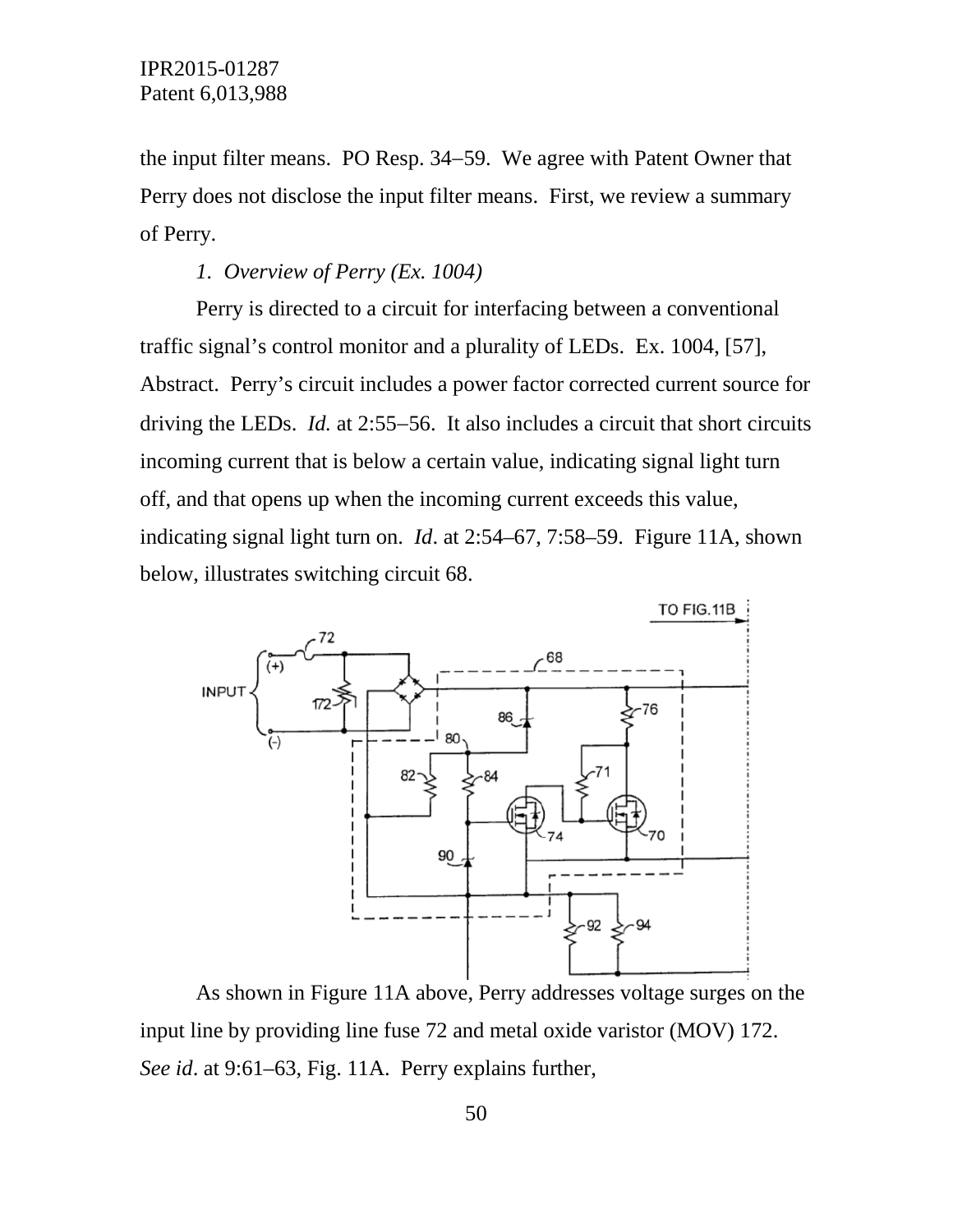the input filter means. PO Resp. 34−59. We agree with Patent Owner that Perry does not disclose the input filter means. First, we review a summary of Perry.

## *1. Overview of Perry (Ex. 1004)*

Perry is directed to a circuit for interfacing between a conventional traffic signal's control monitor and a plurality of LEDs. Ex. 1004, [57], Abstract. Perry's circuit includes a power factor corrected current source for driving the LEDs. *Id.* at 2:55−56. It also includes a circuit that short circuits incoming current that is below a certain value, indicating signal light turn off, and that opens up when the incoming current exceeds this value, indicating signal light turn on. *Id*. at 2:54–67, 7:58–59. Figure 11A, shown below, illustrates switching circuit 68.



As shown in Figure 11A above, Perry addresses voltage surges on the input line by providing line fuse 72 and metal oxide varistor (MOV) 172. *See id*. at 9:61–63, Fig. 11A. Perry explains further,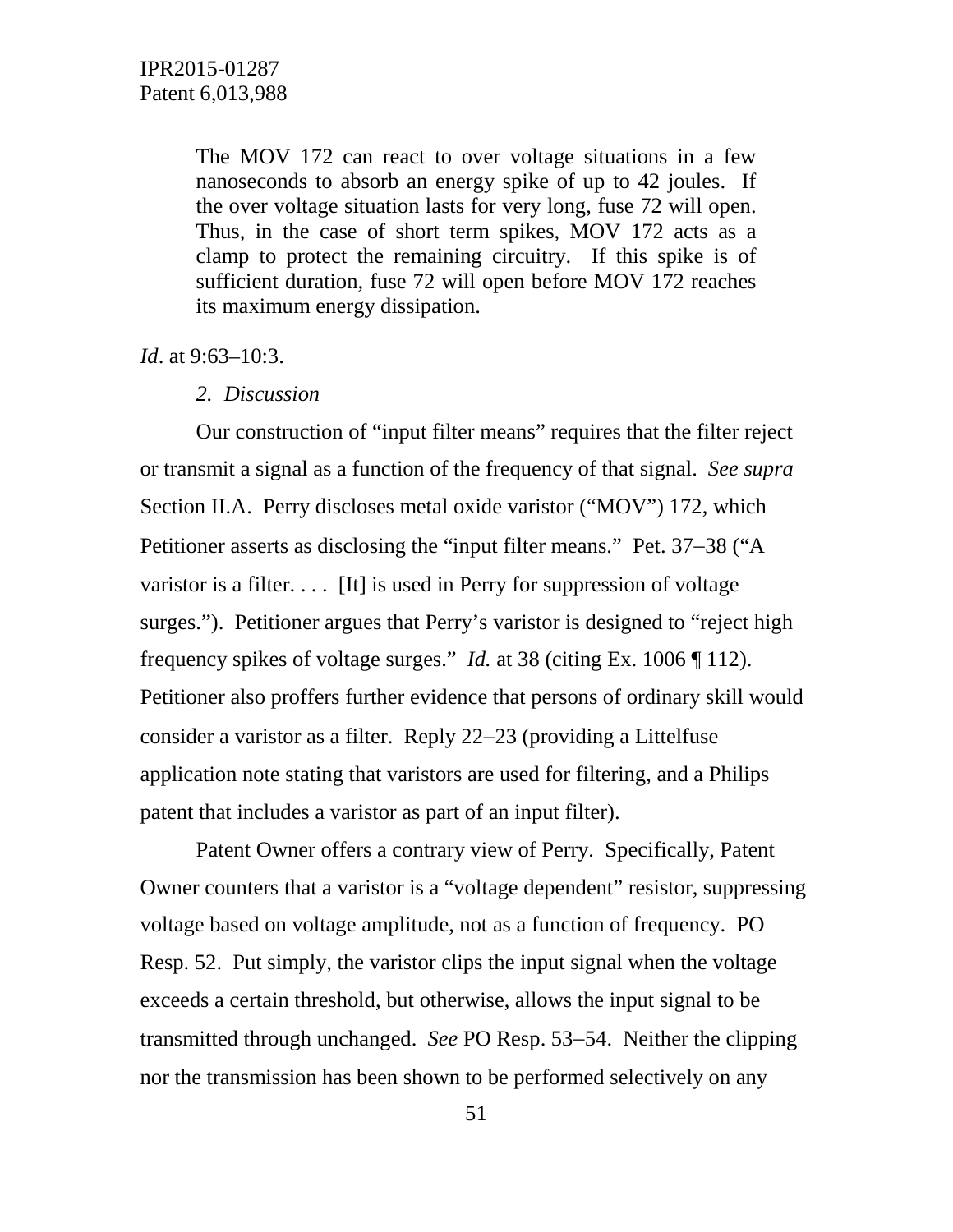The MOV 172 can react to over voltage situations in a few nanoseconds to absorb an energy spike of up to 42 joules. If the over voltage situation lasts for very long, fuse 72 will open. Thus, in the case of short term spikes, MOV 172 acts as a clamp to protect the remaining circuitry. If this spike is of sufficient duration, fuse 72 will open before MOV 172 reaches its maximum energy dissipation.

*Id.* at 9:63–10:3.

#### *2. Discussion*

Our construction of "input filter means" requires that the filter reject or transmit a signal as a function of the frequency of that signal. *See supra*  Section II.A. Perry discloses metal oxide varistor ("MOV") 172, which Petitioner asserts as disclosing the "input filter means." Pet. 37−38 ("A varistor is a filter.... [It] is used in Perry for suppression of voltage surges."). Petitioner argues that Perry's varistor is designed to "reject high frequency spikes of voltage surges." *Id.* at 38 (citing Ex. 1006 ¶ 112). Petitioner also proffers further evidence that persons of ordinary skill would consider a varistor as a filter. Reply 22−23 (providing a Littelfuse application note stating that varistors are used for filtering, and a Philips patent that includes a varistor as part of an input filter).

Patent Owner offers a contrary view of Perry. Specifically, Patent Owner counters that a varistor is a "voltage dependent" resistor, suppressing voltage based on voltage amplitude, not as a function of frequency. PO Resp. 52. Put simply, the varistor clips the input signal when the voltage exceeds a certain threshold, but otherwise, allows the input signal to be transmitted through unchanged. *See* PO Resp. 53−54. Neither the clipping nor the transmission has been shown to be performed selectively on any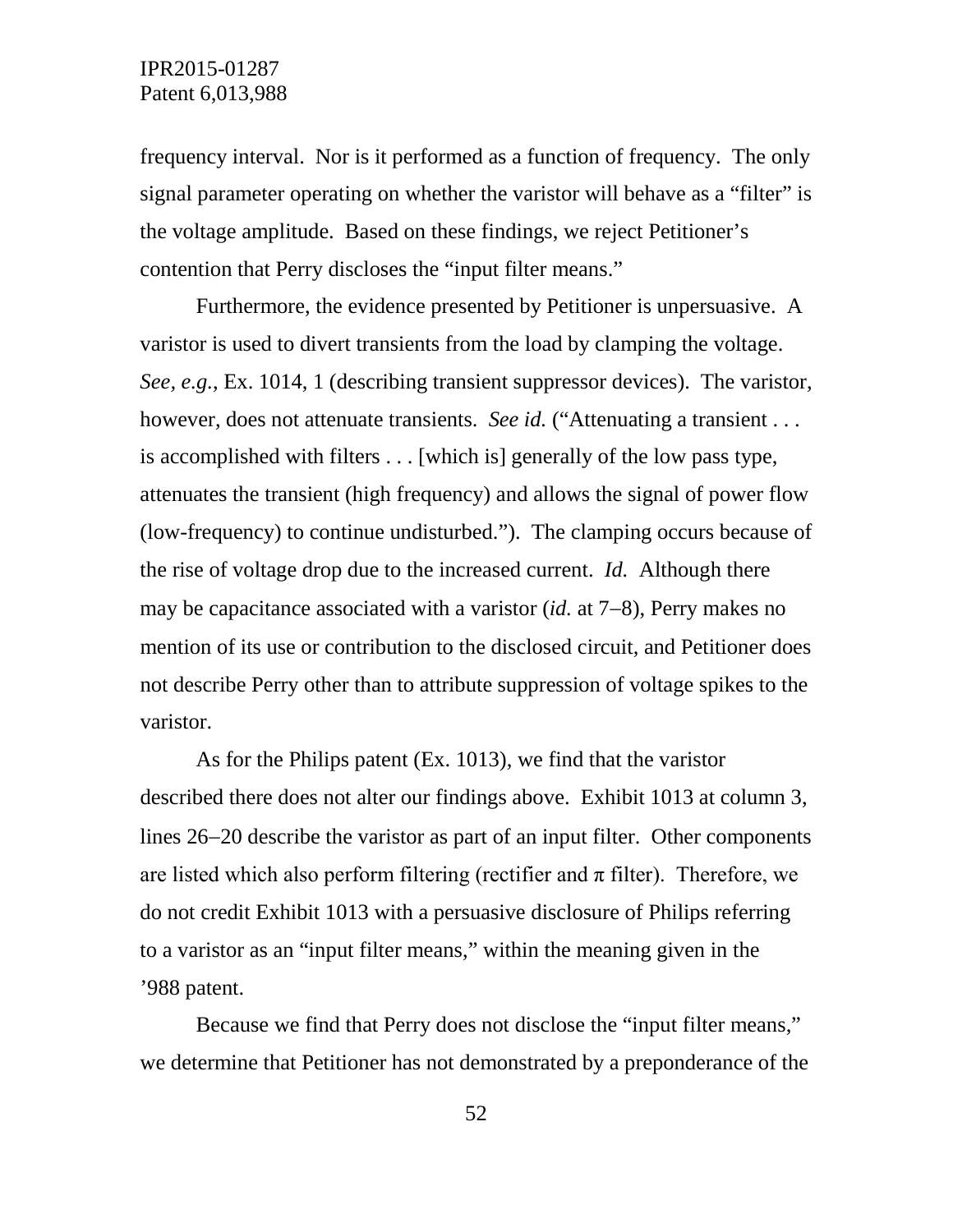frequency interval. Nor is it performed as a function of frequency. The only signal parameter operating on whether the varistor will behave as a "filter" is the voltage amplitude. Based on these findings, we reject Petitioner's contention that Perry discloses the "input filter means."

Furthermore, the evidence presented by Petitioner is unpersuasive. A varistor is used to divert transients from the load by clamping the voltage. *See, e.g.*, Ex. 1014, 1 (describing transient suppressor devices). The varistor, however, does not attenuate transients. *See id.* ("Attenuating a transient ... is accomplished with filters . . . [which is] generally of the low pass type, attenuates the transient (high frequency) and allows the signal of power flow (low-frequency) to continue undisturbed."). The clamping occurs because of the rise of voltage drop due to the increased current. *Id.* Although there may be capacitance associated with a varistor (*id.* at 7−8), Perry makes no mention of its use or contribution to the disclosed circuit, and Petitioner does not describe Perry other than to attribute suppression of voltage spikes to the varistor.

As for the Philips patent (Ex. 1013), we find that the varistor described there does not alter our findings above. Exhibit 1013 at column 3, lines 26−20 describe the varistor as part of an input filter. Other components are listed which also perform filtering (rectifier and  $\pi$  filter). Therefore, we do not credit Exhibit 1013 with a persuasive disclosure of Philips referring to a varistor as an "input filter means," within the meaning given in the '988 patent.

Because we find that Perry does not disclose the "input filter means," we determine that Petitioner has not demonstrated by a preponderance of the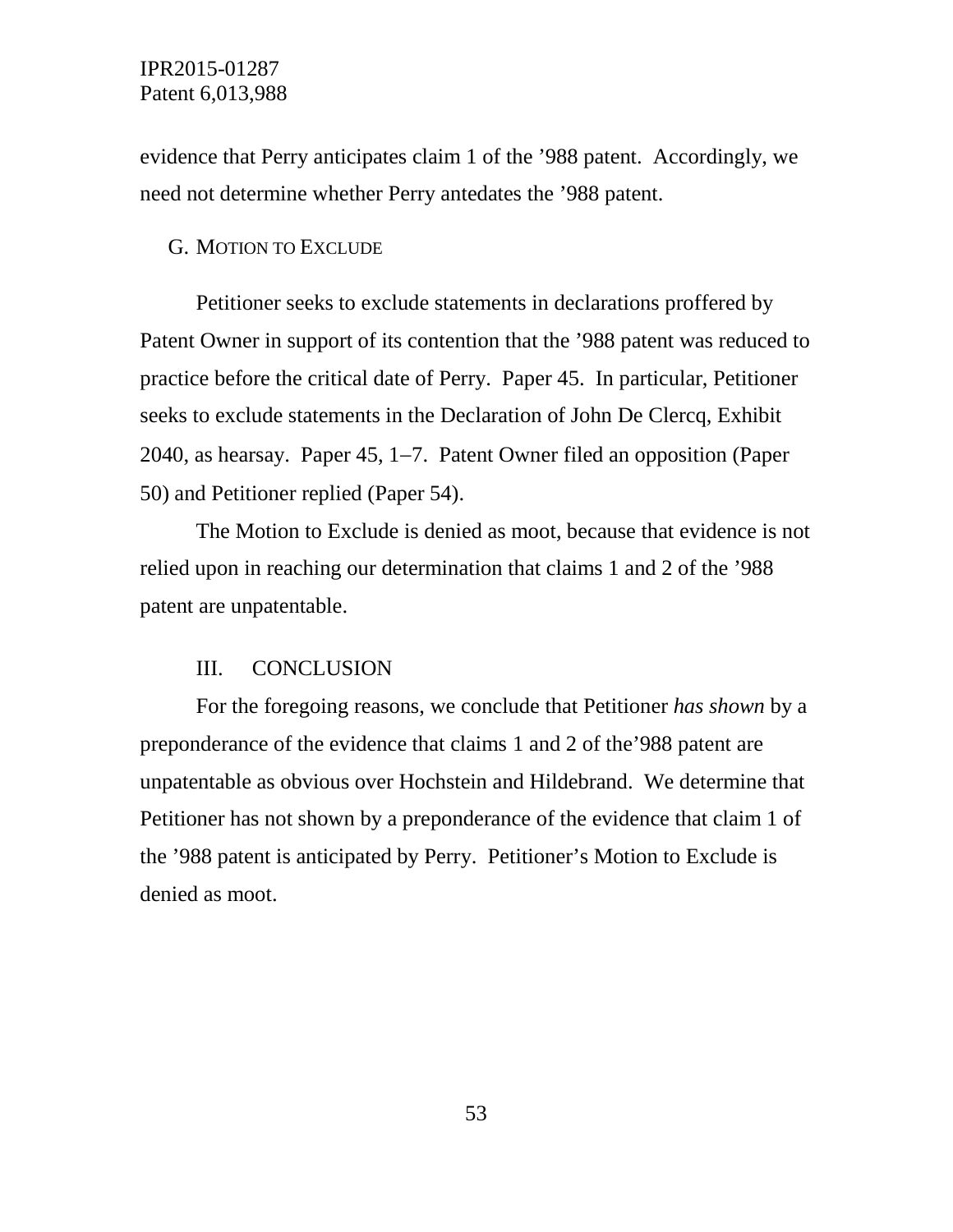evidence that Perry anticipates claim 1 of the '988 patent. Accordingly, we need not determine whether Perry antedates the '988 patent.

#### G. MOTION TO EXCLUDE

Petitioner seeks to exclude statements in declarations proffered by Patent Owner in support of its contention that the '988 patent was reduced to practice before the critical date of Perry. Paper 45. In particular, Petitioner seeks to exclude statements in the Declaration of John De Clercq, Exhibit 2040, as hearsay. Paper 45, 1−7. Patent Owner filed an opposition (Paper 50) and Petitioner replied (Paper 54).

The Motion to Exclude is denied as moot, because that evidence is not relied upon in reaching our determination that claims 1 and 2 of the '988 patent are unpatentable.

#### III. CONCLUSION

For the foregoing reasons, we conclude that Petitioner *has shown* by a preponderance of the evidence that claims 1 and 2 of the'988 patent are unpatentable as obvious over Hochstein and Hildebrand. We determine that Petitioner has not shown by a preponderance of the evidence that claim 1 of the '988 patent is anticipated by Perry. Petitioner's Motion to Exclude is denied as moot.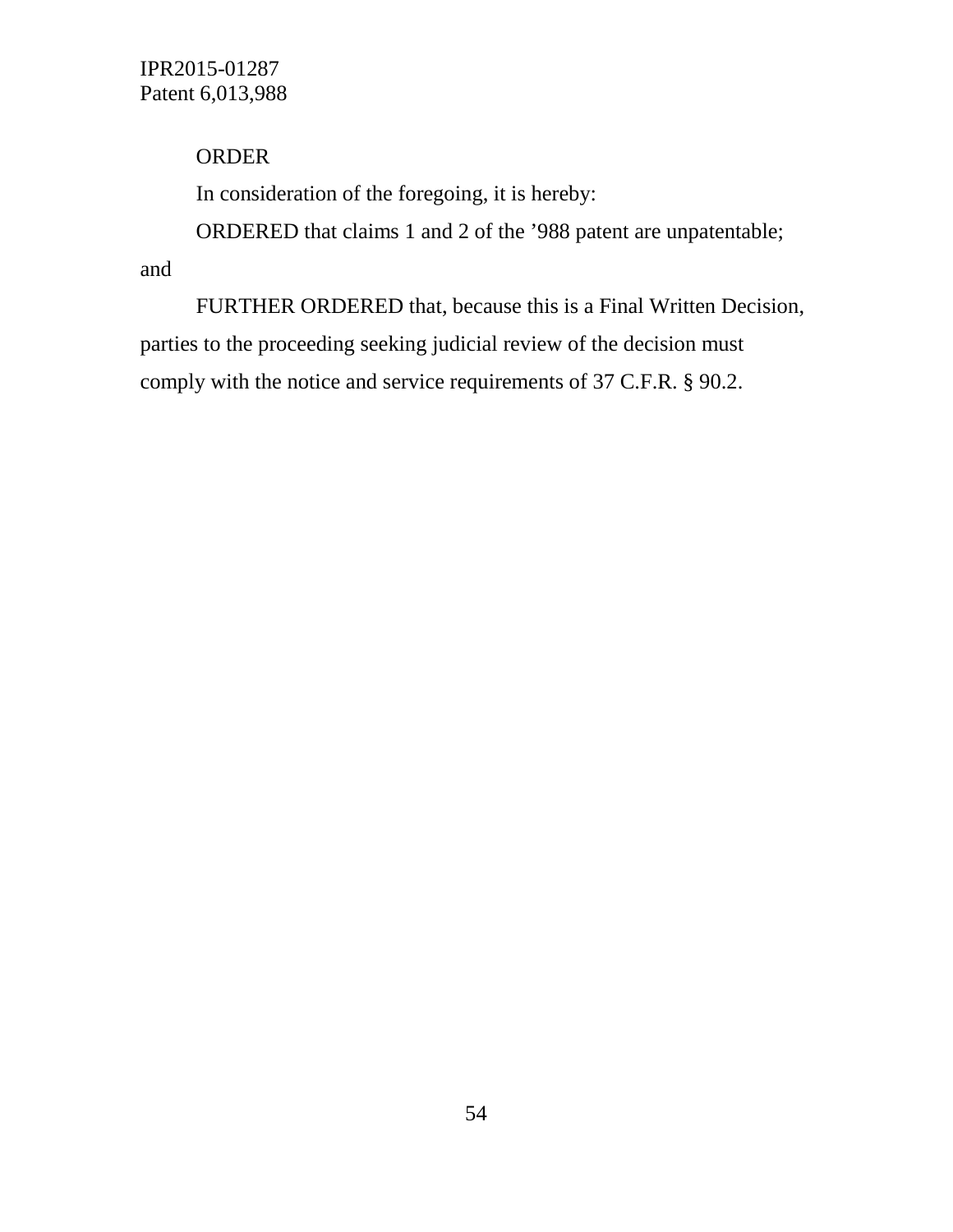# ORDER

In consideration of the foregoing, it is hereby:

ORDERED that claims 1 and 2 of the '988 patent are unpatentable;

and

FURTHER ORDERED that, because this is a Final Written Decision, parties to the proceeding seeking judicial review of the decision must comply with the notice and service requirements of 37 C.F.R. § 90.2.